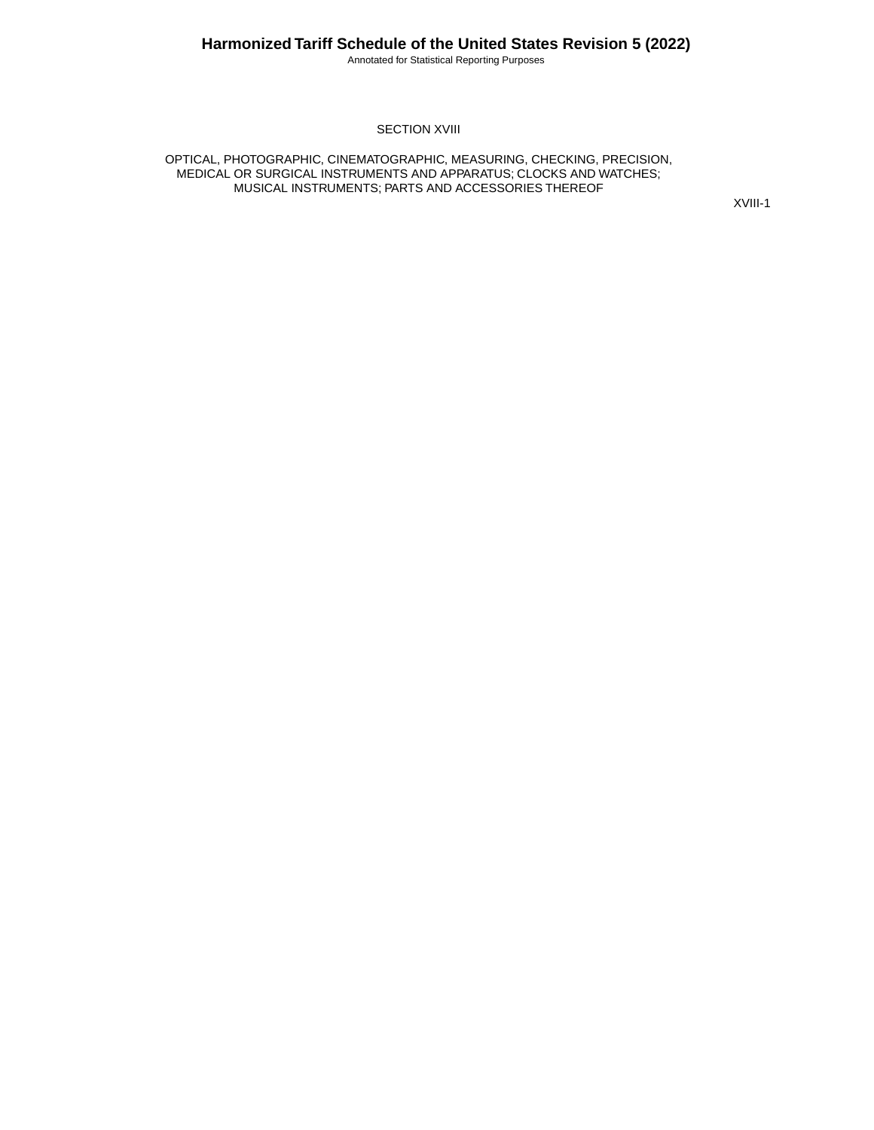#### **SECTION XVIII**

OPTICAL, PHOTOGRAPHIC, CINEMATOGRAPHIC, MEASURING, CHECKING, PRECISION, MEDICAL OR SURGICAL INSTRUMENTS AND APPARATUS; CLOCKS AND WATCHES; MUSICAL INSTRUMENTS; PARTS AND ACCESSORIES THEREOF

XVIII-1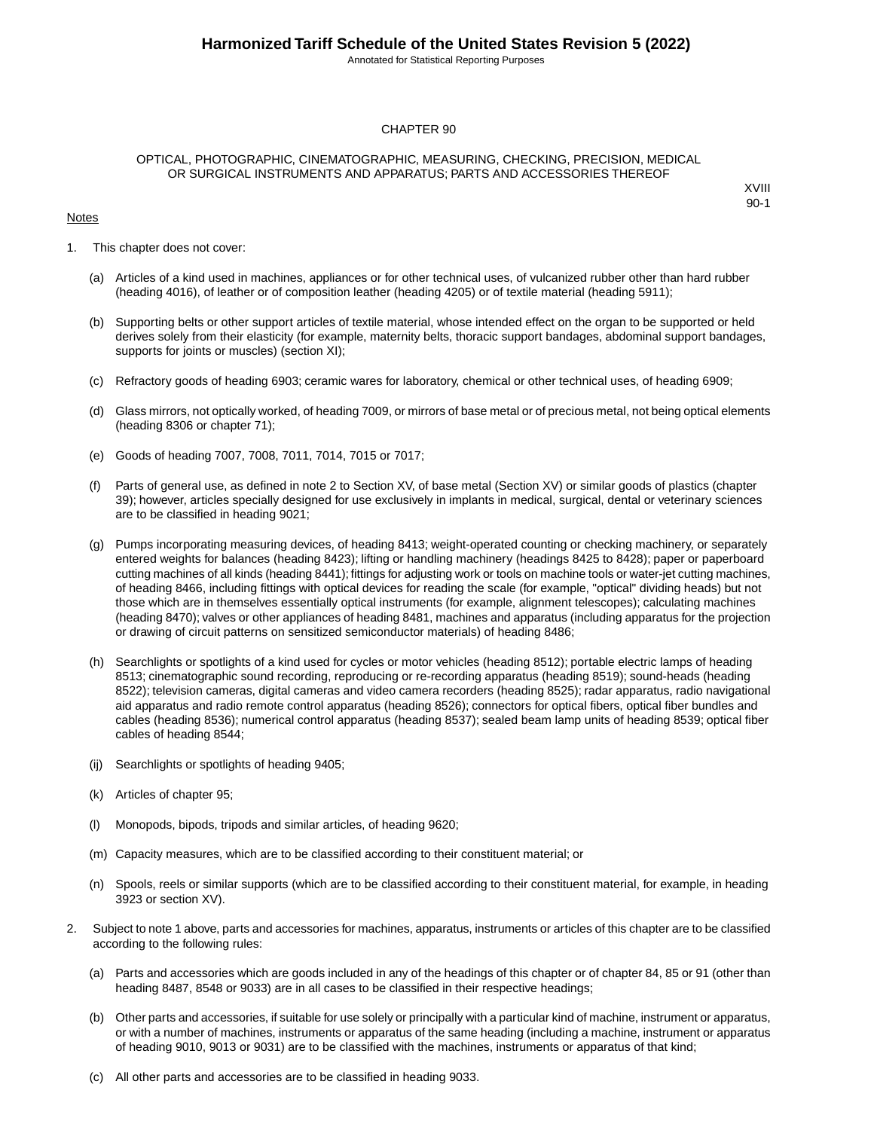#### CHAPTER 90

#### OPTICAL, PHOTOGRAPHIC, CINEMATOGRAPHIC, MEASURING, CHECKING, PRECISION, MEDICAL OR SURGICAL INSTRUMENTS AND APPARATUS; PARTS AND ACCESSORIES THEREOF

#### **Notes**

- 1. This chapter does not cover:
	- (a) Articles of a kind used in machines, appliances or for other technical uses, of vulcanized rubber other than hard rubber (heading 4016), of leather or of composition leather (heading 4205) or of textile material (heading 5911);
	- (b) Supporting belts or other support articles of textile material, whose intended effect on the organ to be supported or held derives solely from their elasticity (for example, maternity belts, thoracic support bandages, abdominal support bandages, supports for joints or muscles) (section XI);
	- (c) Refractory goods of heading 6903; ceramic wares for laboratory, chemical or other technical uses, of heading 6909;
	- (d) Glass mirrors, not optically worked, of heading 7009, or mirrors of base metal or of precious metal, not being optical elements (heading 8306 or chapter 71);
	- (e) Goods of heading 7007, 7008, 7011, 7014, 7015 or 7017;
	- (f) Parts of general use, as defined in note 2 to Section XV, of base metal (Section XV) or similar goods of plastics (chapter 39); however, articles specially designed for use exclusively in implants in medical, surgical, dental or veterinary sciences are to be classified in heading 9021;
	- (g) Pumps incorporating measuring devices, of heading 8413; weight-operated counting or checking machinery, or separately entered weights for balances (heading 8423); lifting or handling machinery (headings 8425 to 8428); paper or paperboard cutting machines of all kinds (heading 8441); fittings for adjusting work or tools on machine tools or water-jet cutting machines, of heading 8466, including fittings with optical devices for reading the scale (for example, "optical" dividing heads) but not those which are in themselves essentially optical instruments (for example, alignment telescopes); calculating machines (heading 8470); valves or other appliances of heading 8481, machines and apparatus (including apparatus for the projection or drawing of circuit patterns on sensitized semiconductor materials) of heading 8486;
	- (h) Searchlights or spotlights of a kind used for cycles or motor vehicles (heading 8512); portable electric lamps of heading 8513; cinematographic sound recording, reproducing or re-recording apparatus (heading 8519); sound-heads (heading 8522); television cameras, digital cameras and video camera recorders (heading 8525); radar apparatus, radio navigational aid apparatus and radio remote control apparatus (heading 8526); connectors for optical fibers, optical fiber bundles and cables (heading 8536); numerical control apparatus (heading 8537); sealed beam lamp units of heading 8539; optical fiber cables of heading 8544;
	- (ij) Searchlights or spotlights of heading 9405;
	- (k) Articles of chapter 95;
	- Monopods, bipods, tripods and similar articles, of heading 9620;
	- (m) Capacity measures, which are to be classified according to their constituent material; or
	- (n) Spools, reels or similar supports (which are to be classified according to their constituent material, for example, in heading 3923 or section XV).
- 2. Subject to note 1 above, parts and accessories for machines, apparatus, instruments or articles of this chapter are to be classified according to the following rules:
	- (a) Parts and accessories which are goods included in any of the headings of this chapter or of chapter 84, 85 or 91 (other than heading 8487, 8548 or 9033) are in all cases to be classified in their respective headings;
	- (b) Other parts and accessories, if suitable for use solely or principally with a particular kind of machine, instrument or apparatus, or with a number of machines, instruments or apparatus of the same heading (including a machine, instrument or apparatus of heading 9010, 9013 or 9031) are to be classified with the machines, instruments or apparatus of that kind;
	- (c) All other parts and accessories are to be classified in heading 9033.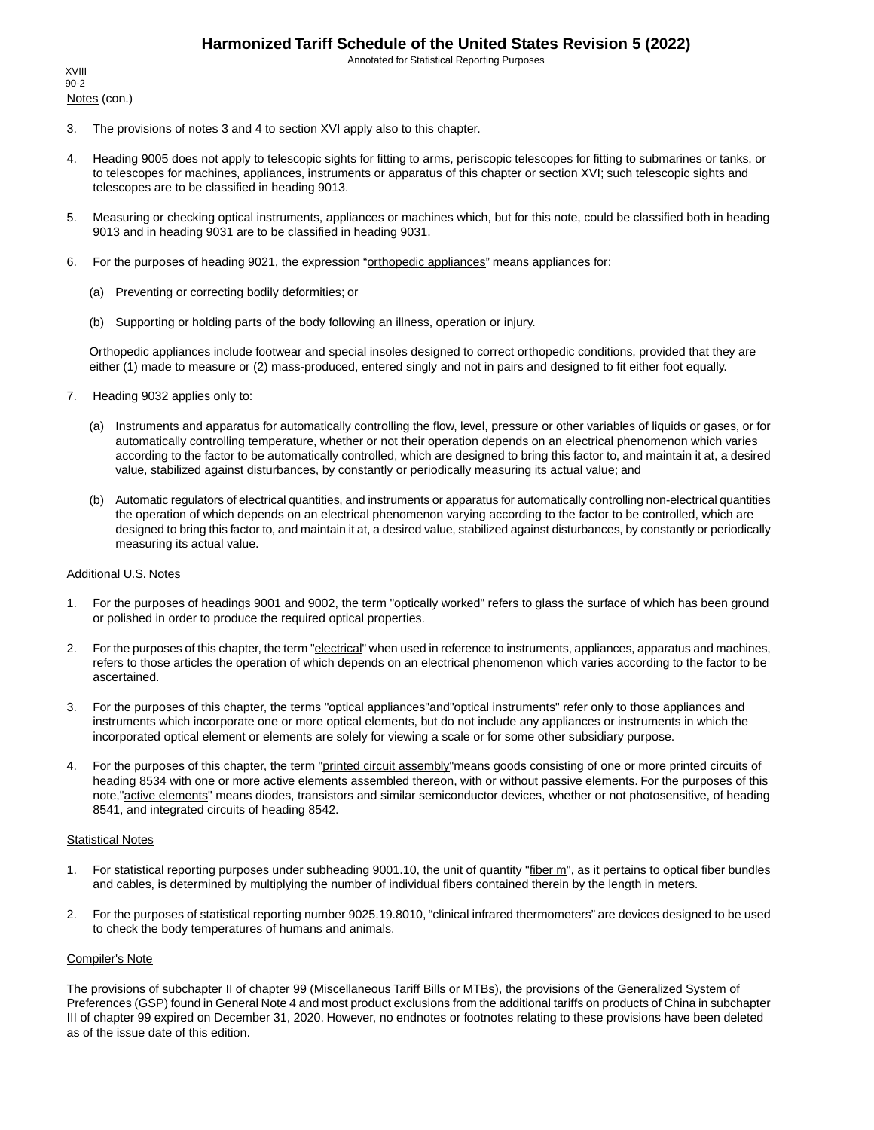Notes (con.) XVIII 90-2

- 3. The provisions of notes 3 and 4 to section XVI apply also to this chapter.
- 4. Heading 9005 does not apply to telescopic sights for fitting to arms, periscopic telescopes for fitting to submarines or tanks, or to telescopes for machines, appliances, instruments or apparatus of this chapter or section XVI; such telescopic sights and telescopes are to be classified in heading 9013.
- 5. Measuring or checking optical instruments, appliances or machines which, but for this note, could be classified both in heading 9013 and in heading 9031 are to be classified in heading 9031.
- 6. For the purposes of heading 9021, the expression "orthopedic appliances" means appliances for:
	- (a) Preventing or correcting bodily deformities; or
	- (b) Supporting or holding parts of the body following an illness, operation or injury.

Orthopedic appliances include footwear and special insoles designed to correct orthopedic conditions, provided that they are either (1) made to measure or (2) mass-produced, entered singly and not in pairs and designed to fit either foot equally.

- 7. Heading 9032 applies only to:
	- (a) Instruments and apparatus for automatically controlling the flow, level, pressure or other variables of liquids or gases, or for automatically controlling temperature, whether or not their operation depends on an electrical phenomenon which varies according to the factor to be automatically controlled, which are designed to bring this factor to, and maintain it at, a desired value, stabilized against disturbances, by constantly or periodically measuring its actual value; and
	- (b) Automatic regulators of electrical quantities, and instruments or apparatus for automatically controlling non-electrical quantities the operation of which depends on an electrical phenomenon varying according to the factor to be controlled, which are designed to bring this factor to, and maintain it at, a desired value, stabilized against disturbances, by constantly or periodically measuring its actual value.

#### Additional U.S. Notes

- 1. For the purposes of headings 9001 and 9002, the term "optically worked" refers to glass the surface of which has been ground or polished in order to produce the required optical properties.
- 2. For the purposes of this chapter, the term "electrical" when used in reference to instruments, appliances, apparatus and machines, refers to those articles the operation of which depends on an electrical phenomenon which varies according to the factor to be ascertained.
- 3. For the purposes of this chapter, the terms "optical appliances" and "optical instruments" refer only to those appliances and instruments which incorporate one or more optical elements, but do not include any appliances or instruments in which the incorporated optical element or elements are solely for viewing a scale or for some other subsidiary purpose.
- 4. For the purposes of this chapter, the term "printed circuit assembly" means goods consisting of one or more printed circuits of heading 8534 with one or more active elements assembled thereon, with or without passive elements. For the purposes of this note,"active elements" means diodes, transistors and similar semiconductor devices, whether or not photosensitive, of heading 8541, and integrated circuits of heading 8542.

#### **Statistical Notes**

- 1. For statistical reporting purposes under subheading 9001.10, the unit of quantity "fiber m", as it pertains to optical fiber bundles and cables, is determined by multiplying the number of individual fibers contained therein by the length in meters.
- 2. For the purposes of statistical reporting number 9025.19.8010, "clinical infrared thermometers" are devices designed to be used to check the body temperatures of humans and animals.

#### Compiler's Note

The provisions of subchapter II of chapter 99 (Miscellaneous Tariff Bills or MTBs), the provisions of the Generalized System of Preferences (GSP) found in General Note 4 and most product exclusions from the additional tariffs on products of China in subchapter III of chapter 99 expired on December 31, 2020. However, no endnotes or footnotes relating to these provisions have been deleted as of the issue date of this edition.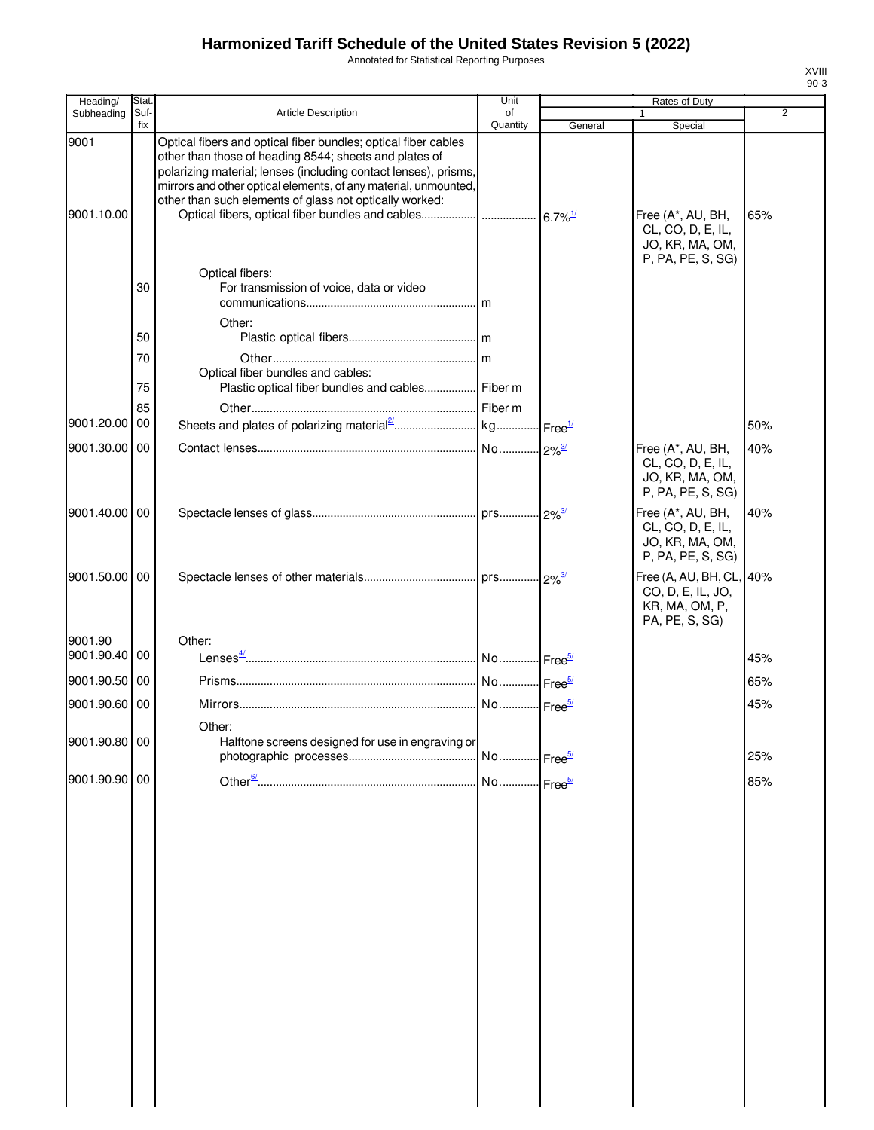Annotated for Statistical Reporting Purposes

| Heading/              | Stat<br>Suf- | Article Description                                                                                                                                                                                                                                                                                                       | Unit<br>of |         | Rates of Duty                                                                  | $\overline{2}$ |
|-----------------------|--------------|---------------------------------------------------------------------------------------------------------------------------------------------------------------------------------------------------------------------------------------------------------------------------------------------------------------------------|------------|---------|--------------------------------------------------------------------------------|----------------|
| Subheading            | fix          |                                                                                                                                                                                                                                                                                                                           | Quantity   | General | Special                                                                        |                |
| 9001<br>9001.10.00    |              | Optical fibers and optical fiber bundles; optical fiber cables<br>other than those of heading 8544; sheets and plates of<br>polarizing material; lenses (including contact lenses), prisms,<br>mirrors and other optical elements, of any material, unmounted,<br>other than such elements of glass not optically worked: |            |         | Free (A*, AU, BH,<br>CL, CO, D, E, IL,<br>JO, KR, MA, OM,<br>P, PA, PE, S, SG) | 65%            |
|                       | 30           | Optical fibers:<br>For transmission of voice, data or video                                                                                                                                                                                                                                                               |            |         |                                                                                |                |
|                       | 50           | Other:                                                                                                                                                                                                                                                                                                                    |            |         |                                                                                |                |
|                       | 70<br>75     | Optical fiber bundles and cables:<br>Plastic optical fiber bundles and cables Fiber m                                                                                                                                                                                                                                     |            |         |                                                                                |                |
| 9001.20.00            | 85<br>00     |                                                                                                                                                                                                                                                                                                                           |            |         |                                                                                | 50%            |
| 9001.30.00 00         |              |                                                                                                                                                                                                                                                                                                                           |            |         | Free (A*, AU, BH,                                                              | 40%            |
|                       |              |                                                                                                                                                                                                                                                                                                                           |            |         | CL, CO, D, E, IL,<br>JO, KR, MA, OM,<br>P, PA, PE, S, SG)                      |                |
| 9001.40.00 00         |              |                                                                                                                                                                                                                                                                                                                           |            |         | Free (A*, AU, BH,<br>CL, CO, D, E, IL,<br>JO, KR, MA, OM,<br>P, PA, PE, S, SG) | 40%            |
| 9001.50.00 00         |              |                                                                                                                                                                                                                                                                                                                           |            |         | Free (A, AU, BH, CL,<br>CO, D, E, IL, JO,<br>KR, MA, OM, P,<br>PA, PE, S, SG)  | 40%            |
| 9001.90<br>9001.90.40 | 00           | Other:                                                                                                                                                                                                                                                                                                                    |            |         |                                                                                | 45%            |
| 9001.90.50 00         |              |                                                                                                                                                                                                                                                                                                                           |            |         |                                                                                | 65%            |
| 9001.90.60 00         |              |                                                                                                                                                                                                                                                                                                                           |            |         |                                                                                | 45%            |
| 9001.90.80 00         |              | Other:<br>Halftone screens designed for use in engraving or                                                                                                                                                                                                                                                               |            |         |                                                                                |                |
|                       |              |                                                                                                                                                                                                                                                                                                                           |            |         |                                                                                | 25%            |
| 9001.90.90 00         |              |                                                                                                                                                                                                                                                                                                                           |            |         |                                                                                | 85%            |
|                       |              |                                                                                                                                                                                                                                                                                                                           |            |         |                                                                                |                |
|                       |              |                                                                                                                                                                                                                                                                                                                           |            |         |                                                                                |                |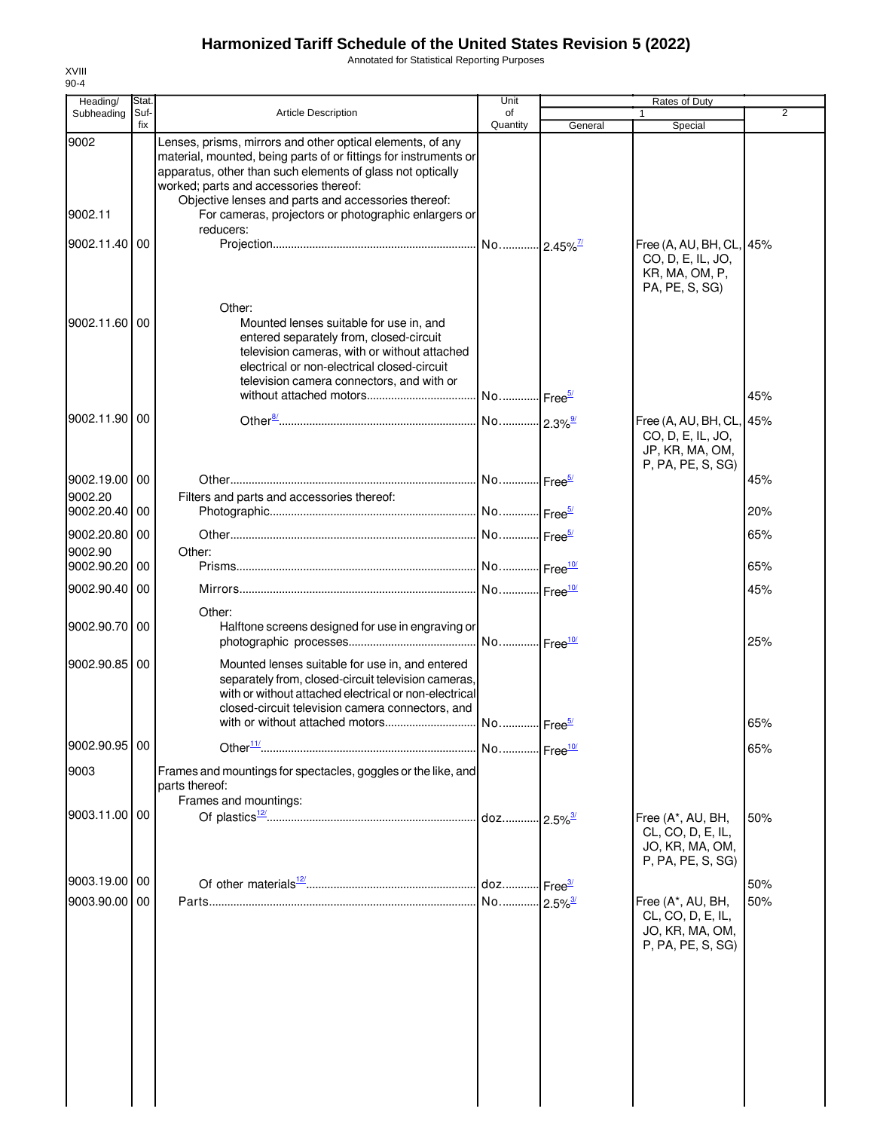Annotated for Statistical Reporting Purposes

| Heading/                 | Stat.       |                                                                                                                                                                                                                                                                                                                                                       | Unit                   |                        | Rates of Duty                                                                     |                |
|--------------------------|-------------|-------------------------------------------------------------------------------------------------------------------------------------------------------------------------------------------------------------------------------------------------------------------------------------------------------------------------------------------------------|------------------------|------------------------|-----------------------------------------------------------------------------------|----------------|
| Subheading               | Suf-<br>fix | <b>Article Description</b>                                                                                                                                                                                                                                                                                                                            | of<br>Quantity         | General                | 1<br>Special                                                                      | $\overline{2}$ |
| 9002<br>9002.11          |             | Lenses, prisms, mirrors and other optical elements, of any<br>material, mounted, being parts of or fittings for instruments or<br>apparatus, other than such elements of glass not optically<br>worked; parts and accessories thereof:<br>Objective lenses and parts and accessories thereof:<br>For cameras, projectors or photographic enlargers or |                        |                        |                                                                                   |                |
|                          |             | reducers:                                                                                                                                                                                                                                                                                                                                             |                        |                        |                                                                                   |                |
| 9002.11.40               | 00          | Other:                                                                                                                                                                                                                                                                                                                                                |                        |                        | Free (A, AU, BH, CL, 45%<br>CO, D, E, IL, JO,<br>KR, MA, OM, P,<br>PA, PE, S, SG) |                |
| 9002.11.60               | 00          | Mounted lenses suitable for use in, and<br>entered separately from, closed-circuit<br>television cameras, with or without attached<br>electrical or non-electrical closed-circuit<br>television camera connectors, and with or                                                                                                                        |                        |                        |                                                                                   |                |
|                          |             |                                                                                                                                                                                                                                                                                                                                                       | No Free <sup>5/</sup>  |                        |                                                                                   | 45%            |
| 9002.11.90               | 00          |                                                                                                                                                                                                                                                                                                                                                       |                        |                        | Free (A, AU, BH, CL,<br>CO, D, E, IL, JO,<br>JP, KR, MA, OM,<br>P, PA, PE, S, SG) | 45%            |
| 9002.19.00 00<br>9002.20 |             | Filters and parts and accessories thereof:                                                                                                                                                                                                                                                                                                            |                        |                        |                                                                                   | 45%            |
| 9002.20.40 00            |             |                                                                                                                                                                                                                                                                                                                                                       |                        |                        |                                                                                   | 20%            |
| 9002.20.80 00<br>9002.90 |             | Other:                                                                                                                                                                                                                                                                                                                                                |                        |                        |                                                                                   | 65%            |
| 9002.90.20               | 00          |                                                                                                                                                                                                                                                                                                                                                       |                        |                        |                                                                                   | 65%            |
| 9002.90.40               | 00          |                                                                                                                                                                                                                                                                                                                                                       | No Free <sup>10/</sup> |                        |                                                                                   | 45%            |
| 9002.90.70               | 00          | Other:<br>Halftone screens designed for use in engraving or                                                                                                                                                                                                                                                                                           | No Free <sup>10/</sup> |                        |                                                                                   | 25%            |
| 9002.90.85 00            |             | Mounted lenses suitable for use in, and entered<br>separately from, closed-circuit television cameras,<br>with or without attached electrical or non-electrical<br>closed-circuit television camera connectors, and                                                                                                                                   |                        |                        |                                                                                   | 65%            |
| 9002.90.95 00            |             |                                                                                                                                                                                                                                                                                                                                                       |                        |                        |                                                                                   | 65%            |
| 9003                     |             | Frames and mountings for spectacles, goggles or the like, and<br>parts thereof:                                                                                                                                                                                                                                                                       |                        |                        |                                                                                   |                |
| 9003.11.00 00            |             | Frames and mountings:                                                                                                                                                                                                                                                                                                                                 | doz                    | $-2.5\%$ <sup>3/</sup> | Free (A*, AU, BH,<br>CL, CO, D, E, IL,<br>JO, KR, MA, OM,<br>P, PA, PE, S, SG)    | 50%            |
| 9003.19.00 00            |             |                                                                                                                                                                                                                                                                                                                                                       | doz Free <sup>3/</sup> |                        |                                                                                   | 50%            |
| 9003.90.00               | 00          |                                                                                                                                                                                                                                                                                                                                                       | No                     | $2.5\%$ <sup>3/</sup>  | Free (A*, AU, BH,<br>CL, CO, D, E, IL,<br>JO, KR, MA, OM,<br>P, PA, PE, S, SG)    | 50%            |
|                          |             |                                                                                                                                                                                                                                                                                                                                                       |                        |                        |                                                                                   |                |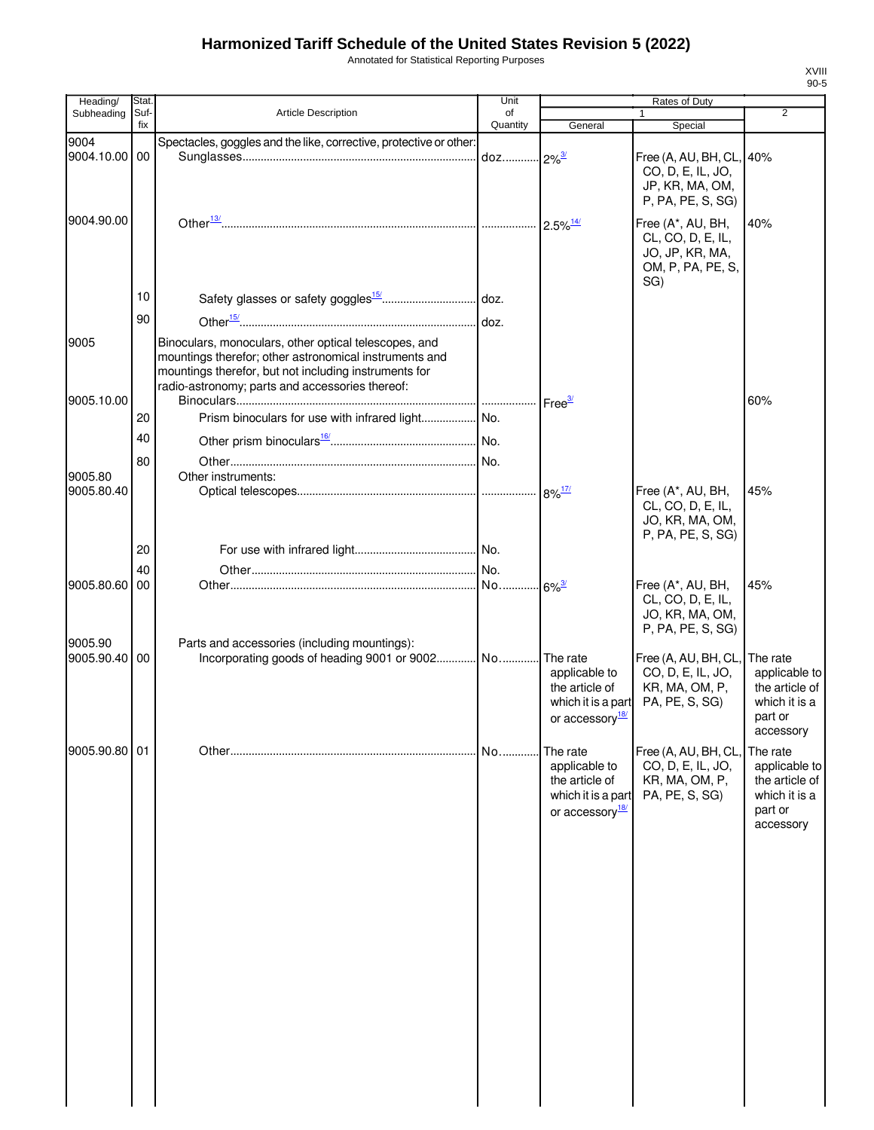Annotated for Statistical Reporting Purposes

| Stat.      |                                                                                                                                                                                                                             | Unit                                                                                             | Rates of Duty                                                                  |                                                                                              |                                                                                                      |
|------------|-----------------------------------------------------------------------------------------------------------------------------------------------------------------------------------------------------------------------------|--------------------------------------------------------------------------------------------------|--------------------------------------------------------------------------------|----------------------------------------------------------------------------------------------|------------------------------------------------------------------------------------------------------|
|            |                                                                                                                                                                                                                             | of                                                                                               |                                                                                |                                                                                              | $\overline{2}$                                                                                       |
|            |                                                                                                                                                                                                                             |                                                                                                  |                                                                                |                                                                                              |                                                                                                      |
|            |                                                                                                                                                                                                                             |                                                                                                  |                                                                                | Free (A, AU, BH, CL, 40%<br>CO, D, E, IL, JO,<br>JP, KR, MA, OM,<br>P, PA, PE, S, SG)        |                                                                                                      |
|            |                                                                                                                                                                                                                             |                                                                                                  |                                                                                | Free (A*, AU, BH,<br>CL, CO, D, E, IL,<br>JO, JP, KR, MA,<br>OM, P, PA, PE, S,               | 40%                                                                                                  |
| 10         |                                                                                                                                                                                                                             |                                                                                                  |                                                                                |                                                                                              |                                                                                                      |
|            |                                                                                                                                                                                                                             |                                                                                                  |                                                                                |                                                                                              |                                                                                                      |
|            | Binoculars, monoculars, other optical telescopes, and<br>mountings therefor; other astronomical instruments and<br>mountings therefor, but not including instruments for<br>radio-astronomy; parts and accessories thereof: |                                                                                                  |                                                                                |                                                                                              |                                                                                                      |
|            |                                                                                                                                                                                                                             |                                                                                                  |                                                                                |                                                                                              | 60%                                                                                                  |
| 20         |                                                                                                                                                                                                                             |                                                                                                  |                                                                                |                                                                                              |                                                                                                      |
| 40         |                                                                                                                                                                                                                             |                                                                                                  |                                                                                |                                                                                              |                                                                                                      |
|            |                                                                                                                                                                                                                             |                                                                                                  |                                                                                |                                                                                              |                                                                                                      |
|            |                                                                                                                                                                                                                             |                                                                                                  |                                                                                |                                                                                              |                                                                                                      |
|            |                                                                                                                                                                                                                             |                                                                                                  |                                                                                | Free (A*, AU, BH,<br>CL, CO, D, E, IL,<br>JO, KR, MA, OM,                                    | 45%                                                                                                  |
|            |                                                                                                                                                                                                                             |                                                                                                  |                                                                                |                                                                                              |                                                                                                      |
|            |                                                                                                                                                                                                                             |                                                                                                  |                                                                                |                                                                                              |                                                                                                      |
|            |                                                                                                                                                                                                                             |                                                                                                  |                                                                                |                                                                                              | 45%                                                                                                  |
|            |                                                                                                                                                                                                                             |                                                                                                  |                                                                                | CL, CO, D, E, IL,<br>JO, KR, MA, OM,<br>P, PA, PE, S, SG)                                    |                                                                                                      |
|            |                                                                                                                                                                                                                             |                                                                                                  | applicable to<br>the article of<br>or accessory <sup>18/</sup>                 | Free (A, AU, BH, CL,<br>CO, D, E, IL, JO,<br>KR, MA, OM, P,<br>PA, PE, S, SG)                | The rate<br>applicable to<br>the article of<br>which it is a<br>part or<br>accessory                 |
|            |                                                                                                                                                                                                                             | No                                                                                               | The rate<br>applicable to<br>the article of<br>or accessory <sup>18/</sup>     | Free (A, AU, BH, CL,<br>CO, D, E, IL, JO,<br>KR, MA, OM, P,<br>PA, PE, S, SG)                | The rate<br>applicable to<br>the article of<br>which it is a<br>part or<br>accessory                 |
| 9004.90.00 | Suf-<br>fix<br>9004.10.00 00<br>90<br>80<br>20<br>40<br>9005.80.60 00<br>9005.90.40 00<br>9005.90.80 01                                                                                                                     | <b>Article Description</b><br>Other instruments:<br>Parts and accessories (including mountings): | Quantity<br>Spectacles, goggles and the like, corrective, protective or other: | General<br>$2.5\%$ <sup>14/</sup><br>Incorporating goods of heading 9001 or 9002 No The rate | Special<br>SG)<br>P, PA, PE, S, SG)<br>Free (A*, AU, BH,<br>which it is a part<br>which it is a part |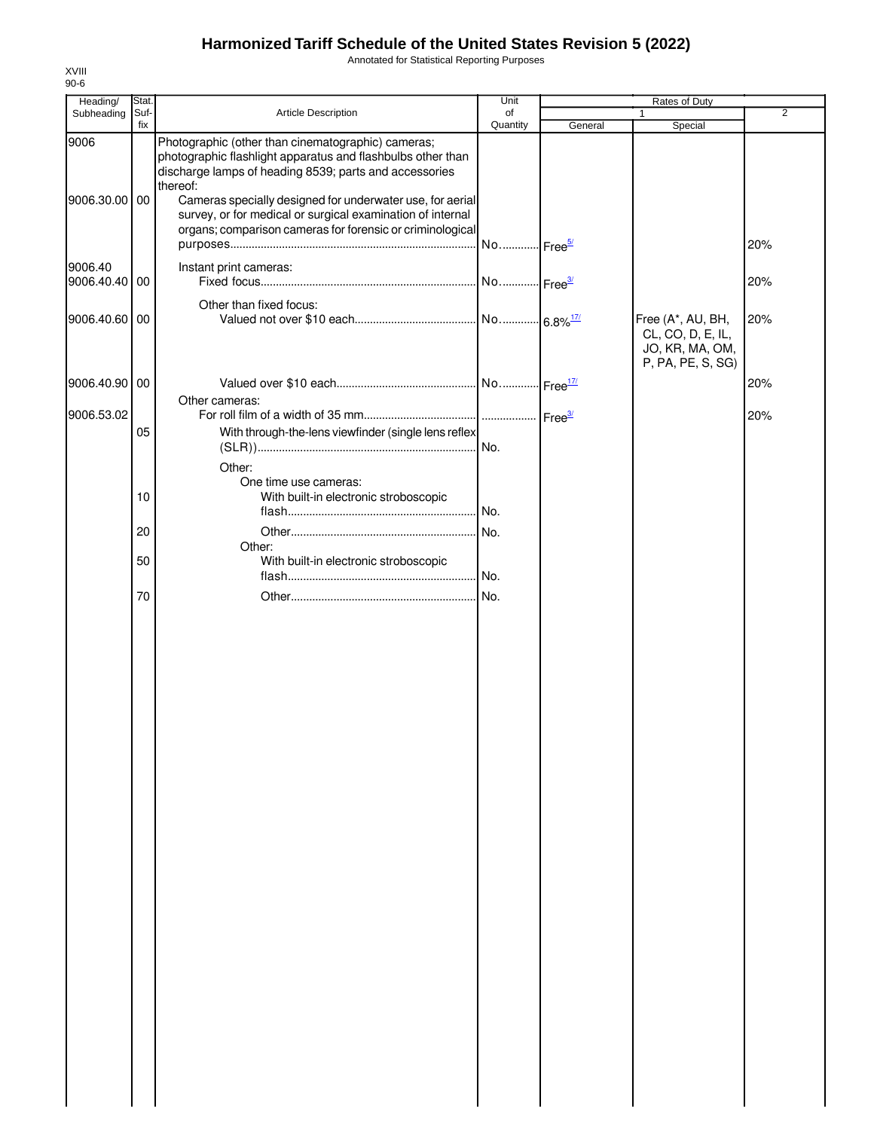Annotated for Statistical Reporting Purposes

| Stat.<br>Suf-    |                                                                                                                                                                                                                                                       |                                                                                                               |                                                                                                                                                                                                        | Rates of Duty                                             |                   |
|------------------|-------------------------------------------------------------------------------------------------------------------------------------------------------------------------------------------------------------------------------------------------------|---------------------------------------------------------------------------------------------------------------|--------------------------------------------------------------------------------------------------------------------------------------------------------------------------------------------------------|-----------------------------------------------------------|-------------------|
|                  | Article Description                                                                                                                                                                                                                                   | of                                                                                                            |                                                                                                                                                                                                        | 1                                                         | $\overline{2}$    |
| fix              |                                                                                                                                                                                                                                                       | Quantity                                                                                                      | General                                                                                                                                                                                                | Special                                                   |                   |
| 9006.30.00 00    | Photographic (other than cinematographic) cameras;<br>photographic flashlight apparatus and flashbulbs other than<br>discharge lamps of heading 8539; parts and accessories<br>thereof:<br>survey, or for medical or surgical examination of internal |                                                                                                               |                                                                                                                                                                                                        |                                                           |                   |
|                  |                                                                                                                                                                                                                                                       |                                                                                                               |                                                                                                                                                                                                        |                                                           | 20%               |
| 9006.40.40<br>00 | Instant print cameras:                                                                                                                                                                                                                                |                                                                                                               |                                                                                                                                                                                                        |                                                           | 20%               |
|                  |                                                                                                                                                                                                                                                       |                                                                                                               |                                                                                                                                                                                                        |                                                           |                   |
| 9006.40.60 00    |                                                                                                                                                                                                                                                       |                                                                                                               |                                                                                                                                                                                                        | Free (A*, AU, BH,<br>CL, CO, D, E, IL,<br>JO, KR, MA, OM, | 20%               |
|                  |                                                                                                                                                                                                                                                       |                                                                                                               |                                                                                                                                                                                                        |                                                           | 20%               |
|                  | Other cameras:                                                                                                                                                                                                                                        |                                                                                                               |                                                                                                                                                                                                        |                                                           |                   |
|                  |                                                                                                                                                                                                                                                       |                                                                                                               |                                                                                                                                                                                                        |                                                           | 20%               |
|                  |                                                                                                                                                                                                                                                       |                                                                                                               |                                                                                                                                                                                                        |                                                           |                   |
|                  |                                                                                                                                                                                                                                                       |                                                                                                               |                                                                                                                                                                                                        |                                                           |                   |
|                  |                                                                                                                                                                                                                                                       |                                                                                                               |                                                                                                                                                                                                        |                                                           |                   |
| 10               | With built-in electronic stroboscopic                                                                                                                                                                                                                 |                                                                                                               |                                                                                                                                                                                                        |                                                           |                   |
|                  |                                                                                                                                                                                                                                                       | No.                                                                                                           |                                                                                                                                                                                                        |                                                           |                   |
| 20               |                                                                                                                                                                                                                                                       |                                                                                                               |                                                                                                                                                                                                        |                                                           |                   |
|                  |                                                                                                                                                                                                                                                       |                                                                                                               |                                                                                                                                                                                                        |                                                           |                   |
|                  |                                                                                                                                                                                                                                                       |                                                                                                               |                                                                                                                                                                                                        |                                                           |                   |
|                  |                                                                                                                                                                                                                                                       |                                                                                                               |                                                                                                                                                                                                        |                                                           |                   |
|                  |                                                                                                                                                                                                                                                       |                                                                                                               |                                                                                                                                                                                                        |                                                           |                   |
|                  | 9006.40.90 00<br>05<br>50<br>70                                                                                                                                                                                                                       | Other than fixed focus:<br>Other:<br>One time use cameras:<br>Other:<br>With built-in electronic stroboscopic | Cameras specially designed for underwater use, for aerial<br>organs; comparison cameras for forensic or criminological<br>With through-the-lens viewfinder (single lens reflex<br>No.<br>.l No.<br>No. |                                                           | P, PA, PE, S, SG) |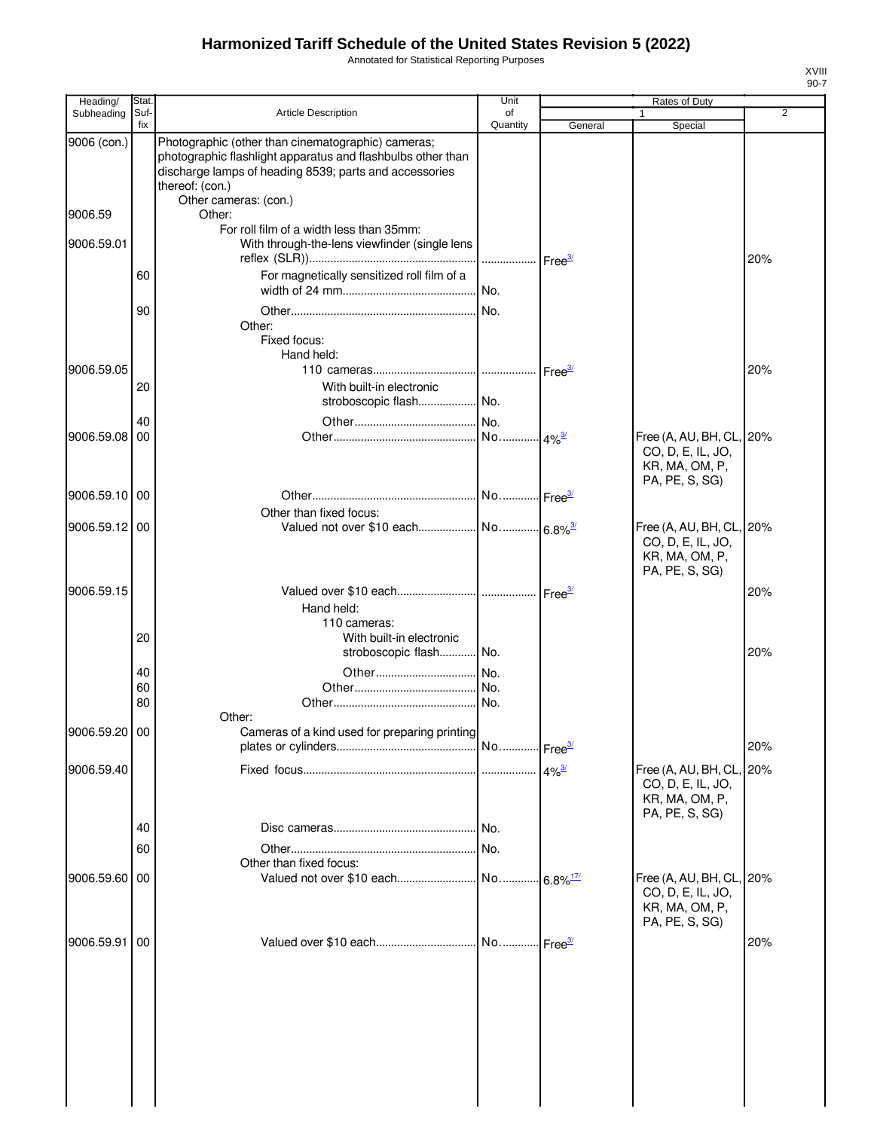Annotated for Statistical Reporting Purposes

| Heading/      | Stat.       |                                                                                                                                                                                                                         | Unit           |         | Rates of Duty                                                                     |     |
|---------------|-------------|-------------------------------------------------------------------------------------------------------------------------------------------------------------------------------------------------------------------------|----------------|---------|-----------------------------------------------------------------------------------|-----|
| Subheading    | Suf-<br>fix | <b>Article Description</b>                                                                                                                                                                                              | of<br>Quantity | General | $\mathbf{1}$<br>Special                                                           | 2   |
| 9006 (con.)   |             | Photographic (other than cinematographic) cameras;<br>photographic flashlight apparatus and flashbulbs other than<br>discharge lamps of heading 8539; parts and accessories<br>thereof: (con.)<br>Other cameras: (con.) |                |         |                                                                                   |     |
| 9006.59       |             | Other:<br>For roll film of a width less than 35mm:                                                                                                                                                                      |                |         |                                                                                   |     |
| 9006.59.01    |             | With through-the-lens viewfinder (single lens                                                                                                                                                                           |                |         |                                                                                   | 20% |
|               | 60          | For magnetically sensitized roll film of a                                                                                                                                                                              |                |         |                                                                                   |     |
|               | 90          | Other:<br>Fixed focus:<br>Hand held:                                                                                                                                                                                    |                |         |                                                                                   |     |
| 9006.59.05    |             |                                                                                                                                                                                                                         |                |         |                                                                                   | 20% |
|               | 20          | With built-in electronic<br>stroboscopic flash No.                                                                                                                                                                      |                |         |                                                                                   |     |
|               | 40          |                                                                                                                                                                                                                         |                |         |                                                                                   |     |
| 9006.59.08    | 00          |                                                                                                                                                                                                                         |                |         | Free (A, AU, BH, CL, 20%<br>CO, D, E, IL, JO,<br>KR, MA, OM, P,<br>PA, PE, S, SG) |     |
| 9006.59.10 00 |             | Other than fixed focus:                                                                                                                                                                                                 |                |         |                                                                                   |     |
| 9006.59.12 00 |             |                                                                                                                                                                                                                         |                |         | Free (A, AU, BH, CL, 20%<br>CO, D, E, IL, JO,<br>KR, MA, OM, P,<br>PA, PE, S, SG) |     |
| 9006.59.15    |             | Hand held:                                                                                                                                                                                                              |                |         |                                                                                   | 20% |
|               | 20          | 110 cameras:<br>With built-in electronic                                                                                                                                                                                |                |         |                                                                                   |     |
|               | 40          | stroboscopic flash No.                                                                                                                                                                                                  |                |         |                                                                                   | 20% |
|               | 60          |                                                                                                                                                                                                                         |                |         |                                                                                   |     |
|               | 80          |                                                                                                                                                                                                                         |                |         |                                                                                   |     |
| 9006.59.20 00 |             | Other:<br>Cameras of a kind used for preparing printing                                                                                                                                                                 |                |         |                                                                                   | 20% |
| 9006.59.40    |             |                                                                                                                                                                                                                         |                |         | Free (A, AU, BH, CL, 20%                                                          |     |
|               |             |                                                                                                                                                                                                                         |                |         | CO, D, E, IL, JO,<br>KR, MA, OM, P,<br>PA, PE, S, SG)                             |     |
|               | 40          |                                                                                                                                                                                                                         | No.            |         |                                                                                   |     |
|               | 60          |                                                                                                                                                                                                                         |                |         |                                                                                   |     |
| 9006.59.60 00 |             | Other than fixed focus:                                                                                                                                                                                                 |                |         | Free (A, AU, BH, CL, 20%                                                          |     |
|               |             |                                                                                                                                                                                                                         |                |         | CO, D, E, IL, JO,<br>KR, MA, OM, P,<br>PA, PE, S, SG)                             |     |
| 9006.59.91    | 00          |                                                                                                                                                                                                                         |                |         |                                                                                   | 20% |
|               |             |                                                                                                                                                                                                                         |                |         |                                                                                   |     |
|               |             |                                                                                                                                                                                                                         |                |         |                                                                                   |     |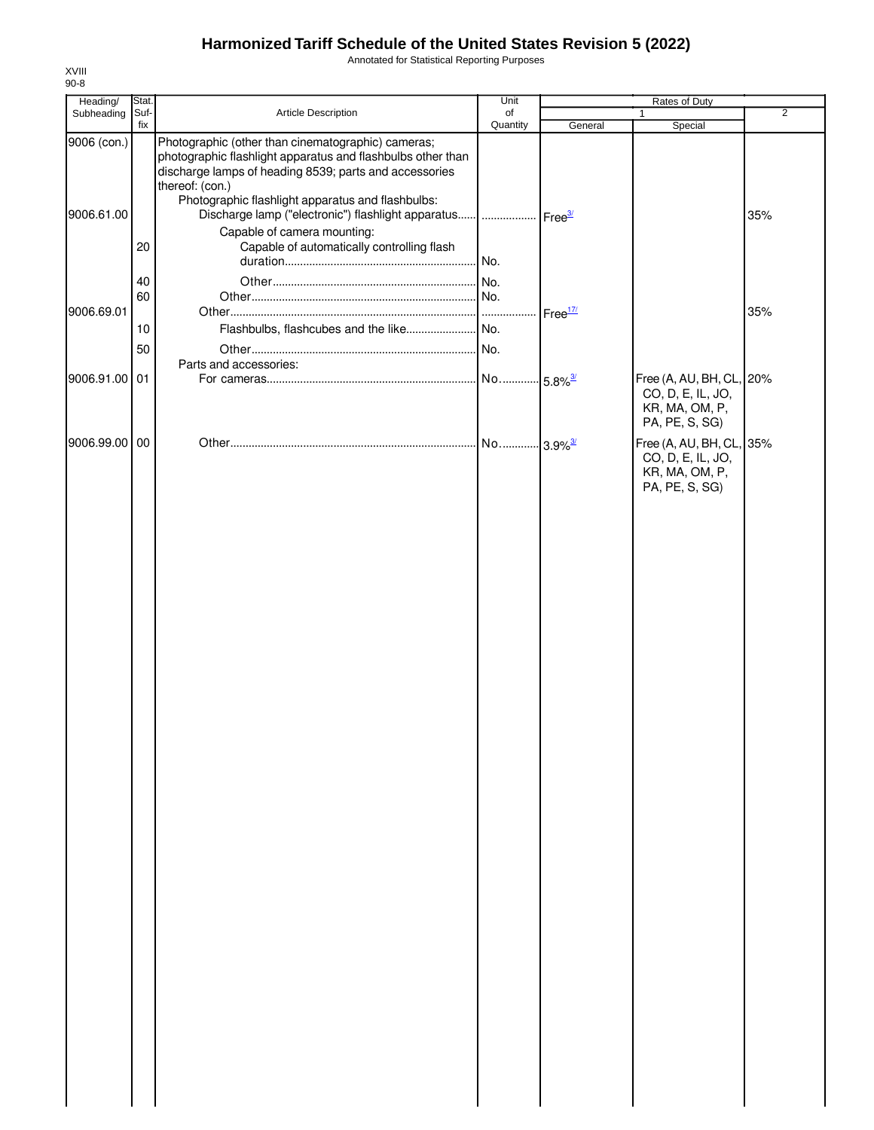Annotated for Statistical Reporting Purposes

| Subheading<br>Suf-<br>Article Description<br>fix                                                                                                                                                                                                                                                                                                 | of                    |                    | 1                                                                                 | $\overline{2}$ |
|--------------------------------------------------------------------------------------------------------------------------------------------------------------------------------------------------------------------------------------------------------------------------------------------------------------------------------------------------|-----------------------|--------------------|-----------------------------------------------------------------------------------|----------------|
|                                                                                                                                                                                                                                                                                                                                                  |                       | General            |                                                                                   |                |
| Photographic (other than cinematographic) cameras;<br>9006 (con.)<br>photographic flashlight apparatus and flashbulbs other than<br>discharge lamps of heading 8539; parts and accessories<br>thereof: (con.)<br>Photographic flashlight apparatus and flashbulbs:<br>Discharge lamp ("electronic") flashlight apparatus    Free3/<br>9006.61.00 | Quantity              |                    | Special                                                                           | 35%            |
| Capable of camera mounting:<br>Capable of automatically controlling flash<br>20                                                                                                                                                                                                                                                                  | . No.                 |                    |                                                                                   |                |
| 40<br>60<br>9006.69.01<br>10                                                                                                                                                                                                                                                                                                                     |                       | Free <sup>17</sup> |                                                                                   | 35%            |
| 50<br>Parts and accessories:                                                                                                                                                                                                                                                                                                                     |                       |                    |                                                                                   |                |
| 9006.91.00 01                                                                                                                                                                                                                                                                                                                                    | No 5.8% <sup>3/</sup> |                    | Free (A, AU, BH, CL, 20%<br>CO, D, E, IL, JO,<br>KR, MA, OM, P,<br>PA, PE, S, SG) |                |
| 9006.99.00<br>00                                                                                                                                                                                                                                                                                                                                 |                       |                    | Free (A, AU, BH, CL, 35%<br>CO, D, E, IL, JO,<br>KR, MA, OM, P,<br>PA, PE, S, SG) |                |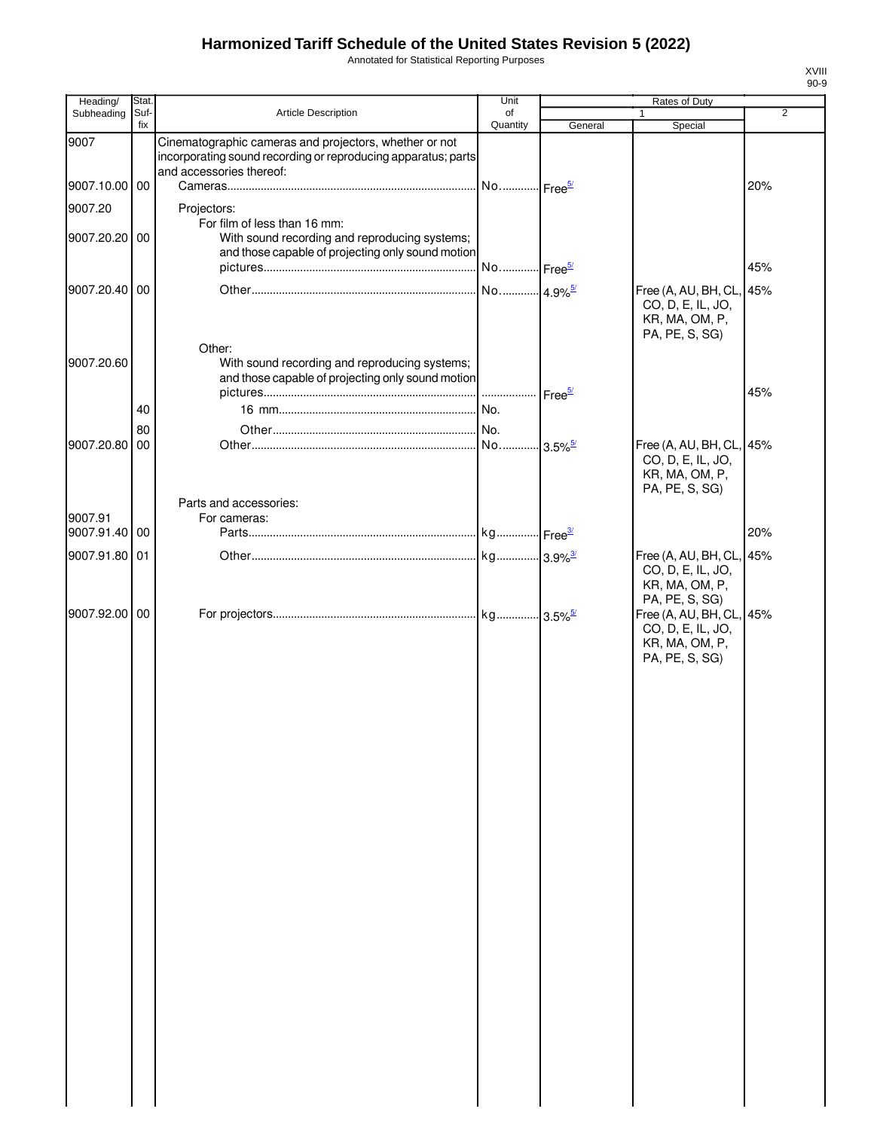Annotated for Statistical Reporting Purposes

| Heading/      | Stat.       |                                                                                                                                                     | Unit                  |                        | Rates of Duty                                                                     |     |
|---------------|-------------|-----------------------------------------------------------------------------------------------------------------------------------------------------|-----------------------|------------------------|-----------------------------------------------------------------------------------|-----|
| Subheading    | Suf-<br>fix | Article Description                                                                                                                                 | of<br>Quantity        | General                | Special                                                                           | 2   |
| 9007          |             | Cinematographic cameras and projectors, whether or not<br>incorporating sound recording or reproducing apparatus; parts<br>and accessories thereof: |                       |                        |                                                                                   |     |
| 9007.10.00 00 |             |                                                                                                                                                     | No Free <sup>5/</sup> |                        |                                                                                   | 20% |
| 9007.20       |             | Projectors:                                                                                                                                         |                       |                        |                                                                                   |     |
| 9007.20.20 00 |             | For film of less than 16 mm:<br>With sound recording and reproducing systems;<br>and those capable of projecting only sound motion                  | No Free <sup>5/</sup> |                        |                                                                                   | 45% |
| 9007.20.40 00 |             |                                                                                                                                                     | No 4.9% <sup>5/</sup> |                        | Free (A, AU, BH, CL, 45%                                                          |     |
|               |             | Other:                                                                                                                                              |                       |                        | CO, D, E, IL, JO,<br>KR, MA, OM, P,<br>PA, PE, S, SG)                             |     |
| 9007.20.60    |             | With sound recording and reproducing systems;<br>and those capable of projecting only sound motion                                                  |                       |                        |                                                                                   |     |
|               |             |                                                                                                                                                     |                       | Free <sup>5/</sup>     |                                                                                   | 45% |
|               | 40          |                                                                                                                                                     |                       |                        |                                                                                   |     |
|               | 80          |                                                                                                                                                     |                       |                        |                                                                                   |     |
| 9007.20.80    | 00          |                                                                                                                                                     | No                    | $-3.5\%$ <sup>5/</sup> | Free (A, AU, BH, CL, 45%                                                          |     |
|               |             | Parts and accessories:                                                                                                                              |                       |                        | CO, D, E, IL, JO,<br>KR, MA, OM, P,<br>PA, PE, S, SG)                             |     |
| 9007.91       |             | For cameras:                                                                                                                                        |                       |                        |                                                                                   |     |
| 9007.91.40 00 |             |                                                                                                                                                     |                       |                        |                                                                                   | 20% |
| 9007.91.80 01 |             |                                                                                                                                                     |                       |                        | Free (A, AU, BH, CL, 45%<br>CO, D, E, IL, JO,<br>KR, MA, OM, P,<br>PA, PE, S, SG) |     |
| 9007.92.00 00 |             |                                                                                                                                                     |                       |                        | Free (A, AU, BH, CL, 45%<br>CO, D, E, IL, JO,<br>KR, MA, OM, P,<br>PA, PE, S, SG) |     |
|               |             |                                                                                                                                                     |                       |                        |                                                                                   |     |
|               |             |                                                                                                                                                     |                       |                        |                                                                                   |     |
|               |             |                                                                                                                                                     |                       |                        |                                                                                   |     |
|               |             |                                                                                                                                                     |                       |                        |                                                                                   |     |
|               |             |                                                                                                                                                     |                       |                        |                                                                                   |     |
|               |             |                                                                                                                                                     |                       |                        |                                                                                   |     |
|               |             |                                                                                                                                                     |                       |                        |                                                                                   |     |
|               |             |                                                                                                                                                     |                       |                        |                                                                                   |     |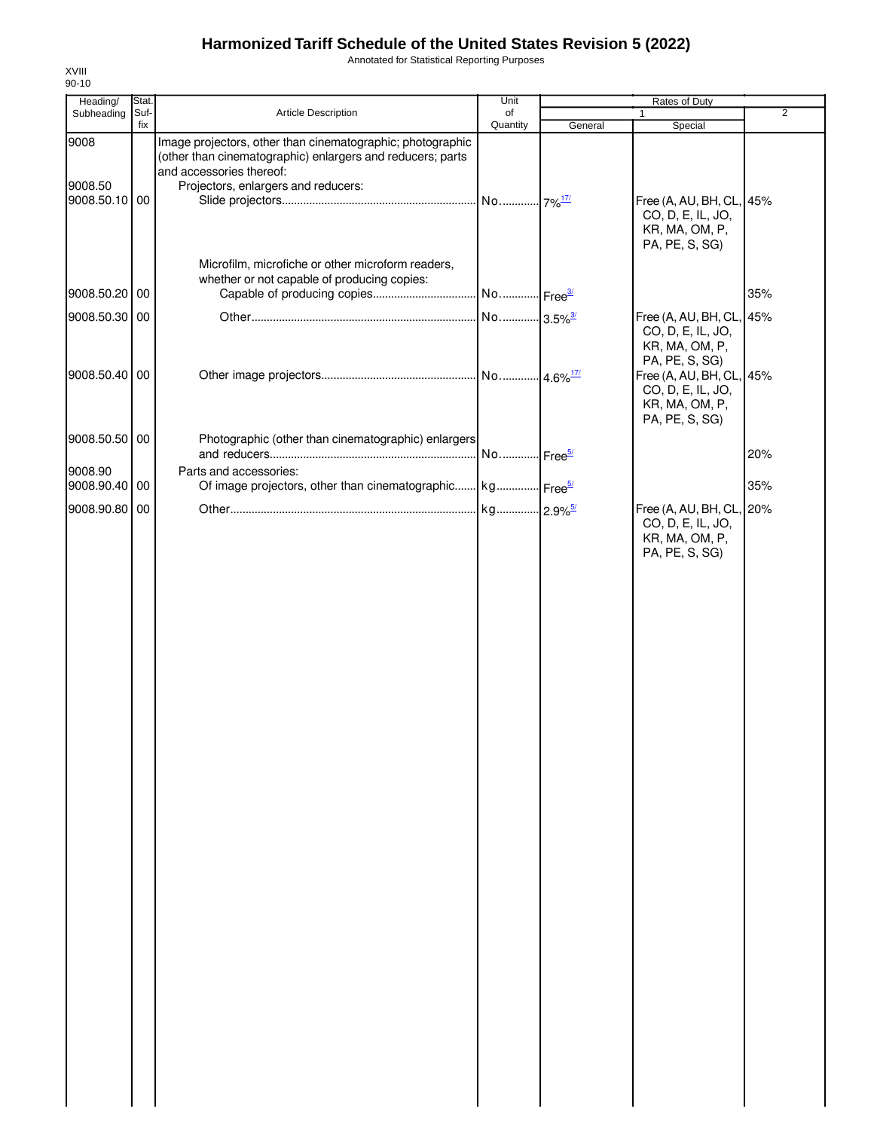Annotated for Statistical Reporting Purposes

| Heading/                 | Stat.       |                                                                                                                                                      | Unit                              | Rates of Duty |                                                                                   |                |  |
|--------------------------|-------------|------------------------------------------------------------------------------------------------------------------------------------------------------|-----------------------------------|---------------|-----------------------------------------------------------------------------------|----------------|--|
| Subheading               | Suf-<br>fix | Article Description                                                                                                                                  | of<br>Quantity                    |               | 1                                                                                 | $\overline{2}$ |  |
| 9008                     |             | Image projectors, other than cinematographic; photographic<br>(other than cinematographic) enlargers and reducers; parts<br>and accessories thereof: |                                   | General       | Special                                                                           |                |  |
| 9008.50<br>9008.50.10 00 |             | Projectors, enlargers and reducers:                                                                                                                  |                                   |               | Free (A, AU, BH, CL, 45%<br>CO, D, E, IL, JO,<br>KR, MA, OM, P,<br>PA, PE, S, SG) |                |  |
| 9008.50.20 00            |             | Microfilm, microfiche or other microform readers,<br>whether or not capable of producing copies:<br>Capable of producing copies                      | No  Free <sup>3/</sup>            |               |                                                                                   | 35%            |  |
|                          |             |                                                                                                                                                      |                                   |               |                                                                                   |                |  |
| 9008.50.30 00            |             |                                                                                                                                                      | No 3.5% <sup>3/</sup>             |               | Free (A, AU, BH, CL, 45%<br>CO, D, E, IL, JO,<br>KR, MA, OM, P,<br>PA, PE, S, SG) |                |  |
| 9008.50.40 00            |             |                                                                                                                                                      |                                   |               | Free (A, AU, BH, CL, 45%<br>CO, D, E, IL, JO,<br>KR, MA, OM, P,<br>PA, PE, S, SG) |                |  |
| 9008.50.50 00<br>9008.90 |             | Photographic (other than cinematographic) enlargers<br>Parts and accessories:                                                                        | No  Free <sup>5/</sup>            |               |                                                                                   | 20%            |  |
| 9008.90.40 00            |             | Of image projectors, other than cinematographic kg Free <sup>5/</sup>                                                                                |                                   |               |                                                                                   | 35%            |  |
| 9008.90.80 00            |             |                                                                                                                                                      | kg <mark>2.9%<sup>5/</sup></mark> |               | Free (A, AU, BH, CL, 20%                                                          |                |  |
|                          |             |                                                                                                                                                      |                                   |               | CO, D, E, IL, JO,<br>KR, MA, OM, P,<br>PA, PE, S, SG)                             |                |  |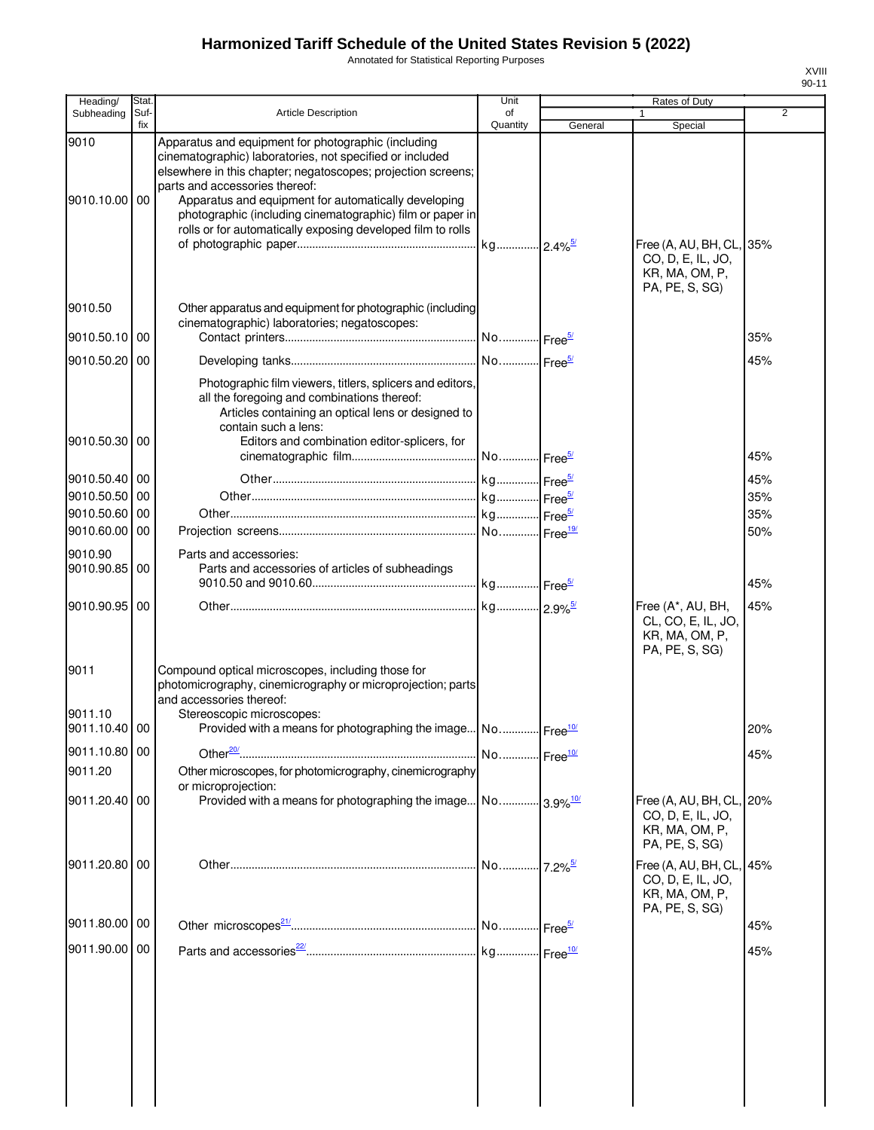Annotated for Statistical Reporting Purposes

| Heading/                 | Stat.       |                                                                                                                                                                                                                                                                                                                                                                                                       | Unit           |         | <b>Rates of Duty</b>                                                              |                |
|--------------------------|-------------|-------------------------------------------------------------------------------------------------------------------------------------------------------------------------------------------------------------------------------------------------------------------------------------------------------------------------------------------------------------------------------------------------------|----------------|---------|-----------------------------------------------------------------------------------|----------------|
| Subheading               | Suf-<br>fix | <b>Article Description</b>                                                                                                                                                                                                                                                                                                                                                                            | of<br>Quantity | General | 1<br>Special                                                                      | $\overline{2}$ |
| 9010<br>9010.10.00       | 00          | Apparatus and equipment for photographic (including<br>cinematographic) laboratories, not specified or included<br>elsewhere in this chapter; negatoscopes; projection screens;<br>parts and accessories thereof:<br>Apparatus and equipment for automatically developing<br>photographic (including cinematographic) film or paper in<br>rolls or for automatically exposing developed film to rolls |                |         | Free (A, AU, BH, CL, 35%<br>CO, D, E, IL, JO,<br>KR, MA, OM, P,                   |                |
| 9010.50                  |             | Other apparatus and equipment for photographic (including                                                                                                                                                                                                                                                                                                                                             |                |         | PA, PE, S, SG)                                                                    |                |
| 9010.50.10               | 00          | cinematographic) laboratories; negatoscopes:                                                                                                                                                                                                                                                                                                                                                          |                |         |                                                                                   | 35%            |
| 9010.50.20               | 00          |                                                                                                                                                                                                                                                                                                                                                                                                       |                |         |                                                                                   | 45%            |
| 9010.50.30               | 00          | Photographic film viewers, titlers, splicers and editors,<br>all the foregoing and combinations thereof:<br>Articles containing an optical lens or designed to<br>contain such a lens:<br>Editors and combination editor-splicers, for                                                                                                                                                                |                |         |                                                                                   | 45%            |
| 9010.50.40 00            |             |                                                                                                                                                                                                                                                                                                                                                                                                       |                |         |                                                                                   | 45%            |
| 9010.50.50               | 00          |                                                                                                                                                                                                                                                                                                                                                                                                       |                |         |                                                                                   | 35%            |
| 9010.50.60               | 00          |                                                                                                                                                                                                                                                                                                                                                                                                       |                |         |                                                                                   | 35%            |
| 9010.60.00               | 00          |                                                                                                                                                                                                                                                                                                                                                                                                       |                |         |                                                                                   | 50%            |
| 9010.90<br>9010.90.85    | 00          | Parts and accessories:<br>Parts and accessories of articles of subheadings                                                                                                                                                                                                                                                                                                                            |                |         |                                                                                   | 45%            |
| 9010.90.95               | 00          |                                                                                                                                                                                                                                                                                                                                                                                                       |                |         | Free (A*, AU, BH,                                                                 | 45%            |
| 9011                     |             | Compound optical microscopes, including those for<br>photomicrography, cinemicrography or microprojection; parts<br>and accessories thereof:                                                                                                                                                                                                                                                          |                |         | CL, CO, E, IL, JO,<br>KR, MA, OM, P,<br>PA, PE, S, SG)                            |                |
| 9011.10<br>9011.10.40 00 |             | Stereoscopic microscopes:<br>Provided with a means for photographing the image No Free <sup>10/</sup>                                                                                                                                                                                                                                                                                                 |                |         |                                                                                   | 20%            |
| 9011.10.80 00            |             |                                                                                                                                                                                                                                                                                                                                                                                                       |                |         |                                                                                   | 45%            |
| 9011.20                  |             | Other microscopes, for photomicrography, cinemicrography<br>or microprojection:                                                                                                                                                                                                                                                                                                                       |                |         |                                                                                   |                |
| 9011.20.40 00            |             | Provided with a means for photographing the image No 3.9% <sup>10/</sup>                                                                                                                                                                                                                                                                                                                              |                |         | Free (A, AU, BH, CL, 20%<br>CO, D, E, IL, JO,<br>KR, MA, OM, P,<br>PA, PE, S, SG) |                |
| 9011.20.80               | 00          |                                                                                                                                                                                                                                                                                                                                                                                                       |                |         | Free (A, AU, BH, CL, 45%<br>CO, D, E, IL, JO,<br>KR, MA, OM, P,<br>PA, PE, S, SG) |                |
| 9011.80.00 00            |             |                                                                                                                                                                                                                                                                                                                                                                                                       |                |         |                                                                                   | 45%            |
| 9011.90.00 00            |             |                                                                                                                                                                                                                                                                                                                                                                                                       |                |         |                                                                                   | 45%            |
|                          |             |                                                                                                                                                                                                                                                                                                                                                                                                       |                |         |                                                                                   |                |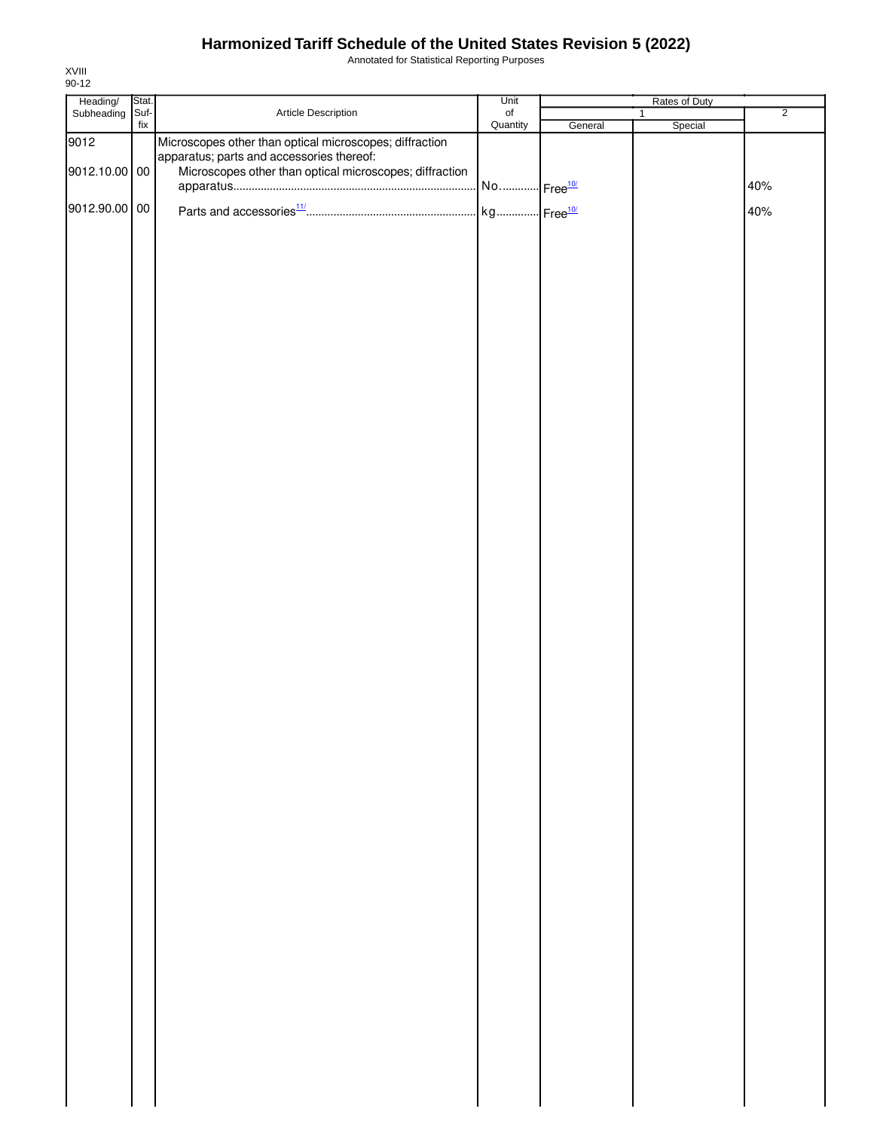Annotated for Statistical Reporting Purposes

| Heading/<br>Subheading | Stat.       |                                                         | Unit           |         | Rates of Duty |                |
|------------------------|-------------|---------------------------------------------------------|----------------|---------|---------------|----------------|
|                        | Suf-<br>fix | Article Description                                     | of<br>Quantity | General | 1<br>Special  | $\overline{2}$ |
| 9012                   |             | Microscopes other than optical microscopes; diffraction |                |         |               |                |
|                        |             | apparatus; parts and accessories thereof:               |                |         |               |                |
| 9012.10.00 00          |             | Microscopes other than optical microscopes; diffraction |                |         |               |                |
|                        |             |                                                         |                |         |               | 40%            |
|                        |             |                                                         |                |         |               |                |
| 9012.90.00 00          |             |                                                         |                |         |               | 40%            |
|                        |             |                                                         |                |         |               |                |
|                        |             |                                                         |                |         |               |                |
|                        |             |                                                         |                |         |               |                |
|                        |             |                                                         |                |         |               |                |
|                        |             |                                                         |                |         |               |                |
|                        |             |                                                         |                |         |               |                |
|                        |             |                                                         |                |         |               |                |
|                        |             |                                                         |                |         |               |                |
|                        |             |                                                         |                |         |               |                |
|                        |             |                                                         |                |         |               |                |
|                        |             |                                                         |                |         |               |                |
|                        |             |                                                         |                |         |               |                |
|                        |             |                                                         |                |         |               |                |
|                        |             |                                                         |                |         |               |                |
|                        |             |                                                         |                |         |               |                |
|                        |             |                                                         |                |         |               |                |
|                        |             |                                                         |                |         |               |                |
|                        |             |                                                         |                |         |               |                |
|                        |             |                                                         |                |         |               |                |
|                        |             |                                                         |                |         |               |                |
|                        |             |                                                         |                |         |               |                |
|                        |             |                                                         |                |         |               |                |
|                        |             |                                                         |                |         |               |                |
|                        |             |                                                         |                |         |               |                |
|                        |             |                                                         |                |         |               |                |
|                        |             |                                                         |                |         |               |                |
|                        |             |                                                         |                |         |               |                |
|                        |             |                                                         |                |         |               |                |
|                        |             |                                                         |                |         |               |                |
|                        |             |                                                         |                |         |               |                |
|                        |             |                                                         |                |         |               |                |
|                        |             |                                                         |                |         |               |                |
|                        |             |                                                         |                |         |               |                |
|                        |             |                                                         |                |         |               |                |
|                        |             |                                                         |                |         |               |                |
|                        |             |                                                         |                |         |               |                |
|                        |             |                                                         |                |         |               |                |
|                        |             |                                                         |                |         |               |                |
|                        |             |                                                         |                |         |               |                |
|                        |             |                                                         |                |         |               |                |
|                        |             |                                                         |                |         |               |                |
|                        |             |                                                         |                |         |               |                |
|                        |             |                                                         |                |         |               |                |
|                        |             |                                                         |                |         |               |                |
|                        |             |                                                         |                |         |               |                |
|                        |             |                                                         |                |         |               |                |
|                        |             |                                                         |                |         |               |                |
|                        |             |                                                         |                |         |               |                |
|                        |             |                                                         |                |         |               |                |
|                        |             |                                                         |                |         |               |                |
|                        |             |                                                         |                |         |               |                |
|                        |             |                                                         |                |         |               |                |
|                        |             |                                                         |                |         |               |                |
|                        |             |                                                         |                |         |               |                |
|                        |             |                                                         |                |         |               |                |
|                        |             |                                                         |                |         |               |                |
|                        |             |                                                         |                |         |               |                |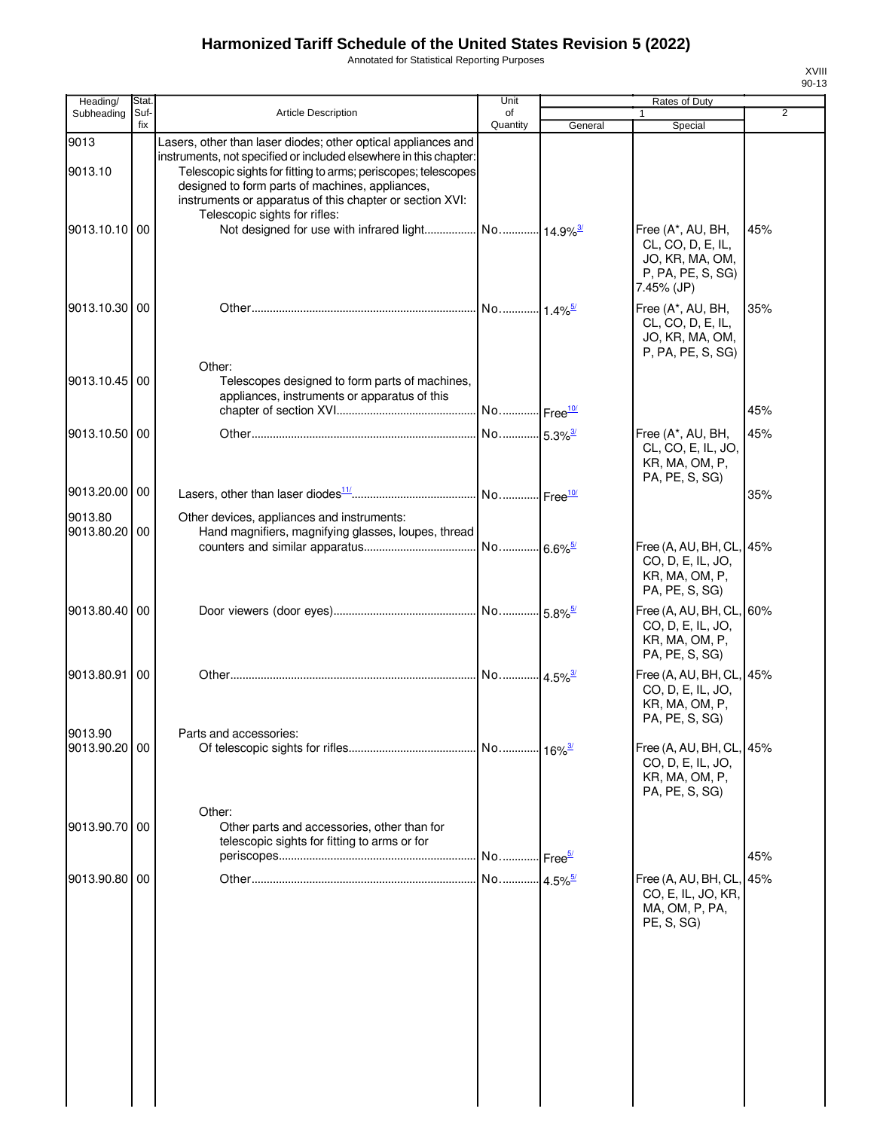Annotated for Statistical Reporting Purposes

| Heading/                 | Stat.       |                                                                                                                                                                                                                                                                                                                    | Unit                  |         |                                                                                              |                |
|--------------------------|-------------|--------------------------------------------------------------------------------------------------------------------------------------------------------------------------------------------------------------------------------------------------------------------------------------------------------------------|-----------------------|---------|----------------------------------------------------------------------------------------------|----------------|
| Subheading               | Suf-<br>fix | Article Description                                                                                                                                                                                                                                                                                                | of<br>Quantity        | General | $\mathbf{1}$<br>Special                                                                      | $\overline{2}$ |
| 9013<br>9013.10          |             | Lasers, other than laser diodes; other optical appliances and<br>instruments, not specified or included elsewhere in this chapter:<br>Telescopic sights for fitting to arms; periscopes; telescopes<br>designed to form parts of machines, appliances,<br>instruments or apparatus of this chapter or section XVI: |                       |         |                                                                                              |                |
| 9013.10.10 00            |             | Telescopic sights for rifles:                                                                                                                                                                                                                                                                                      |                       |         | Free (A*, AU, BH,<br>CL, CO, D, E, IL,<br>JO, KR, MA, OM,<br>P, PA, PE, S, SG)<br>7.45% (JP) | 45%            |
| 9013.10.30 00            |             |                                                                                                                                                                                                                                                                                                                    |                       |         | Free (A*, AU, BH,<br>CL, CO, D, E, IL,<br>JO, KR, MA, OM,<br>P, PA, PE, S, SG)               | 35%            |
| 9013.10.45 00            |             | Other:<br>Telescopes designed to form parts of machines,<br>appliances, instruments or apparatus of this                                                                                                                                                                                                           |                       |         |                                                                                              | 45%            |
| 9013.10.50 00            |             |                                                                                                                                                                                                                                                                                                                    |                       |         | Free (A*, AU, BH,<br>CL, CO, E, IL, JO,<br>KR, MA, OM, P,<br>PA, PE, S, SG)                  | 45%            |
| 9013.20.00 00            |             |                                                                                                                                                                                                                                                                                                                    |                       |         |                                                                                              | 35%            |
| 9013.80<br>9013.80.20 00 |             | Other devices, appliances and instruments:<br>Hand magnifiers, magnifying glasses, loupes, thread                                                                                                                                                                                                                  | No 6.6% <sup>5/</sup> |         | Free (A, AU, BH, CL, 45%                                                                     |                |
|                          |             |                                                                                                                                                                                                                                                                                                                    |                       |         | CO, D, E, IL, JO,<br>KR, MA, OM, P,<br>PA, PE, S, SG)                                        |                |
| 9013.80.40 00            |             |                                                                                                                                                                                                                                                                                                                    |                       |         | Free (A, AU, BH, CL, 60%<br>CO, D, E, IL, JO,<br>KR, MA, OM, P,<br>PA, PE, S, SG)            |                |
| 9013.80.91               | 00          |                                                                                                                                                                                                                                                                                                                    |                       |         | Free (A, AU, BH, CL, 45%<br>CO, D, E, IL, JO,<br>KR, MA, OM, P,<br>PA, PE, S, SG)            |                |
| 9013.90<br>9013.90.20 00 |             | Parts and accessories:                                                                                                                                                                                                                                                                                             |                       |         | Free (A, AU, BH, CL, 45%<br>CO, D, E, IL, JO,<br>KR, MA, OM, P,<br>PA, PE, S, SG)            |                |
| 9013.90.70 00            |             | Other:<br>Other parts and accessories, other than for<br>telescopic sights for fitting to arms or for                                                                                                                                                                                                              |                       |         |                                                                                              | 45%            |
| 9013.90.80 00            |             |                                                                                                                                                                                                                                                                                                                    | No 4.5% <sup>5/</sup> |         | Free (A, AU, BH, CL,<br>CO, E, IL, JO, KR,<br>MA, OM, P, PA,<br>PE, S, SG)                   | 45%            |
|                          |             |                                                                                                                                                                                                                                                                                                                    |                       |         |                                                                                              |                |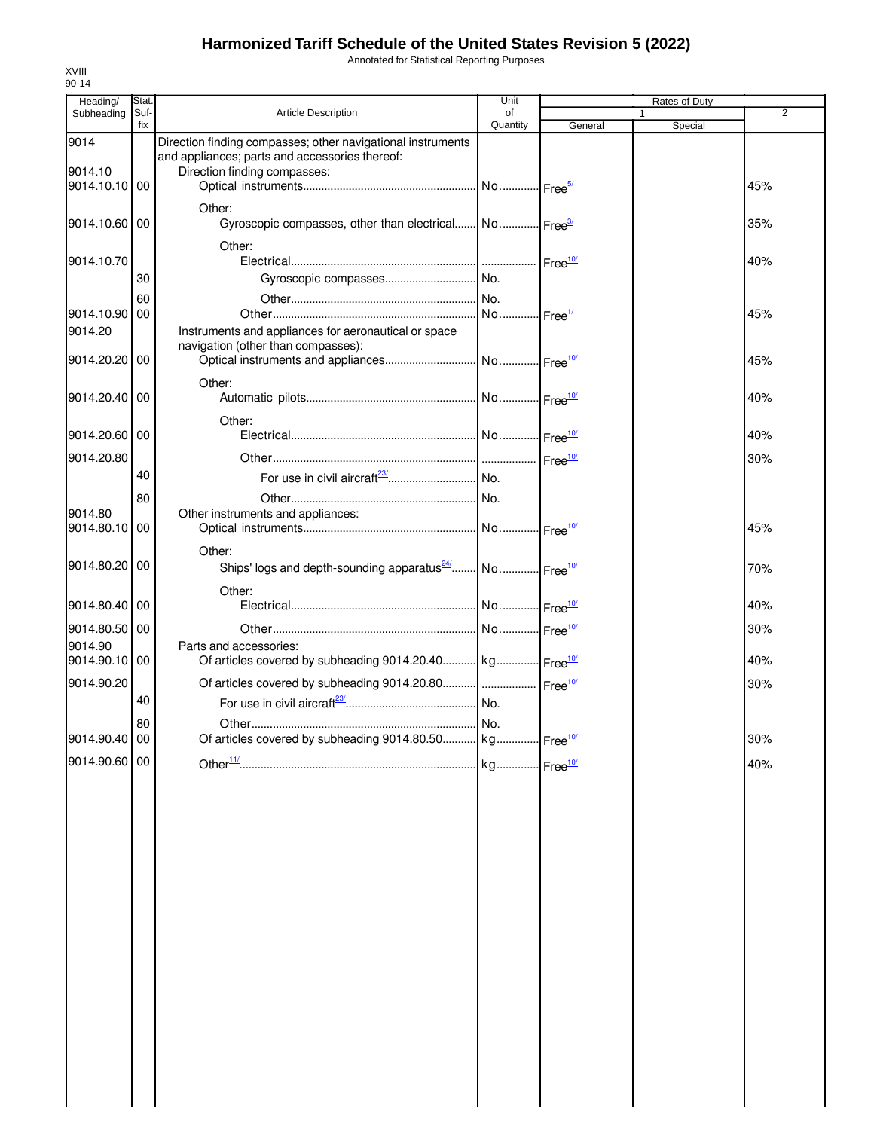Annotated for Statistical Reporting Purposes

| Heading/                 | Stat.       |                                                                                                               | Unit           |         |   | Rates of Duty |                |
|--------------------------|-------------|---------------------------------------------------------------------------------------------------------------|----------------|---------|---|---------------|----------------|
| Subheading               | Suf-<br>fix | Article Description                                                                                           | of<br>Quantity | General | 1 | Special       | $\overline{2}$ |
| 9014                     |             | Direction finding compasses; other navigational instruments<br>and appliances; parts and accessories thereof: |                |         |   |               |                |
| 9014.10                  |             | Direction finding compasses:                                                                                  |                |         |   |               |                |
| 9014.10.10 00            |             |                                                                                                               |                |         |   |               | 45%            |
|                          |             | Other:                                                                                                        |                |         |   |               |                |
| 9014.10.60 00            |             | Gyroscopic compasses, other than electrical No Free3                                                          |                |         |   |               | 35%            |
|                          |             | Other:                                                                                                        |                |         |   |               |                |
| 9014.10.70               |             |                                                                                                               |                |         |   |               | 40%            |
|                          | 30          |                                                                                                               |                |         |   |               |                |
| 9014.10.90 00            | 60          |                                                                                                               |                |         |   |               | 45%            |
| 9014.20                  |             | Instruments and appliances for aeronautical or space                                                          |                |         |   |               |                |
|                          |             | navigation (other than compasses):                                                                            |                |         |   |               |                |
| 9014.20.20 00            |             |                                                                                                               |                |         |   |               | 45%            |
|                          |             | Other:                                                                                                        |                |         |   |               |                |
| 9014.20.40 00            |             |                                                                                                               |                |         |   |               | 40%            |
|                          |             | Other:                                                                                                        |                |         |   |               |                |
| 9014.20.60 00            |             |                                                                                                               |                |         |   |               | 40%            |
| 9014.20.80               |             |                                                                                                               |                |         |   |               | 30%            |
|                          | 40          |                                                                                                               |                |         |   |               |                |
|                          | 80          |                                                                                                               |                |         |   |               |                |
| 9014.80<br>9014.80.10 00 |             | Other instruments and appliances:                                                                             |                |         |   |               | 45%            |
|                          |             |                                                                                                               |                |         |   |               |                |
| 9014.80.20 00            |             | Other:<br>Ships' logs and depth-sounding apparatus <sup>24</sup> No Free <sup>10/</sup>                       |                |         |   |               | 70%            |
|                          |             |                                                                                                               |                |         |   |               |                |
| 9014.80.40 00            |             | Other:                                                                                                        |                |         |   |               | 40%            |
|                          |             |                                                                                                               |                |         |   |               |                |
| 9014.80.50 00<br>9014.90 |             | Parts and accessories:                                                                                        |                |         |   |               | 30%            |
| 9014.90.10 00            |             | Of articles covered by subheading 9014.20.40 kg                                                               |                |         |   |               | 40%            |
| 9014.90.20               |             | Of articles covered by subheading 9014.20.80    Free <sup>10/</sup>                                           |                |         |   |               | 30%            |
|                          | 40          |                                                                                                               |                |         |   |               |                |
|                          | 80          |                                                                                                               |                |         |   |               |                |
| 9014.90.40 00            |             | Of articles covered by subheading 9014.80.50 kg Free <sup>10/</sup>                                           |                |         |   |               | 30%            |
| 9014.90.60 00            |             |                                                                                                               |                |         |   |               | 40%            |
|                          |             |                                                                                                               |                |         |   |               |                |
|                          |             |                                                                                                               |                |         |   |               |                |
|                          |             |                                                                                                               |                |         |   |               |                |
|                          |             |                                                                                                               |                |         |   |               |                |
|                          |             |                                                                                                               |                |         |   |               |                |
|                          |             |                                                                                                               |                |         |   |               |                |
|                          |             |                                                                                                               |                |         |   |               |                |
|                          |             |                                                                                                               |                |         |   |               |                |
|                          |             |                                                                                                               |                |         |   |               |                |
|                          |             |                                                                                                               |                |         |   |               |                |
|                          |             |                                                                                                               |                |         |   |               |                |
|                          |             |                                                                                                               |                |         |   |               |                |
|                          |             |                                                                                                               |                |         |   |               |                |
|                          |             |                                                                                                               |                |         |   |               |                |
|                          |             |                                                                                                               |                |         |   |               |                |
|                          |             |                                                                                                               |                |         |   |               |                |
|                          |             |                                                                                                               |                |         |   |               |                |
|                          |             |                                                                                                               |                |         |   |               |                |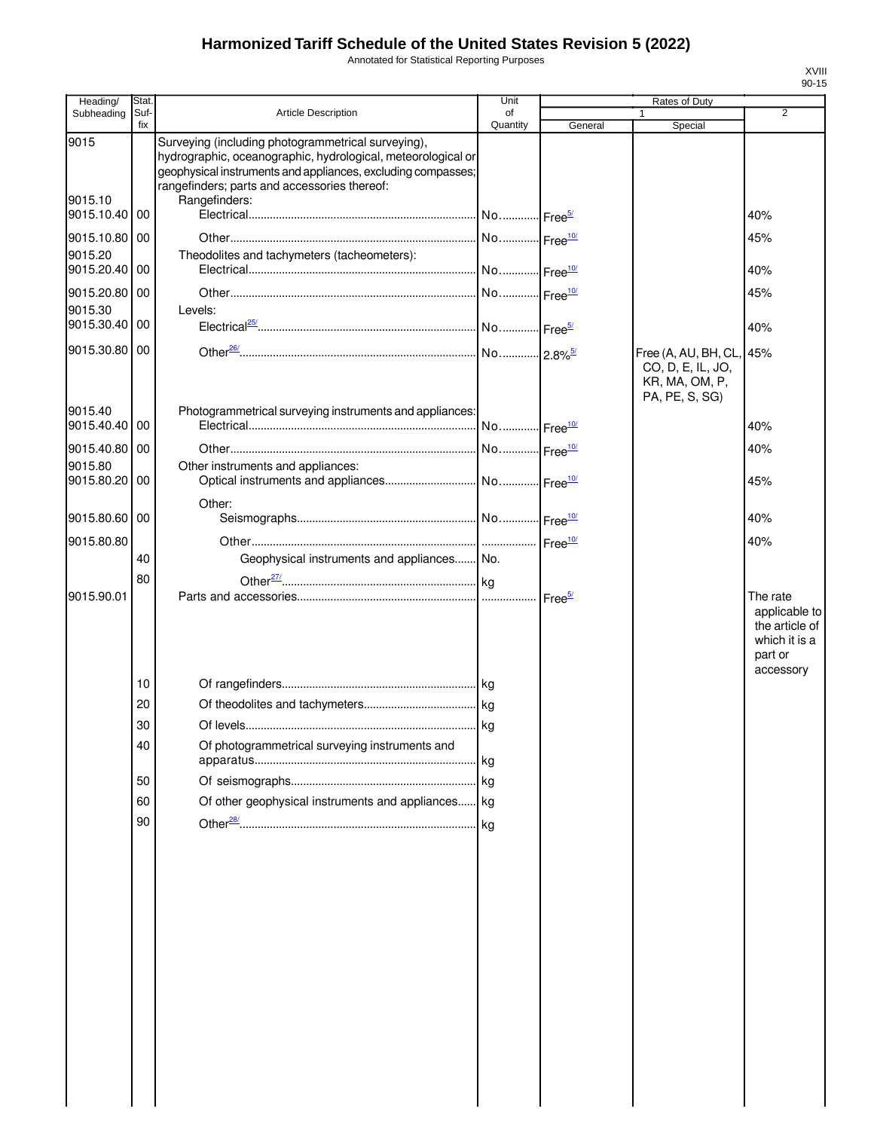Annotated for Statistical Reporting Purposes

| Heading/              | Stat. |                                                                                                                                                                                                                                    | Unit                   |                    | Rates of Duty                                                                     |                                                                                      |
|-----------------------|-------|------------------------------------------------------------------------------------------------------------------------------------------------------------------------------------------------------------------------------------|------------------------|--------------------|-----------------------------------------------------------------------------------|--------------------------------------------------------------------------------------|
| Subheading            | Suf-  | Article Description                                                                                                                                                                                                                | of                     |                    | 1                                                                                 | $\overline{2}$                                                                       |
| 9015                  | fix   | Surveying (including photogrammetrical surveying),<br>hydrographic, oceanographic, hydrological, meteorological or<br>geophysical instruments and appliances, excluding compasses;<br>rangefinders; parts and accessories thereof: | Quantity               | General            | Special                                                                           |                                                                                      |
| 9015.10<br>9015.10.40 | 00    | Rangefinders:                                                                                                                                                                                                                      |                        |                    |                                                                                   | 40%                                                                                  |
| 9015.10.80            | 00    |                                                                                                                                                                                                                                    | No Free <sup>10/</sup> |                    |                                                                                   | 45%                                                                                  |
| 9015.20               |       | Theodolites and tachymeters (tacheometers):                                                                                                                                                                                        |                        |                    |                                                                                   |                                                                                      |
| 9015.20.40            | 00    |                                                                                                                                                                                                                                    |                        |                    |                                                                                   | 40%                                                                                  |
| 9015.20.80            | 00    |                                                                                                                                                                                                                                    | No Free <sup>10/</sup> |                    |                                                                                   | 45%                                                                                  |
| 9015.30<br>9015.30.40 | 00    | Levels:                                                                                                                                                                                                                            |                        |                    |                                                                                   |                                                                                      |
|                       |       |                                                                                                                                                                                                                                    |                        |                    |                                                                                   | 40%                                                                                  |
| 9015.30.80            | 00    |                                                                                                                                                                                                                                    |                        |                    | Free (A, AU, BH, CL, 45%<br>CO, D, E, IL, JO,<br>KR, MA, OM, P,<br>PA, PE, S, SG) |                                                                                      |
| 9015.40<br>9015.40.40 | 00    | Photogrammetrical surveying instruments and appliances:                                                                                                                                                                            | No Free <sup>10/</sup> |                    |                                                                                   | 40%                                                                                  |
| 9015.40.80            | 00    |                                                                                                                                                                                                                                    | No Free <sup>10/</sup> |                    |                                                                                   | 40%                                                                                  |
| 9015.80<br>9015.80.20 | 00    | Other instruments and appliances:                                                                                                                                                                                                  |                        |                    |                                                                                   | 45%                                                                                  |
|                       |       |                                                                                                                                                                                                                                    |                        |                    |                                                                                   |                                                                                      |
| 9015.80.60            | 00    | Other:                                                                                                                                                                                                                             |                        |                    |                                                                                   | 40%                                                                                  |
| 9015.80.80            |       |                                                                                                                                                                                                                                    |                        | Free <sup>10</sup> |                                                                                   | 40%                                                                                  |
|                       | 40    | Geophysical instruments and appliances No.                                                                                                                                                                                         |                        |                    |                                                                                   |                                                                                      |
|                       | 80    |                                                                                                                                                                                                                                    |                        |                    |                                                                                   |                                                                                      |
| 9015.90.01            |       |                                                                                                                                                                                                                                    | .                      | Free <sup>5/</sup> |                                                                                   | The rate<br>applicable to<br>the article of<br>which it is a<br>part or<br>accessory |
|                       | 10    |                                                                                                                                                                                                                                    |                        |                    |                                                                                   |                                                                                      |
|                       | 20    |                                                                                                                                                                                                                                    |                        |                    |                                                                                   |                                                                                      |
|                       | 30    |                                                                                                                                                                                                                                    |                        |                    |                                                                                   |                                                                                      |
|                       | 40    | Of photogrammetrical surveying instruments and                                                                                                                                                                                     | kg                     |                    |                                                                                   |                                                                                      |
|                       | 50    |                                                                                                                                                                                                                                    |                        |                    |                                                                                   |                                                                                      |
|                       | 60    | Of other geophysical instruments and appliances kg                                                                                                                                                                                 |                        |                    |                                                                                   |                                                                                      |
|                       | 90    |                                                                                                                                                                                                                                    |                        |                    |                                                                                   |                                                                                      |
|                       |       |                                                                                                                                                                                                                                    |                        |                    |                                                                                   |                                                                                      |
|                       |       |                                                                                                                                                                                                                                    |                        |                    |                                                                                   |                                                                                      |
|                       |       |                                                                                                                                                                                                                                    |                        |                    |                                                                                   |                                                                                      |

 $\begin{array}{c} \hline \end{array}$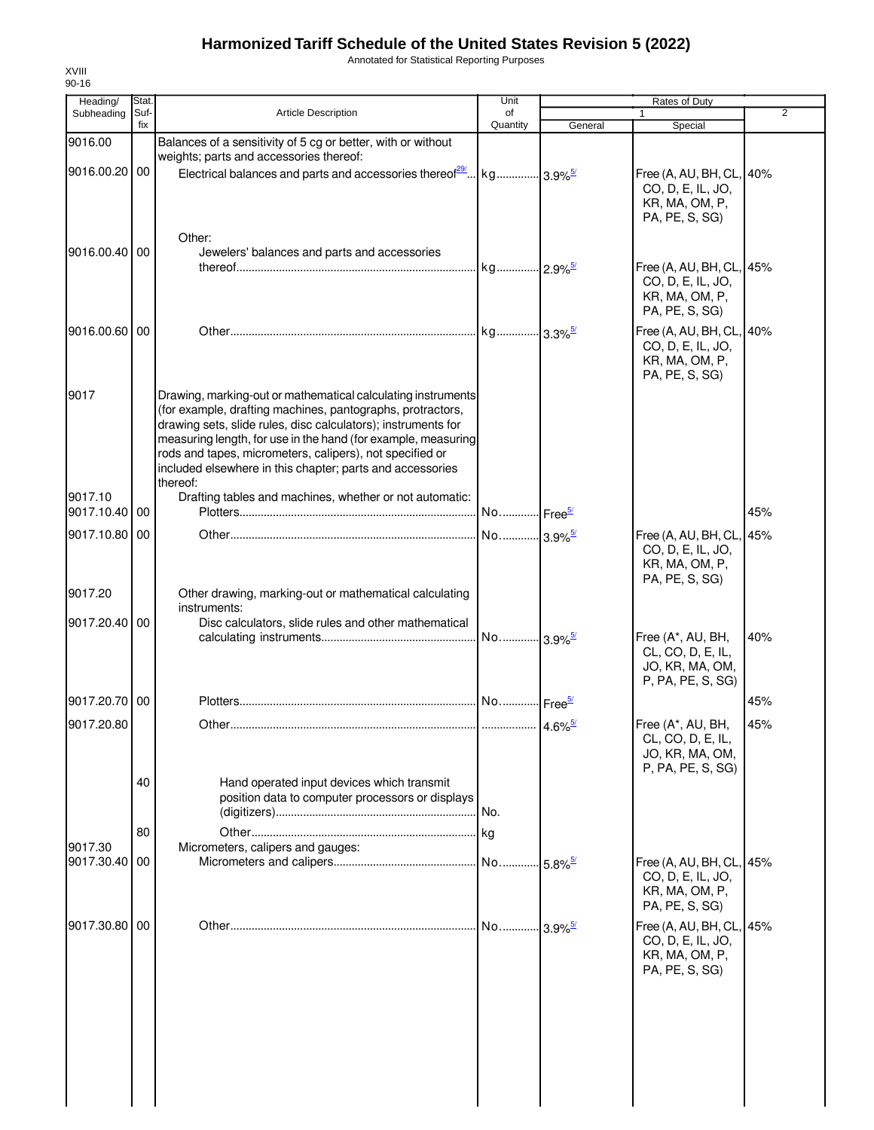Annotated for Statistical Reporting Purposes

| Heading/                 | Stat. |                                                                                                                                                                                                                                                                                                                                                                                                   | Unit                  |                        | Rates of Duty                                                                     |                |
|--------------------------|-------|---------------------------------------------------------------------------------------------------------------------------------------------------------------------------------------------------------------------------------------------------------------------------------------------------------------------------------------------------------------------------------------------------|-----------------------|------------------------|-----------------------------------------------------------------------------------|----------------|
| Subheading               | Suf-  | Article Description                                                                                                                                                                                                                                                                                                                                                                               | of                    |                        |                                                                                   | $\overline{2}$ |
|                          | fix   |                                                                                                                                                                                                                                                                                                                                                                                                   | Quantity              | General                | Special                                                                           |                |
| 9016.00                  |       | Balances of a sensitivity of 5 cg or better, with or without<br>weights; parts and accessories thereof:                                                                                                                                                                                                                                                                                           |                       |                        |                                                                                   |                |
| 9016.00.20 00            |       | Electrical balances and parts and accessories thereof <sup>29</sup>   kg  3.9% <sup>5/</sup>                                                                                                                                                                                                                                                                                                      |                       |                        | Free (A, AU, BH, CL, 40%<br>CO, D, E, IL, JO,<br>KR, MA, OM, P,<br>PA, PE, S, SG) |                |
| 9016.00.40 00            |       | Other:                                                                                                                                                                                                                                                                                                                                                                                            |                       |                        |                                                                                   |                |
|                          |       | Jewelers' balances and parts and accessories                                                                                                                                                                                                                                                                                                                                                      |                       |                        | Free (A, AU, BH, CL, 45%<br>CO, D, E, IL, JO,<br>KR, MA, OM, P,<br>PA, PE, S, SG) |                |
| 9016.00.60 00            |       |                                                                                                                                                                                                                                                                                                                                                                                                   |                       |                        | Free (A, AU, BH, CL, 40%<br>CO, D, E, IL, JO,<br>KR, MA, OM, P,<br>PA, PE, S, SG) |                |
| 9017                     |       | Drawing, marking-out or mathematical calculating instruments<br>(for example, drafting machines, pantographs, protractors,<br>drawing sets, slide rules, disc calculators); instruments for<br>measuring length, for use in the hand (for example, measuring<br>rods and tapes, micrometers, calipers), not specified or<br>included elsewhere in this chapter; parts and accessories<br>thereof: |                       |                        |                                                                                   |                |
| 9017.10<br>9017.10.40 00 |       | Drafting tables and machines, whether or not automatic:                                                                                                                                                                                                                                                                                                                                           | No Free <sup>5/</sup> |                        |                                                                                   | 45%            |
| 9017.10.80 00            |       |                                                                                                                                                                                                                                                                                                                                                                                                   | No 3.9% <sup>5/</sup> |                        | Free (A, AU, BH, CL, 45%                                                          |                |
| 9017.20                  |       | Other drawing, marking-out or mathematical calculating                                                                                                                                                                                                                                                                                                                                            |                       |                        | CO, D, E, IL, JO,<br>KR, MA, OM, P,<br>PA, PE, S, SG)                             |                |
|                          |       | instruments:                                                                                                                                                                                                                                                                                                                                                                                      |                       |                        |                                                                                   |                |
| 9017.20.40 00            |       | Disc calculators, slide rules and other mathematical                                                                                                                                                                                                                                                                                                                                              | No 3.9% <sup>5/</sup> |                        | Free (A*, AU, BH,<br>CL, CO, D, E, IL,<br>JO, KR, MA, OM,<br>P, PA, PE, S, SG)    | 40%            |
| 9017.20.70 00            |       |                                                                                                                                                                                                                                                                                                                                                                                                   | No Free <sup>5/</sup> |                        |                                                                                   | 45%            |
| 9017.20.80               |       |                                                                                                                                                                                                                                                                                                                                                                                                   |                       |                        | Free (A*, AU, BH,                                                                 | 45%            |
|                          | 40    |                                                                                                                                                                                                                                                                                                                                                                                                   |                       |                        | CL, CO, D, E, IL,<br>JO, KR, MA, OM,<br>P, PA, PE, S, SG)                         |                |
|                          |       | Hand operated input devices which transmit<br>position data to computer processors or displays                                                                                                                                                                                                                                                                                                    |                       |                        |                                                                                   |                |
|                          | 80    |                                                                                                                                                                                                                                                                                                                                                                                                   |                       |                        |                                                                                   |                |
| 9017.30                  |       | Micrometers, calipers and gauges:                                                                                                                                                                                                                                                                                                                                                                 | . No                  |                        | Free (A, AU, BH, CL, 45%                                                          |                |
| 9017.30.40 00            |       |                                                                                                                                                                                                                                                                                                                                                                                                   |                       | $-5.8\%$ <sup>5/</sup> | CO, D, E, IL, JO,<br>KR, MA, OM, P,<br>PA, PE, S, SG)                             |                |
| 9017.30.80 00            |       |                                                                                                                                                                                                                                                                                                                                                                                                   | No 3.9% <sup>5/</sup> |                        | Free (A, AU, BH, CL, 45%<br>CO, D, E, IL, JO,<br>KR, MA, OM, P,<br>PA, PE, S, SG) |                |
|                          |       |                                                                                                                                                                                                                                                                                                                                                                                                   |                       |                        |                                                                                   |                |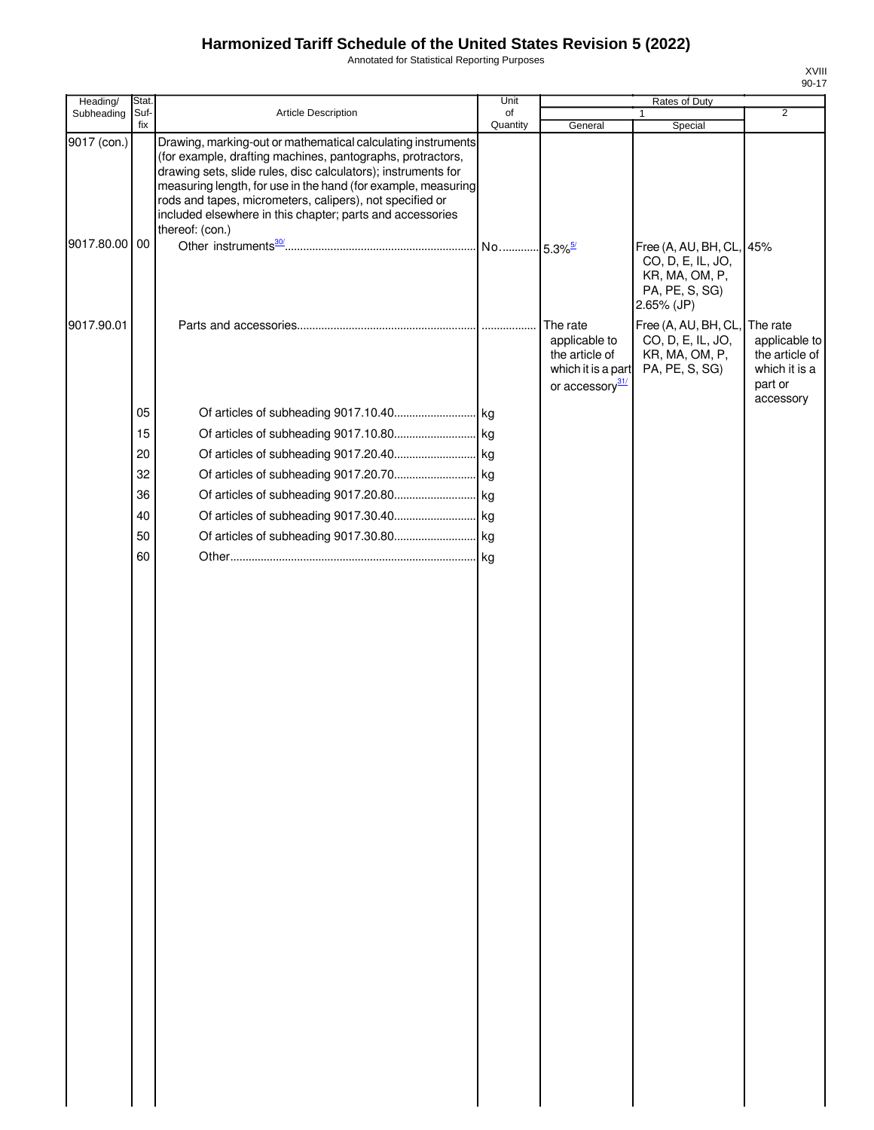Annotated for Statistical Reporting Purposes

| Heading/      | Stat.       |                                                                                                                                                                                                                                                                                                                                                                                                          | Unit           |                                                                                                  | Rates of Duty                                                                                   | $\overline{2}$                                                                       |
|---------------|-------------|----------------------------------------------------------------------------------------------------------------------------------------------------------------------------------------------------------------------------------------------------------------------------------------------------------------------------------------------------------------------------------------------------------|----------------|--------------------------------------------------------------------------------------------------|-------------------------------------------------------------------------------------------------|--------------------------------------------------------------------------------------|
| Subheading    | Suf-<br>fix | Article Description                                                                                                                                                                                                                                                                                                                                                                                      | of<br>Quantity | General                                                                                          | 1<br>Special                                                                                    |                                                                                      |
| 9017 (con.)   |             | Drawing, marking-out or mathematical calculating instruments<br>(for example, drafting machines, pantographs, protractors,<br>drawing sets, slide rules, disc calculators); instruments for<br>measuring length, for use in the hand (for example, measuring<br>rods and tapes, micrometers, calipers), not specified or<br>included elsewhere in this chapter; parts and accessories<br>thereof: (con.) |                |                                                                                                  |                                                                                                 |                                                                                      |
| 9017.80.00 00 |             |                                                                                                                                                                                                                                                                                                                                                                                                          |                |                                                                                                  | Free (A, AU, BH, CL, 45%<br>CO, D, E, IL, JO,<br>KR, MA, OM, P,<br>PA, PE, S, SG)<br>2.65% (JP) |                                                                                      |
| 9017.90.01    |             |                                                                                                                                                                                                                                                                                                                                                                                                          |                | The rate<br>applicable to<br>the article of<br>which it is a part<br>or accessory <sup>31/</sup> | Free (A, AU, BH, CL,<br>CO, D, E, IL, JO,<br>KR, MA, OM, P,<br>PA, PE, S, SG)                   | The rate<br>applicable to<br>the article of<br>which it is a<br>part or<br>accessory |
|               | 05          |                                                                                                                                                                                                                                                                                                                                                                                                          |                |                                                                                                  |                                                                                                 |                                                                                      |
|               | 15          |                                                                                                                                                                                                                                                                                                                                                                                                          |                |                                                                                                  |                                                                                                 |                                                                                      |
|               | 20          |                                                                                                                                                                                                                                                                                                                                                                                                          |                |                                                                                                  |                                                                                                 |                                                                                      |
|               | 32          |                                                                                                                                                                                                                                                                                                                                                                                                          |                |                                                                                                  |                                                                                                 |                                                                                      |
|               | 36          |                                                                                                                                                                                                                                                                                                                                                                                                          |                |                                                                                                  |                                                                                                 |                                                                                      |
|               | 40          |                                                                                                                                                                                                                                                                                                                                                                                                          |                |                                                                                                  |                                                                                                 |                                                                                      |
|               | 50          |                                                                                                                                                                                                                                                                                                                                                                                                          |                |                                                                                                  |                                                                                                 |                                                                                      |
|               | 60          |                                                                                                                                                                                                                                                                                                                                                                                                          |                |                                                                                                  |                                                                                                 |                                                                                      |
|               |             |                                                                                                                                                                                                                                                                                                                                                                                                          |                |                                                                                                  |                                                                                                 |                                                                                      |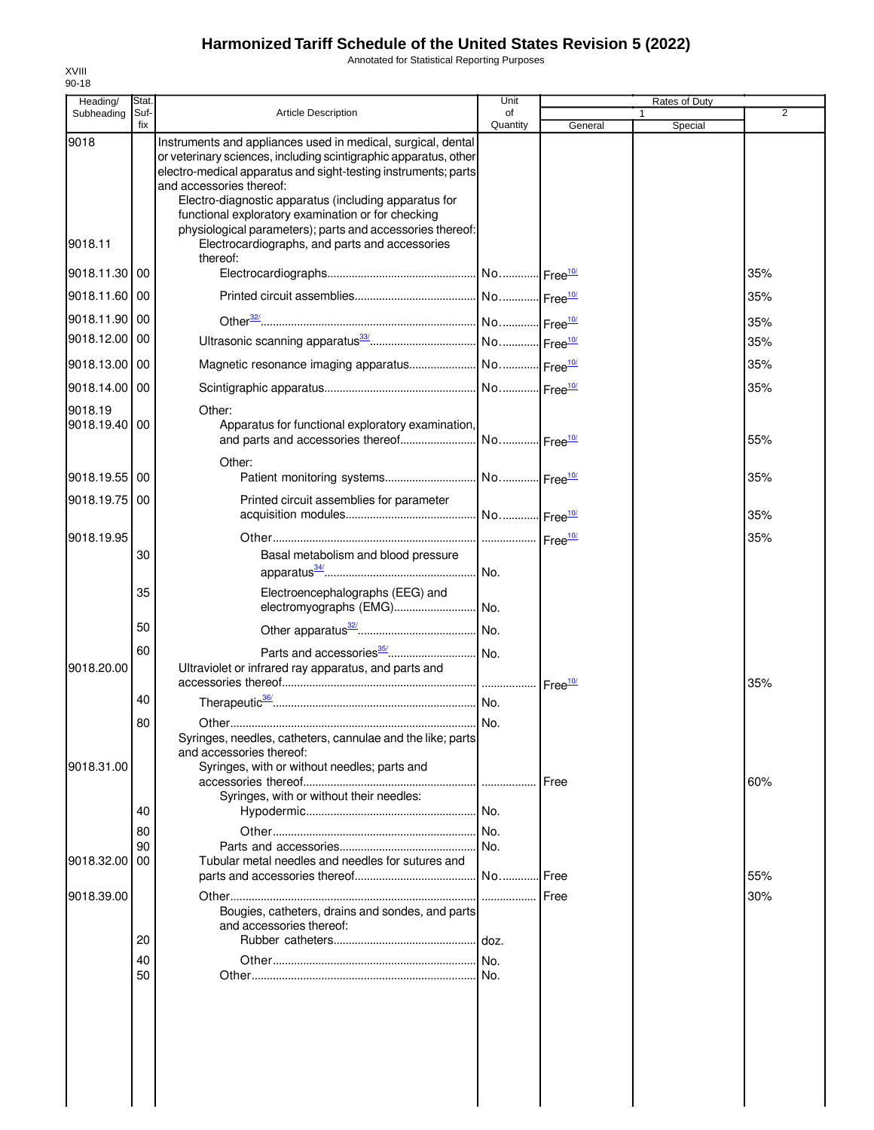Annotated for Statistical Reporting Purposes

| Heading/                 | Stat.       |                                                                                                                                                                                                                                                                                                                                                                                                            | Unit           |                    | Rates of Duty |     |
|--------------------------|-------------|------------------------------------------------------------------------------------------------------------------------------------------------------------------------------------------------------------------------------------------------------------------------------------------------------------------------------------------------------------------------------------------------------------|----------------|--------------------|---------------|-----|
| Subheading               | Suf-<br>fix | <b>Article Description</b>                                                                                                                                                                                                                                                                                                                                                                                 | οf<br>Quantity | General            | 1<br>Special  | 2   |
| 9018                     |             | Instruments and appliances used in medical, surgical, dental<br>or veterinary sciences, including scintigraphic apparatus, other<br>electro-medical apparatus and sight-testing instruments; parts<br>and accessories thereof:<br>Electro-diagnostic apparatus (including apparatus for<br>functional exploratory examination or for checking<br>physiological parameters); parts and accessories thereof: |                |                    |               |     |
| 9018.11                  |             | Electrocardiographs, and parts and accessories<br>thereof:                                                                                                                                                                                                                                                                                                                                                 |                |                    |               |     |
| 9018.11.30 00            |             |                                                                                                                                                                                                                                                                                                                                                                                                            |                |                    |               | 35% |
| 9018.11.60 00            |             |                                                                                                                                                                                                                                                                                                                                                                                                            |                |                    |               | 35% |
| 9018.11.90 00            |             |                                                                                                                                                                                                                                                                                                                                                                                                            |                |                    |               | 35% |
| 9018.12.00 00            |             |                                                                                                                                                                                                                                                                                                                                                                                                            |                |                    |               | 35% |
| 9018.13.00 00            |             |                                                                                                                                                                                                                                                                                                                                                                                                            |                |                    |               | 35% |
| 9018.14.00 00            |             |                                                                                                                                                                                                                                                                                                                                                                                                            |                |                    |               | 35% |
| 9018.19<br>9018.19.40 00 |             | Other:<br>Apparatus for functional exploratory examination,                                                                                                                                                                                                                                                                                                                                                |                |                    |               | 55% |
|                          |             | Other:                                                                                                                                                                                                                                                                                                                                                                                                     |                |                    |               |     |
| 9018.19.55 00            |             |                                                                                                                                                                                                                                                                                                                                                                                                            |                |                    |               | 35% |
| 9018.19.75 00            |             | Printed circuit assemblies for parameter                                                                                                                                                                                                                                                                                                                                                                   |                |                    |               | 35% |
| 9018.19.95               | 30          | Basal metabolism and blood pressure                                                                                                                                                                                                                                                                                                                                                                        |                |                    |               | 35% |
|                          | 35          | Electroencephalographs (EEG) and                                                                                                                                                                                                                                                                                                                                                                           | No.            |                    |               |     |
|                          | 50          | electromyographs (EMG) No.                                                                                                                                                                                                                                                                                                                                                                                 |                |                    |               |     |
|                          | 60          |                                                                                                                                                                                                                                                                                                                                                                                                            |                |                    |               |     |
| 9018.20.00               |             | Ultraviolet or infrared ray apparatus, and parts and                                                                                                                                                                                                                                                                                                                                                       |                | Free <sup>10</sup> |               | 35% |
|                          | 40          |                                                                                                                                                                                                                                                                                                                                                                                                            |                |                    |               |     |
| 9018.31.00               | 80          | Syringes, needles, catheters, cannulae and the like; parts<br>and accessories thereof:<br>Syringes, with or without needles; parts and                                                                                                                                                                                                                                                                     |                | Free               |               | 60% |
|                          | 40          | Syringes, with or without their needles:                                                                                                                                                                                                                                                                                                                                                                   | .I No.         |                    |               |     |
|                          | 80          |                                                                                                                                                                                                                                                                                                                                                                                                            |                |                    |               |     |
| 9018.32.00               | 90<br>00    | Tubular metal needles and needles for sutures and                                                                                                                                                                                                                                                                                                                                                          | No.            |                    |               |     |
|                          |             |                                                                                                                                                                                                                                                                                                                                                                                                            |                | Free               |               | 55% |
| 9018.39.00               |             |                                                                                                                                                                                                                                                                                                                                                                                                            |                | Free               |               | 30% |
|                          |             | Bougies, catheters, drains and sondes, and parts<br>and accessories thereof:                                                                                                                                                                                                                                                                                                                               |                |                    |               |     |
|                          | 20<br>40    |                                                                                                                                                                                                                                                                                                                                                                                                            |                |                    |               |     |
|                          | 50          |                                                                                                                                                                                                                                                                                                                                                                                                            |                |                    |               |     |
|                          |             |                                                                                                                                                                                                                                                                                                                                                                                                            |                |                    |               |     |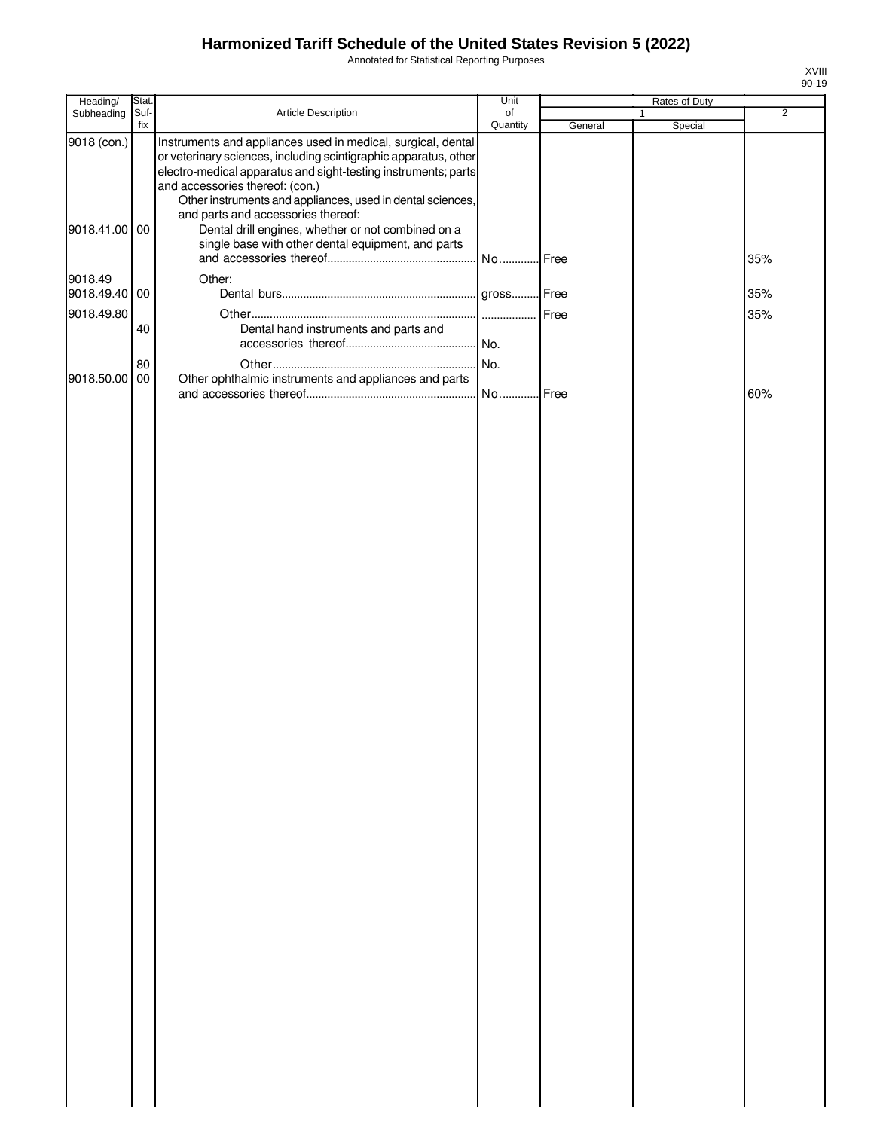Annotated for Statistical Reporting Purposes

| Heading/                 | Stat.       |                                                                                                                                                                                                                                                                                                                                           | Unit           |         | Rates of Duty           |                |
|--------------------------|-------------|-------------------------------------------------------------------------------------------------------------------------------------------------------------------------------------------------------------------------------------------------------------------------------------------------------------------------------------------|----------------|---------|-------------------------|----------------|
| Subheading               | Suf-<br>fix | Article Description                                                                                                                                                                                                                                                                                                                       | of<br>Quantity | General | $\mathbf{1}$<br>Special | $\overline{2}$ |
| 9018 (con.)              |             | Instruments and appliances used in medical, surgical, dental<br>or veterinary sciences, including scintigraphic apparatus, other<br>electro-medical apparatus and sight-testing instruments; parts<br>and accessories thereof: (con.)<br>Other instruments and appliances, used in dental sciences,<br>and parts and accessories thereof: |                |         |                         |                |
| 9018.41.00 00            |             | Dental drill engines, whether or not combined on a<br>single base with other dental equipment, and parts                                                                                                                                                                                                                                  | No Free        |         |                         | 35%            |
| 9018.49<br>9018.49.40 00 |             | Other:                                                                                                                                                                                                                                                                                                                                    | gross Free     |         |                         | 35%            |
| 9018.49.80               |             |                                                                                                                                                                                                                                                                                                                                           | .              | Free    |                         | 35%            |
|                          | 40          | Dental hand instruments and parts and                                                                                                                                                                                                                                                                                                     |                |         |                         |                |
| 9018.50.00 00            | 80          | Other ophthalmic instruments and appliances and parts                                                                                                                                                                                                                                                                                     | No.            |         |                         |                |
|                          |             |                                                                                                                                                                                                                                                                                                                                           | No             | Free    |                         | 60%            |
|                          |             |                                                                                                                                                                                                                                                                                                                                           |                |         |                         |                |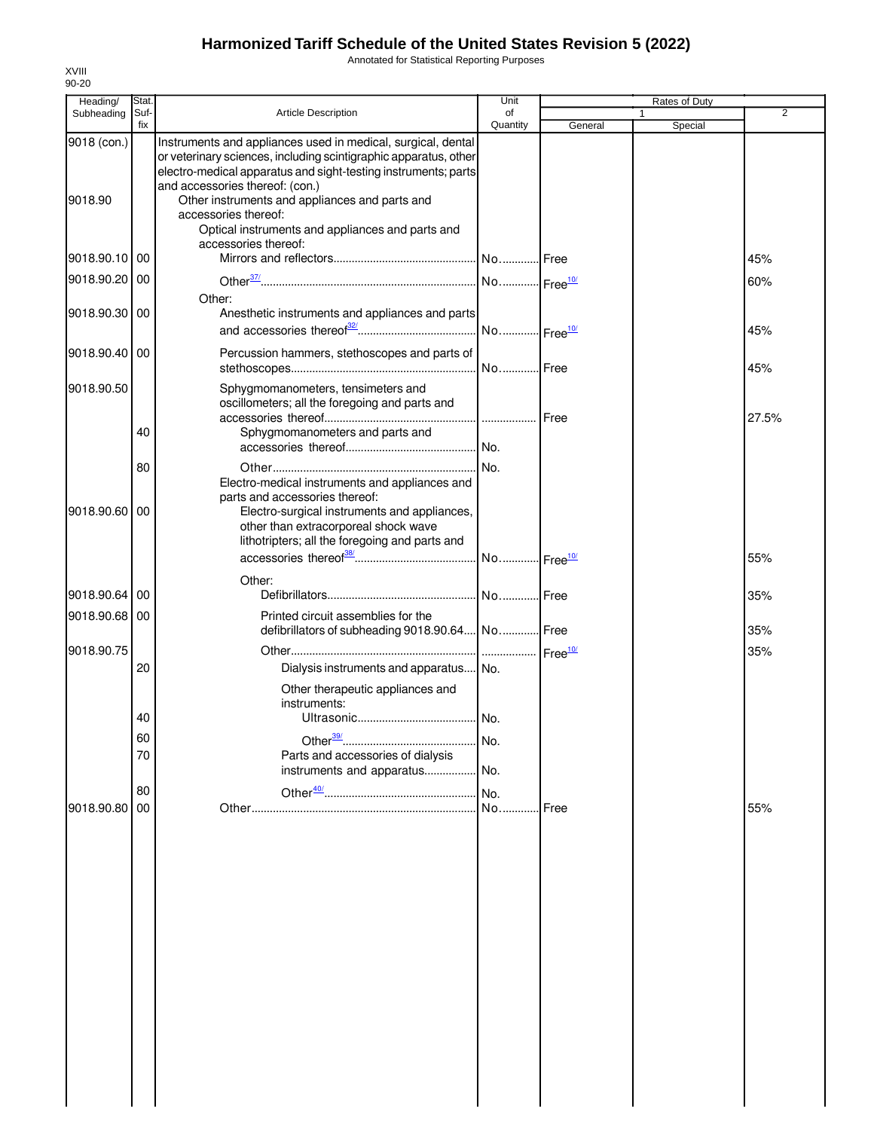Annotated for Statistical Reporting Purposes

| Heading/                    | Stat.       |                                                                                                                                                                                                                                       | Unit           |         | Rates of Duty |                |
|-----------------------------|-------------|---------------------------------------------------------------------------------------------------------------------------------------------------------------------------------------------------------------------------------------|----------------|---------|---------------|----------------|
| Subheading                  | Suf-<br>fix | <b>Article Description</b>                                                                                                                                                                                                            | of<br>Quantity | General | 1<br>Special  | $\overline{2}$ |
| 9018 (con.)                 |             | Instruments and appliances used in medical, surgical, dental<br>or veterinary sciences, including scintigraphic apparatus, other<br>electro-medical apparatus and sight-testing instruments; parts<br>and accessories thereof: (con.) |                |         |               |                |
| 9018.90                     |             | Other instruments and appliances and parts and<br>accessories thereof:<br>Optical instruments and appliances and parts and<br>accessories thereof:                                                                                    |                |         |               |                |
| 9018.90.10 00               |             |                                                                                                                                                                                                                                       |                |         |               | 45%            |
| 9018.90.20 00               |             |                                                                                                                                                                                                                                       |                |         |               | 60%            |
| 9018.90.30 00               |             | Other:<br>Anesthetic instruments and appliances and parts                                                                                                                                                                             |                |         |               | 45%            |
| 9018.90.40 00               |             | Percussion hammers, stethoscopes and parts of                                                                                                                                                                                         |                |         |               | 45%            |
| 9018.90.50                  |             | Sphygmomanometers, tensimeters and<br>oscillometers; all the foregoing and parts and                                                                                                                                                  |                |         |               |                |
|                             | 40          | Sphygmomanometers and parts and                                                                                                                                                                                                       |                |         |               | 27.5%          |
|                             | 80          | Electro-medical instruments and appliances and<br>parts and accessories thereof:                                                                                                                                                      |                |         |               |                |
| 9018.90.60 00               |             | Electro-surgical instruments and appliances,<br>other than extracorporeal shock wave<br>lithotripters; all the foregoing and parts and                                                                                                |                |         |               | 55%            |
|                             |             | Other:                                                                                                                                                                                                                                |                |         |               |                |
| 9018.90.64                  | 00          |                                                                                                                                                                                                                                       |                |         |               | 35%            |
| 9018.90.68 00<br>9018.90.75 |             | Printed circuit assemblies for the<br>defibrillators of subheading 9018.90.64 No Free                                                                                                                                                 |                |         |               | 35%<br>35%     |
|                             | 20          | Dialysis instruments and apparatus No.                                                                                                                                                                                                |                |         |               |                |
|                             |             | Other therapeutic appliances and<br>instruments:                                                                                                                                                                                      |                |         |               |                |
|                             | 40          |                                                                                                                                                                                                                                       |                |         |               |                |
|                             | 60<br>70    | Parts and accessories of dialysis                                                                                                                                                                                                     |                |         |               |                |
|                             |             | instruments and apparatus No.                                                                                                                                                                                                         |                |         |               |                |
| 9018.90.80                  | 80<br>00    |                                                                                                                                                                                                                                       |                | Free    |               | 55%            |
|                             |             |                                                                                                                                                                                                                                       |                |         |               |                |
|                             |             |                                                                                                                                                                                                                                       |                |         |               |                |
|                             |             |                                                                                                                                                                                                                                       |                |         |               |                |
|                             |             |                                                                                                                                                                                                                                       |                |         |               |                |
|                             |             |                                                                                                                                                                                                                                       |                |         |               |                |
|                             |             |                                                                                                                                                                                                                                       |                |         |               |                |
|                             |             |                                                                                                                                                                                                                                       |                |         |               |                |
|                             |             |                                                                                                                                                                                                                                       |                |         |               |                |
|                             |             |                                                                                                                                                                                                                                       |                |         |               |                |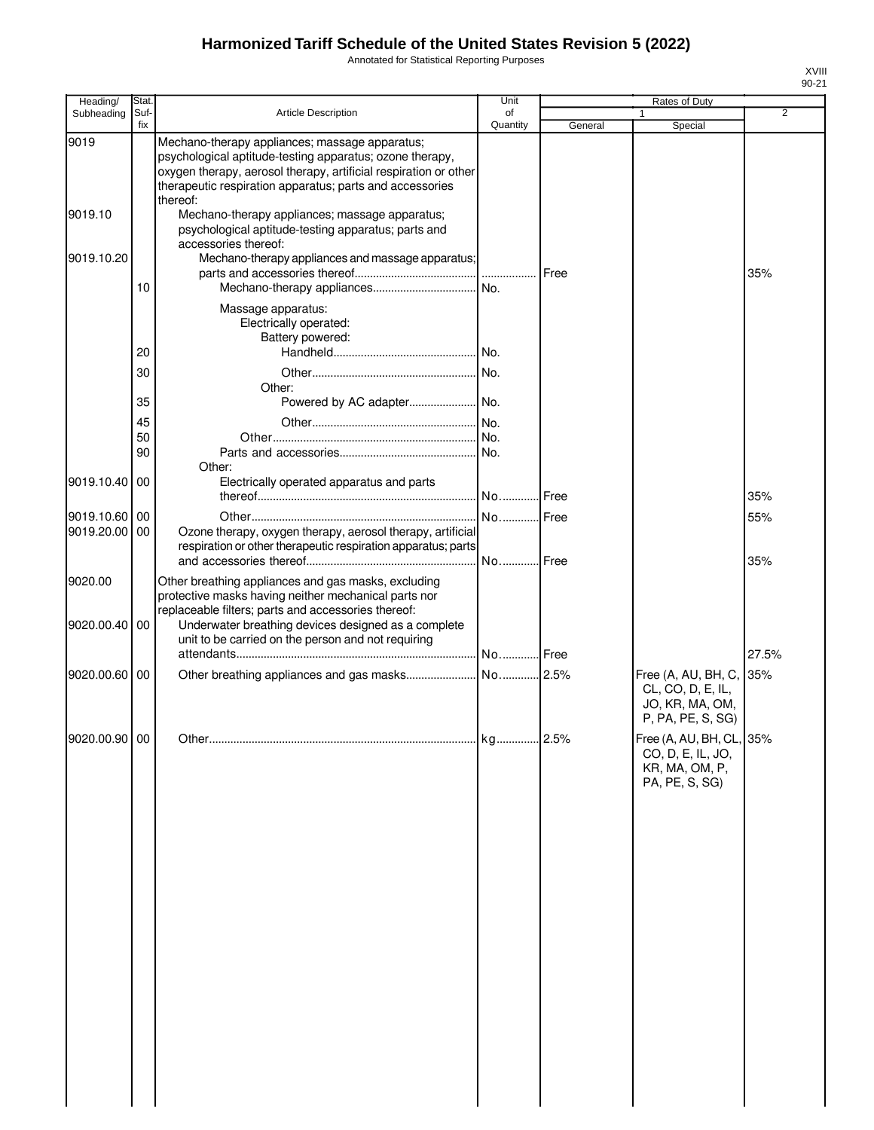Annotated for Statistical Reporting Purposes

| Heading/                    | Stat.       |                                                                                                                                                                                                                                                        | Unit                 |         | Rates of Duty                                                                     |       |
|-----------------------------|-------------|--------------------------------------------------------------------------------------------------------------------------------------------------------------------------------------------------------------------------------------------------------|----------------------|---------|-----------------------------------------------------------------------------------|-------|
| Subheading                  | Suf-<br>fix | <b>Article Description</b>                                                                                                                                                                                                                             | of<br>Quantity       | General | 1<br>Special                                                                      | 2     |
| 9019                        |             | Mechano-therapy appliances; massage apparatus;<br>psychological aptitude-testing apparatus; ozone therapy,<br>oxygen therapy, aerosol therapy, artificial respiration or other<br>therapeutic respiration apparatus; parts and accessories<br>thereof: |                      |         |                                                                                   |       |
| 9019.10                     |             | Mechano-therapy appliances; massage apparatus;<br>psychological aptitude-testing apparatus; parts and<br>accessories thereof:                                                                                                                          |                      |         |                                                                                   |       |
| 9019.10.20                  |             | Mechano-therapy appliances and massage apparatus;                                                                                                                                                                                                      |                      |         |                                                                                   | 35%   |
|                             | 10          | Massage apparatus:<br>Electrically operated:<br>Battery powered:                                                                                                                                                                                       |                      |         |                                                                                   |       |
|                             | 20          |                                                                                                                                                                                                                                                        |                      |         |                                                                                   |       |
|                             | 30          | Other:                                                                                                                                                                                                                                                 |                      |         |                                                                                   |       |
|                             | 35<br>45    |                                                                                                                                                                                                                                                        |                      |         |                                                                                   |       |
|                             | 50          |                                                                                                                                                                                                                                                        |                      |         |                                                                                   |       |
|                             | 90          | Other:                                                                                                                                                                                                                                                 |                      |         |                                                                                   |       |
| 9019.10.40                  | 00          | Electrically operated apparatus and parts                                                                                                                                                                                                              |                      |         |                                                                                   | 35%   |
| 9019.10.60 00<br>9019.20.00 | 00          | Ozone therapy, oxygen therapy, aerosol therapy, artificial<br>respiration or other therapeutic respiration apparatus; parts                                                                                                                            |                      |         |                                                                                   | 55%   |
| 9020.00                     |             | Other breathing appliances and gas masks, excluding<br>protective masks having neither mechanical parts nor<br>replaceable filters; parts and accessories thereof:                                                                                     |                      |         |                                                                                   | 35%   |
| 9020.00.40                  | 00          | Underwater breathing devices designed as a complete<br>unit to be carried on the person and not requiring                                                                                                                                              |                      |         |                                                                                   | 27.5% |
| 9020.00.60                  | 00          |                                                                                                                                                                                                                                                        |                      |         | Free (A, AU, BH, C,<br>CL, CO, D, E, IL,<br>JO, KR, MA, OM,<br>P, PA, PE, S, SG)  | 35%   |
| 9020.00.90 00               |             |                                                                                                                                                                                                                                                        | kg <mark>2.5%</mark> |         | Free (A, AU, BH, CL, 35%<br>CO, D, E, IL, JO,<br>KR, MA, OM, P,<br>PA, PE, S, SG) |       |
|                             |             |                                                                                                                                                                                                                                                        |                      |         |                                                                                   |       |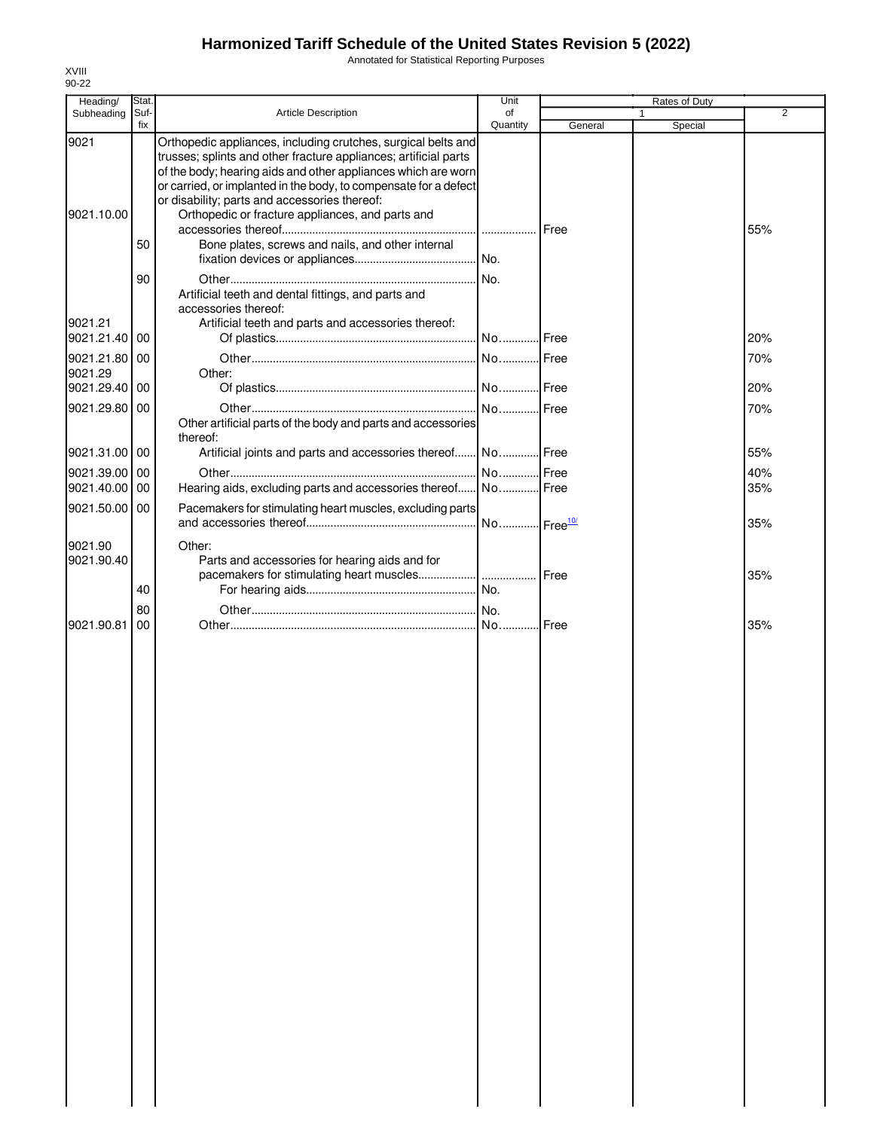Annotated for Statistical Reporting Purposes

| Heading/                               | Stat.       |                                                                                                                                                                                                                                                                                                                                                                             | Unit           |         | Rates of Duty |            |
|----------------------------------------|-------------|-----------------------------------------------------------------------------------------------------------------------------------------------------------------------------------------------------------------------------------------------------------------------------------------------------------------------------------------------------------------------------|----------------|---------|---------------|------------|
| Subheading                             | Suf-<br>fix | <b>Article Description</b>                                                                                                                                                                                                                                                                                                                                                  | of<br>Quantity | General | 1<br>Special  | 2          |
| 9021<br>9021.10.00                     |             | Orthopedic appliances, including crutches, surgical belts and<br>trusses; splints and other fracture appliances; artificial parts<br>of the body; hearing aids and other appliances which are worn<br>or carried, or implanted in the body, to compensate for a defect<br>or disability; parts and accessories thereof:<br>Orthopedic or fracture appliances, and parts and |                |         |               | 55%        |
|                                        | 50<br>90    | Bone plates, screws and nails, and other internal<br>Artificial teeth and dental fittings, and parts and                                                                                                                                                                                                                                                                    | No.            |         |               |            |
| 9021.21<br>9021.21.40                  | 00          | accessories thereof:<br>Artificial teeth and parts and accessories thereof:                                                                                                                                                                                                                                                                                                 |                |         |               | 20%        |
| 9021.21.80 00<br>9021.29<br>9021.29.40 | 00          | Other:                                                                                                                                                                                                                                                                                                                                                                      |                |         |               | 70%<br>20% |
| 9021.29.80 00                          |             | Other artificial parts of the body and parts and accessories<br>thereof:                                                                                                                                                                                                                                                                                                    |                |         |               | 70%        |
| 9021.31.00 00                          |             | Artificial joints and parts and accessories thereof No Free                                                                                                                                                                                                                                                                                                                 |                |         |               | 55%        |
| 9021.39.00 00                          |             |                                                                                                                                                                                                                                                                                                                                                                             |                |         |               | 40%        |
| 9021.40.00<br>9021.50.00 00            | 00          | Hearing aids, excluding parts and accessories thereof No Free<br>Pacemakers for stimulating heart muscles, excluding parts                                                                                                                                                                                                                                                  |                |         |               | 35%        |
|                                        |             |                                                                                                                                                                                                                                                                                                                                                                             |                |         |               | 35%        |
| 9021.90<br>9021.90.40                  | 40          | Other:<br>Parts and accessories for hearing aids and for                                                                                                                                                                                                                                                                                                                    |                |         |               | 35%        |
|                                        | 80          |                                                                                                                                                                                                                                                                                                                                                                             |                |         |               |            |
| 9021.90.81                             | 00          |                                                                                                                                                                                                                                                                                                                                                                             |                |         |               | 35%        |
|                                        |             |                                                                                                                                                                                                                                                                                                                                                                             |                |         |               |            |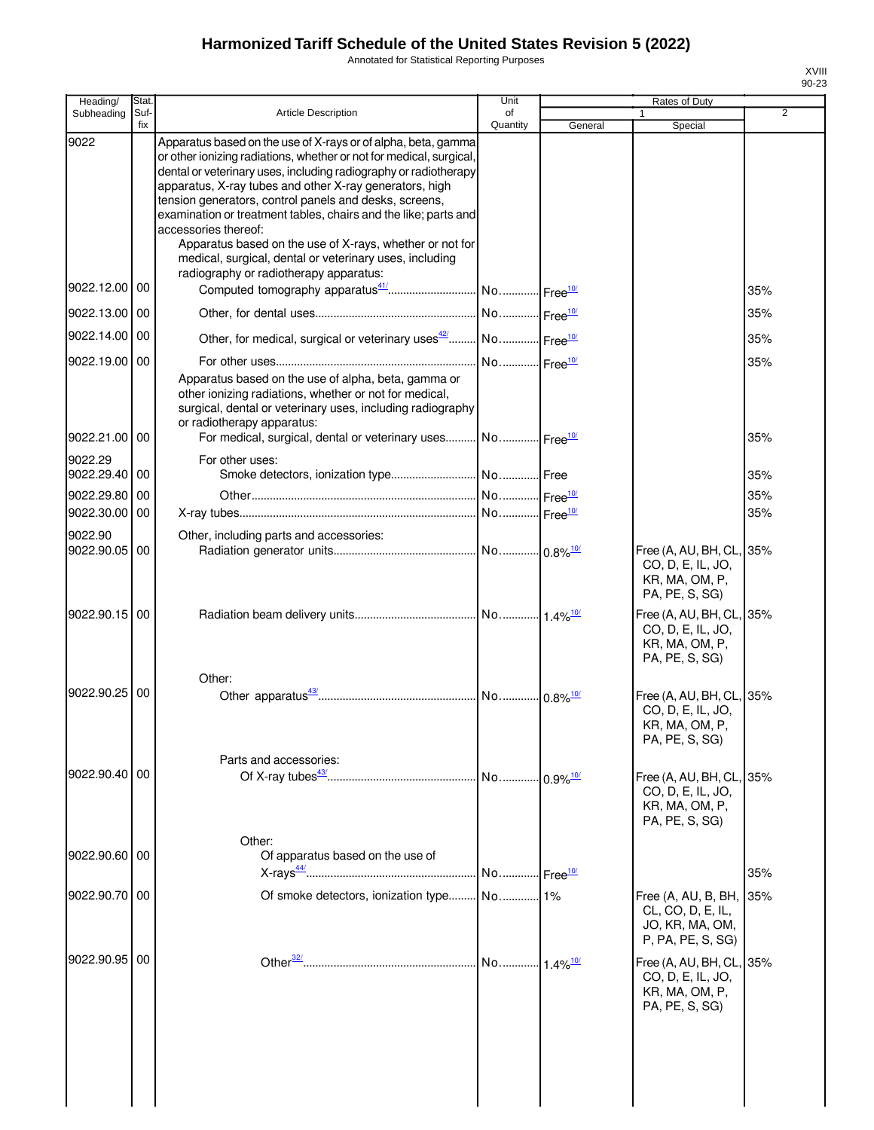Annotated for Statistical Reporting Purposes

| Heading/                 | Stat.       |                                                                                                                                                                                                                                                                                                                                                                                                                                                                                                                                                                                           | Unit           |                        | Rates of Duty                                                                                                                                        |     |
|--------------------------|-------------|-------------------------------------------------------------------------------------------------------------------------------------------------------------------------------------------------------------------------------------------------------------------------------------------------------------------------------------------------------------------------------------------------------------------------------------------------------------------------------------------------------------------------------------------------------------------------------------------|----------------|------------------------|------------------------------------------------------------------------------------------------------------------------------------------------------|-----|
| Subheading               | Suf-<br>fix | Article Description                                                                                                                                                                                                                                                                                                                                                                                                                                                                                                                                                                       | of<br>Quantity | General                | Special                                                                                                                                              | 2   |
| 9022                     |             | Apparatus based on the use of X-rays or of alpha, beta, gamma<br>or other ionizing radiations, whether or not for medical, surgical,<br>dental or veterinary uses, including radiography or radiotherapy<br>apparatus, X-ray tubes and other X-ray generators, high<br>tension generators, control panels and desks, screens,<br>examination or treatment tables, chairs and the like; parts and<br>accessories thereof:<br>Apparatus based on the use of X-rays, whether or not for<br>medical, surgical, dental or veterinary uses, including<br>radiography or radiotherapy apparatus: |                |                        |                                                                                                                                                      |     |
| 9022.12.00 00            |             |                                                                                                                                                                                                                                                                                                                                                                                                                                                                                                                                                                                           |                |                        |                                                                                                                                                      | 35% |
| 9022.13.00 00            |             |                                                                                                                                                                                                                                                                                                                                                                                                                                                                                                                                                                                           |                |                        |                                                                                                                                                      | 35% |
| 9022.14.00 00            |             | Other, for medical, surgical or veterinary uses <sup>42</sup> No Free <sup>10/</sup>                                                                                                                                                                                                                                                                                                                                                                                                                                                                                                      |                |                        |                                                                                                                                                      | 35% |
| 9022.19.00 00            |             |                                                                                                                                                                                                                                                                                                                                                                                                                                                                                                                                                                                           |                |                        |                                                                                                                                                      | 35% |
| 9022.21.00               | 00          | Apparatus based on the use of alpha, beta, gamma or<br>other ionizing radiations, whether or not for medical,<br>surgical, dental or veterinary uses, including radiography<br>or radiotherapy apparatus:<br>For medical, surgical, dental or veterinary uses No Free <sup>10/</sup>                                                                                                                                                                                                                                                                                                      |                |                        |                                                                                                                                                      | 35% |
| 9022.29                  |             | For other uses:                                                                                                                                                                                                                                                                                                                                                                                                                                                                                                                                                                           |                |                        |                                                                                                                                                      |     |
| 9022.29.40 00            |             |                                                                                                                                                                                                                                                                                                                                                                                                                                                                                                                                                                                           |                |                        |                                                                                                                                                      | 35% |
| 9022.29.80               | 00          |                                                                                                                                                                                                                                                                                                                                                                                                                                                                                                                                                                                           |                |                        |                                                                                                                                                      | 35% |
| 9022.30.00               | 00          |                                                                                                                                                                                                                                                                                                                                                                                                                                                                                                                                                                                           |                |                        |                                                                                                                                                      | 35% |
| 9022.90<br>9022.90.05 00 |             | Other, including parts and accessories:                                                                                                                                                                                                                                                                                                                                                                                                                                                                                                                                                   |                |                        |                                                                                                                                                      |     |
| 9022.90.15 00            |             |                                                                                                                                                                                                                                                                                                                                                                                                                                                                                                                                                                                           |                |                        | Free (A, AU, BH, CL, 35%<br>CO, D, E, IL, JO,<br>KR, MA, OM, P,<br>PA, PE, S, SG)<br>Free (A, AU, BH, CL, 35%<br>CO, D, E, IL, JO,<br>KR, MA, OM, P, |     |
| 9022.90.25               | 00          | Other:                                                                                                                                                                                                                                                                                                                                                                                                                                                                                                                                                                                    |                |                        | PA, PE, S, SG)<br>Free (A, AU, BH, CL, 35%<br>CO, D, E, IL, JO,<br>KR, MA, OM, P,                                                                    |     |
|                          |             | Parts and accessories:                                                                                                                                                                                                                                                                                                                                                                                                                                                                                                                                                                    |                |                        | PA, PE, S, SG)                                                                                                                                       |     |
| 9022.90.40 00            |             |                                                                                                                                                                                                                                                                                                                                                                                                                                                                                                                                                                                           |                |                        | Free (A, AU, BH, CL, 35%<br>CO, D, E, IL, JO,<br>KR, MA, OM, P,<br>PA, PE, S, SG)                                                                    |     |
| 9022.90.60 00            |             | Other:<br>Of apparatus based on the use of                                                                                                                                                                                                                                                                                                                                                                                                                                                                                                                                                |                |                        |                                                                                                                                                      |     |
|                          |             |                                                                                                                                                                                                                                                                                                                                                                                                                                                                                                                                                                                           |                |                        |                                                                                                                                                      | 35% |
| 9022.90.70 00            |             |                                                                                                                                                                                                                                                                                                                                                                                                                                                                                                                                                                                           |                |                        | Free (A, AU, B, BH,<br>CL, CO, D, E, IL,<br>JO, KR, MA, OM,<br>P, PA, PE, S, SG)                                                                     | 35% |
| 9022.90.95 00            |             |                                                                                                                                                                                                                                                                                                                                                                                                                                                                                                                                                                                           | No             | $1.4\%$ <sup>10/</sup> | Free (A, AU, BH, CL, 35%<br>CO, D, E, IL, JO,<br>KR, MA, OM, P,<br>PA, PE, S, SG)                                                                    |     |
|                          |             |                                                                                                                                                                                                                                                                                                                                                                                                                                                                                                                                                                                           |                |                        |                                                                                                                                                      |     |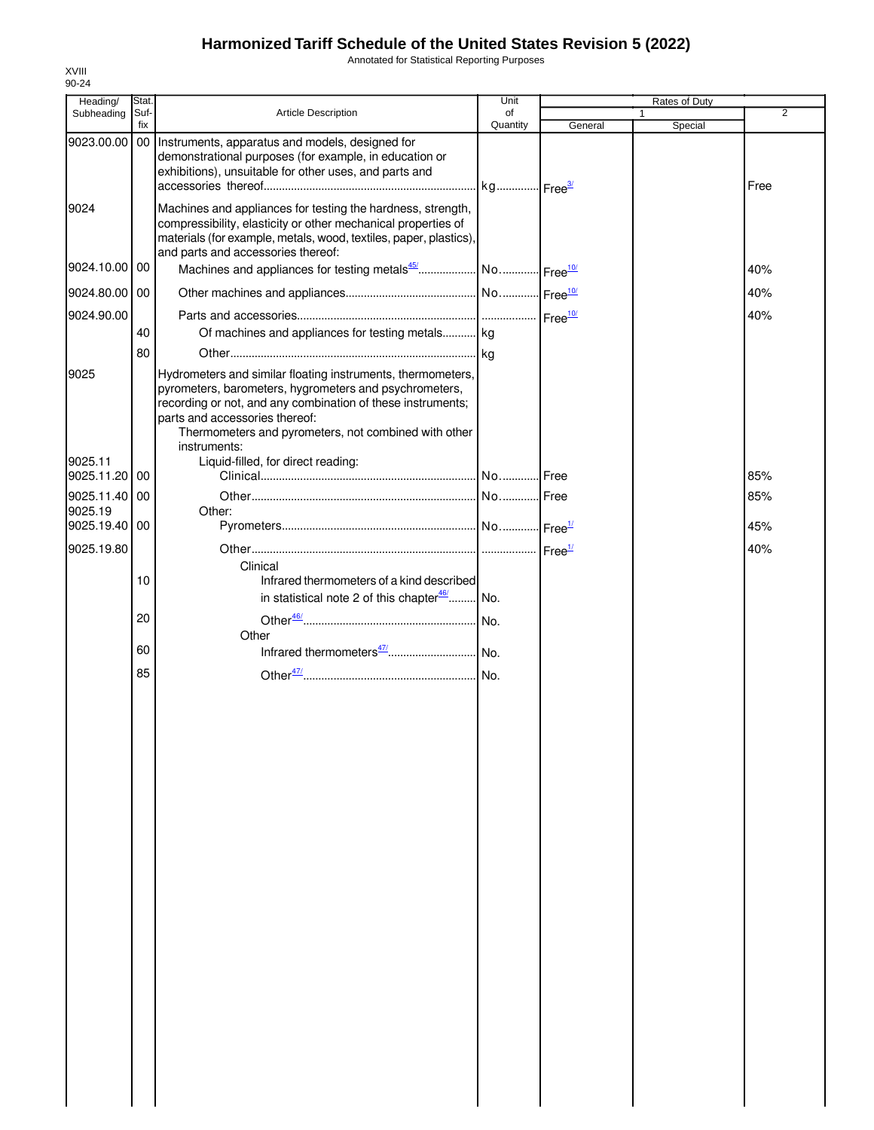Annotated for Statistical Reporting Purposes

| Heading/                 | Stat.       |                                                                                                                                                                                                                                                                                                                                      | Unit           |         | Rates of Duty |      |
|--------------------------|-------------|--------------------------------------------------------------------------------------------------------------------------------------------------------------------------------------------------------------------------------------------------------------------------------------------------------------------------------------|----------------|---------|---------------|------|
| Subheading               | Suf-<br>fix | <b>Article Description</b>                                                                                                                                                                                                                                                                                                           | of<br>Quantity | General | Special       | 2    |
| 9023.00.00               | 00          | Instruments, apparatus and models, designed for<br>demonstrational purposes (for example, in education or<br>exhibitions), unsuitable for other uses, and parts and                                                                                                                                                                  |                |         |               | Free |
| 9024                     |             | Machines and appliances for testing the hardness, strength,<br>compressibility, elasticity or other mechanical properties of<br>materials (for example, metals, wood, textiles, paper, plastics),<br>and parts and accessories thereof:                                                                                              |                |         |               |      |
| 9024.10.00 00            |             |                                                                                                                                                                                                                                                                                                                                      |                |         |               | 40%  |
| 9024.80.00 00            |             |                                                                                                                                                                                                                                                                                                                                      |                |         |               | 40%  |
| 9024.90.00               |             |                                                                                                                                                                                                                                                                                                                                      |                |         |               | 40%  |
|                          | 40          | Of machines and appliances for testing metals kg                                                                                                                                                                                                                                                                                     |                |         |               |      |
|                          | 80          |                                                                                                                                                                                                                                                                                                                                      |                |         |               |      |
| 9025<br>9025.11          |             | Hydrometers and similar floating instruments, thermometers,<br>pyrometers, barometers, hygrometers and psychrometers,<br>recording or not, and any combination of these instruments;<br>parts and accessories thereof:<br>Thermometers and pyrometers, not combined with other<br>instruments:<br>Liquid-filled, for direct reading: |                |         |               |      |
| 9025.11.20 00            |             |                                                                                                                                                                                                                                                                                                                                      |                |         |               | 85%  |
| 9025.11.40 00<br>9025.19 |             | Other:                                                                                                                                                                                                                                                                                                                               |                |         |               | 85%  |
| 9025.19.40 00            |             |                                                                                                                                                                                                                                                                                                                                      |                |         |               | 45%  |
| 9025.19.80               |             |                                                                                                                                                                                                                                                                                                                                      |                |         |               | 40%  |
|                          | 10          | Clinical<br>Infrared thermometers of a kind described<br>in statistical note 2 of this chapter $46$ No.                                                                                                                                                                                                                              |                |         |               |      |
|                          | 20          |                                                                                                                                                                                                                                                                                                                                      |                |         |               |      |
|                          |             | Other                                                                                                                                                                                                                                                                                                                                |                |         |               |      |
|                          | 60          |                                                                                                                                                                                                                                                                                                                                      |                |         |               |      |
|                          | 85          |                                                                                                                                                                                                                                                                                                                                      |                |         |               |      |
|                          |             |                                                                                                                                                                                                                                                                                                                                      |                |         |               |      |
|                          |             |                                                                                                                                                                                                                                                                                                                                      |                |         |               |      |
|                          |             |                                                                                                                                                                                                                                                                                                                                      |                |         |               |      |
|                          |             |                                                                                                                                                                                                                                                                                                                                      |                |         |               |      |
|                          |             |                                                                                                                                                                                                                                                                                                                                      |                |         |               |      |
|                          |             |                                                                                                                                                                                                                                                                                                                                      |                |         |               |      |
|                          |             |                                                                                                                                                                                                                                                                                                                                      |                |         |               |      |
|                          |             |                                                                                                                                                                                                                                                                                                                                      |                |         |               |      |
|                          |             |                                                                                                                                                                                                                                                                                                                                      |                |         |               |      |
|                          |             |                                                                                                                                                                                                                                                                                                                                      |                |         |               |      |
|                          |             |                                                                                                                                                                                                                                                                                                                                      |                |         |               |      |
|                          |             |                                                                                                                                                                                                                                                                                                                                      |                |         |               |      |
|                          |             |                                                                                                                                                                                                                                                                                                                                      |                |         |               |      |
|                          |             |                                                                                                                                                                                                                                                                                                                                      |                |         |               |      |
|                          |             |                                                                                                                                                                                                                                                                                                                                      |                |         |               |      |
|                          |             |                                                                                                                                                                                                                                                                                                                                      |                |         |               |      |
|                          |             |                                                                                                                                                                                                                                                                                                                                      |                |         |               |      |
|                          |             |                                                                                                                                                                                                                                                                                                                                      |                |         |               |      |
|                          |             |                                                                                                                                                                                                                                                                                                                                      |                |         |               |      |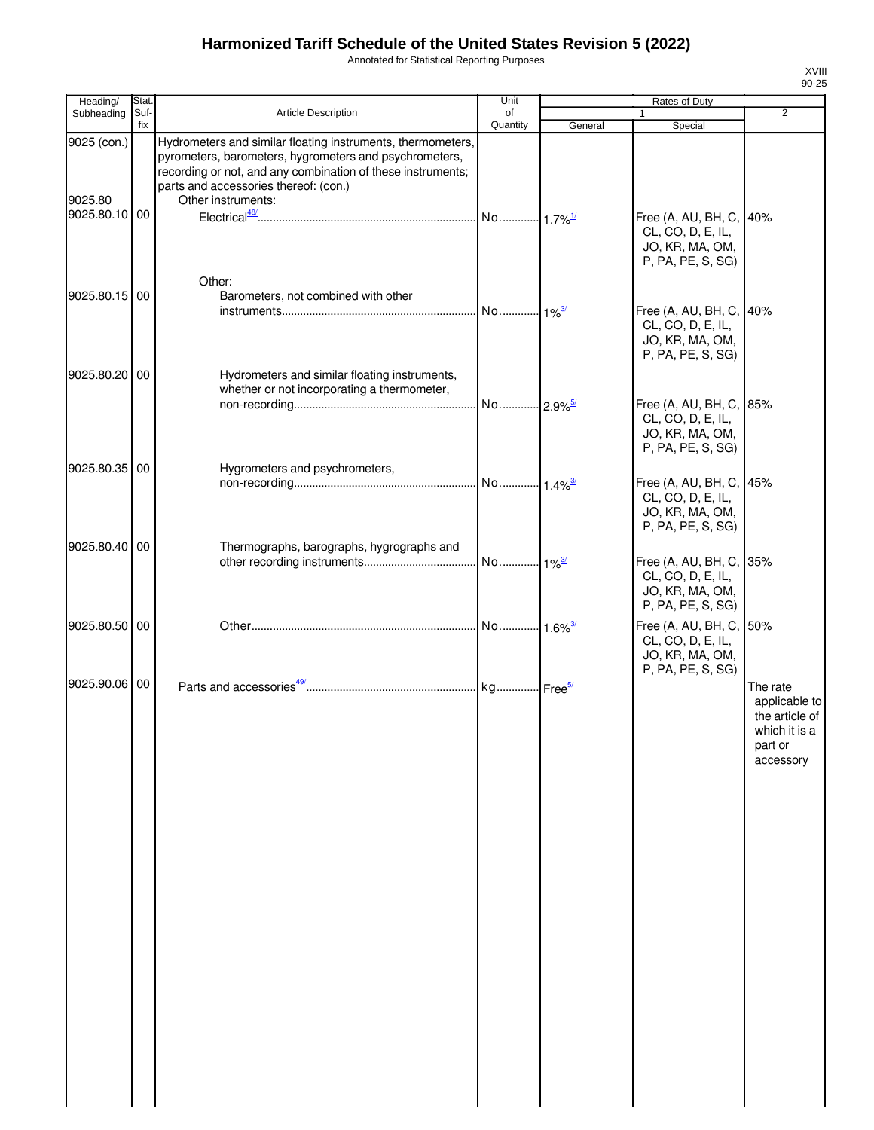Annotated for Statistical Reporting Purposes

| Heading/                                | Stat            |                                                                                                                                                                                                                                                     | Unit           |                     |                                                                                      |                                                                                      |
|-----------------------------------------|-----------------|-----------------------------------------------------------------------------------------------------------------------------------------------------------------------------------------------------------------------------------------------------|----------------|---------------------|--------------------------------------------------------------------------------------|--------------------------------------------------------------------------------------|
| Subheading                              | Suf-<br>fix     | Article Description                                                                                                                                                                                                                                 | of<br>Quantity | General             | 1<br>Special                                                                         | $\overline{2}$                                                                       |
| 9025 (con.)<br>9025.80<br>9025.80.10 00 |                 | Hydrometers and similar floating instruments, thermometers,<br>pyrometers, barometers, hygrometers and psychrometers,<br>recording or not, and any combination of these instruments;<br>parts and accessories thereof: (con.)<br>Other instruments: |                |                     | Free (A, AU, BH, C,<br>CL, CO, D, E, IL,<br>JO, KR, MA, OM,<br>P, PA, PE, S, SG)     | 40%                                                                                  |
| 9025.80.15 00                           |                 | Other:<br>Barometers, not combined with other                                                                                                                                                                                                       |                | $1\%^{\frac{3}{2}}$ | Free (A, AU, BH, C, 40%<br>CL, CO, D, E, IL,<br>JO, KR, MA, OM,<br>P, PA, PE, S, SG) |                                                                                      |
| 9025.80.20                              | 00              | Hydrometers and similar floating instruments,<br>whether or not incorporating a thermometer,                                                                                                                                                        |                |                     | Free (A, AU, BH, C, 85%<br>CL, CO, D, E, IL,<br>JO, KR, MA, OM,<br>P, PA, PE, S, SG) |                                                                                      |
| 9025.80.35                              | $\overline{00}$ | Hygrometers and psychrometers,                                                                                                                                                                                                                      |                |                     | Free (A, AU, BH, C, 45%<br>CL, CO, D, E, IL,<br>JO, KR, MA, OM,<br>P, PA, PE, S, SG) |                                                                                      |
| 9025.80.40 00                           |                 | Thermographs, barographs, hygrographs and                                                                                                                                                                                                           |                |                     | Free (A, AU, BH, C, 35%<br>CL, CO, D, E, IL,<br>JO, KR, MA, OM,<br>P, PA, PE, S, SG) |                                                                                      |
| 9025.80.50 00                           |                 |                                                                                                                                                                                                                                                     |                |                     | Free (A, AU, BH, C, 50%<br>CL, CO, D, E, IL,<br>JO, KR, MA, OM,<br>P, PA, PE, S, SG) |                                                                                      |
| 9025.90.06 00                           |                 |                                                                                                                                                                                                                                                     |                |                     |                                                                                      | The rate<br>applicable to<br>the article of<br>which it is a<br>part or<br>accessory |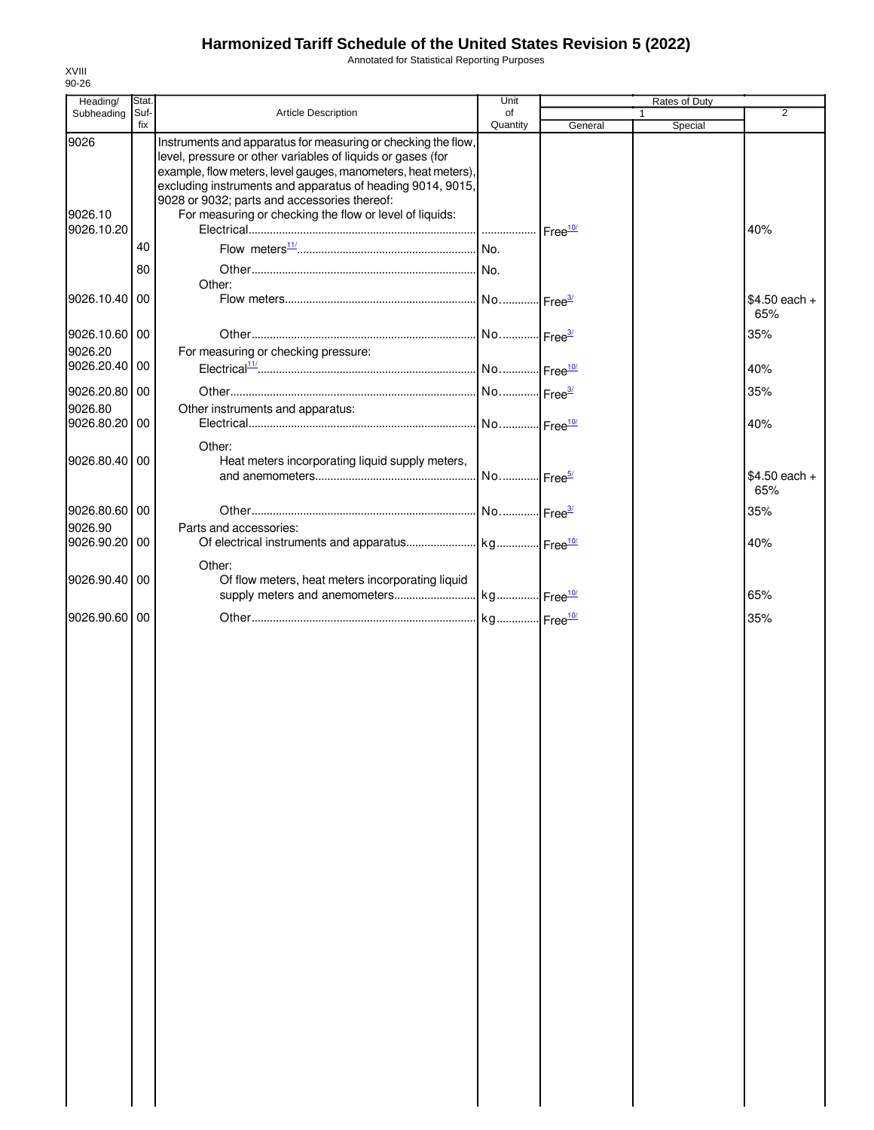Annotated for Statistical Reporting Purposes

| Stat.         |                                                                                                                                                                                                                                                                                                                                                                        | Unit                                                                                                                           |         | Rates of Duty |                       |
|---------------|------------------------------------------------------------------------------------------------------------------------------------------------------------------------------------------------------------------------------------------------------------------------------------------------------------------------------------------------------------------------|--------------------------------------------------------------------------------------------------------------------------------|---------|---------------|-----------------------|
| fix           |                                                                                                                                                                                                                                                                                                                                                                        | Quantity                                                                                                                       | General | 1             | $\overline{2}$        |
|               | Instruments and apparatus for measuring or checking the flow,<br>level, pressure or other variables of liquids or gases (for<br>example, flow meters, level gauges, manometers, heat meters),<br>excluding instruments and apparatus of heading 9014, 9015,<br>9028 or 9032; parts and accessories thereof:<br>For measuring or checking the flow or level of liquids: |                                                                                                                                |         |               | 40%                   |
|               |                                                                                                                                                                                                                                                                                                                                                                        |                                                                                                                                |         |               |                       |
|               |                                                                                                                                                                                                                                                                                                                                                                        |                                                                                                                                |         |               |                       |
|               |                                                                                                                                                                                                                                                                                                                                                                        |                                                                                                                                |         |               |                       |
| 9026.10.40 00 |                                                                                                                                                                                                                                                                                                                                                                        |                                                                                                                                |         |               | $$4.50$ each +<br>65% |
|               |                                                                                                                                                                                                                                                                                                                                                                        |                                                                                                                                |         |               | 35%                   |
|               | For measuring or checking pressure:                                                                                                                                                                                                                                                                                                                                    |                                                                                                                                |         |               |                       |
| 9026.20.40 00 |                                                                                                                                                                                                                                                                                                                                                                        |                                                                                                                                |         |               | 40%                   |
|               |                                                                                                                                                                                                                                                                                                                                                                        |                                                                                                                                |         |               | 35%                   |
|               |                                                                                                                                                                                                                                                                                                                                                                        |                                                                                                                                |         |               |                       |
| 9026.80.20 00 |                                                                                                                                                                                                                                                                                                                                                                        |                                                                                                                                |         |               | 40%                   |
|               |                                                                                                                                                                                                                                                                                                                                                                        |                                                                                                                                |         |               |                       |
|               |                                                                                                                                                                                                                                                                                                                                                                        |                                                                                                                                |         |               | $$4.50$ each +<br>65% |
| 9026.80.60 00 |                                                                                                                                                                                                                                                                                                                                                                        |                                                                                                                                |         |               | 35%                   |
|               | Parts and accessories:                                                                                                                                                                                                                                                                                                                                                 |                                                                                                                                |         |               |                       |
|               |                                                                                                                                                                                                                                                                                                                                                                        |                                                                                                                                |         |               | 40%                   |
| 9026.90.40 00 | Other:<br>Of flow meters, heat meters incorporating liquid                                                                                                                                                                                                                                                                                                             |                                                                                                                                |         |               | 65%                   |
|               |                                                                                                                                                                                                                                                                                                                                                                        |                                                                                                                                |         |               |                       |
| 9026.90.60 00 |                                                                                                                                                                                                                                                                                                                                                                        |                                                                                                                                |         |               | 35%                   |
|               |                                                                                                                                                                                                                                                                                                                                                                        |                                                                                                                                |         |               |                       |
|               | Suf-<br>40<br>80<br>9026.10.60 00<br>9026.20.80 00<br>9026.80.40 00<br>9026.90.20 00                                                                                                                                                                                                                                                                                   | Article Description<br>Other:<br>Other instruments and apparatus:<br>Other:<br>Heat meters incorporating liquid supply meters, | of      |               | Special               |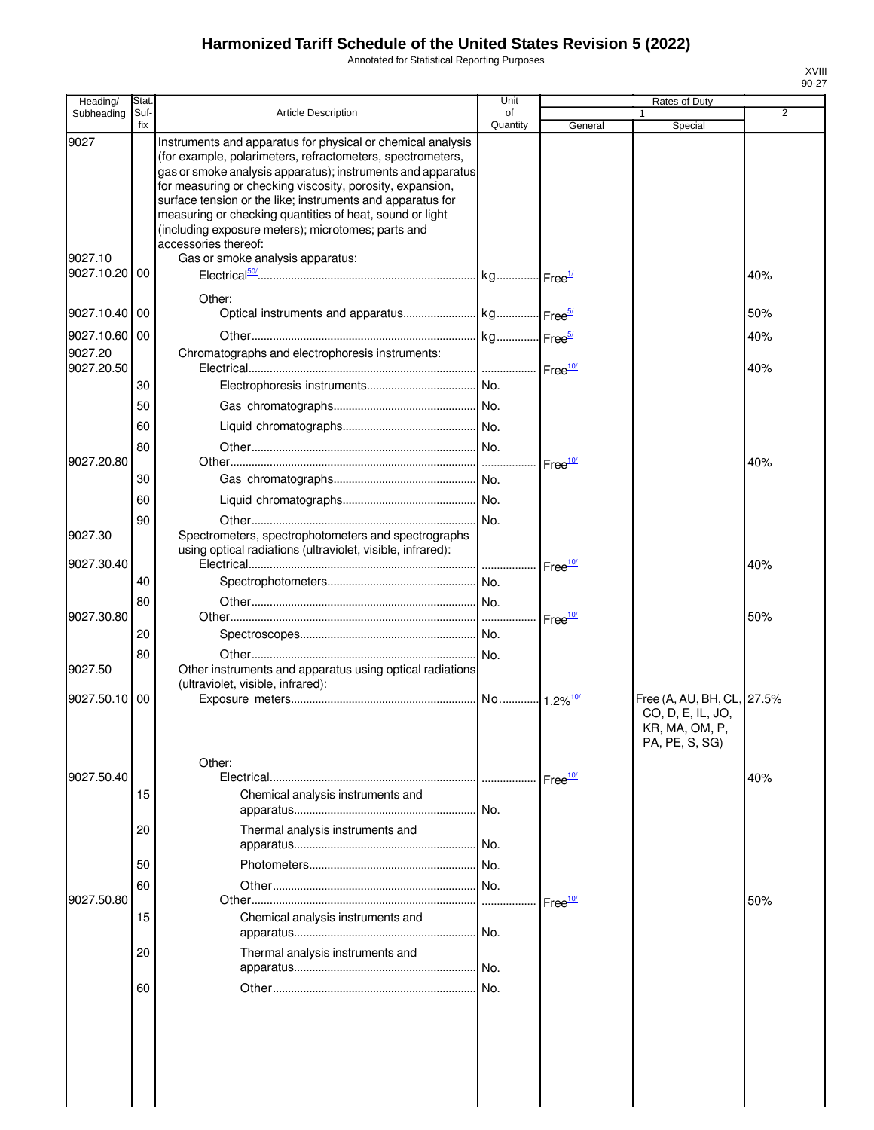Annotated for Statistical Reporting Purposes

| Heading/              | Stat.       |                                                                                                                                                                                                                                                                                                                                                                                                                                                               | Unit           |                    | Rates of Duty                                                                       |                |
|-----------------------|-------------|---------------------------------------------------------------------------------------------------------------------------------------------------------------------------------------------------------------------------------------------------------------------------------------------------------------------------------------------------------------------------------------------------------------------------------------------------------------|----------------|--------------------|-------------------------------------------------------------------------------------|----------------|
| Subheading            | Suf-<br>fix | <b>Article Description</b>                                                                                                                                                                                                                                                                                                                                                                                                                                    | of<br>Quantity | General            | 1<br>Special                                                                        | $\overline{2}$ |
| 9027                  |             | Instruments and apparatus for physical or chemical analysis<br>(for example, polarimeters, refractometers, spectrometers,<br>gas or smoke analysis apparatus); instruments and apparatus<br>for measuring or checking viscosity, porosity, expansion,<br>surface tension or the like; instruments and apparatus for<br>measuring or checking quantities of heat, sound or light<br>(including exposure meters); microtomes; parts and<br>accessories thereof: |                |                    |                                                                                     |                |
| 9027.10<br>9027.10.20 | 00          | Gas or smoke analysis apparatus:                                                                                                                                                                                                                                                                                                                                                                                                                              |                |                    |                                                                                     | 40%            |
| 9027.10.40            | 00          | Other:                                                                                                                                                                                                                                                                                                                                                                                                                                                        |                |                    |                                                                                     | 50%            |
| 9027.10.60            | 00          |                                                                                                                                                                                                                                                                                                                                                                                                                                                               |                |                    |                                                                                     | 40%            |
| 9027.20<br>9027.20.50 |             | Chromatographs and electrophoresis instruments:                                                                                                                                                                                                                                                                                                                                                                                                               |                |                    |                                                                                     | 40%            |
|                       | 30          |                                                                                                                                                                                                                                                                                                                                                                                                                                                               |                |                    |                                                                                     |                |
|                       | 50          |                                                                                                                                                                                                                                                                                                                                                                                                                                                               |                |                    |                                                                                     |                |
|                       | 60<br>80    |                                                                                                                                                                                                                                                                                                                                                                                                                                                               |                |                    |                                                                                     |                |
| 9027.20.80            |             |                                                                                                                                                                                                                                                                                                                                                                                                                                                               |                |                    |                                                                                     | 40%            |
|                       | 30          |                                                                                                                                                                                                                                                                                                                                                                                                                                                               |                |                    |                                                                                     |                |
|                       | 60          |                                                                                                                                                                                                                                                                                                                                                                                                                                                               |                |                    |                                                                                     |                |
| 9027.30               | 90          | Spectrometers, spectrophotometers and spectrographs<br>using optical radiations (ultraviolet, visible, infrared):                                                                                                                                                                                                                                                                                                                                             |                |                    |                                                                                     |                |
| 9027.30.40            |             |                                                                                                                                                                                                                                                                                                                                                                                                                                                               |                |                    |                                                                                     | 40%            |
|                       | 40          |                                                                                                                                                                                                                                                                                                                                                                                                                                                               |                |                    |                                                                                     |                |
| 9027.30.80            | 80          |                                                                                                                                                                                                                                                                                                                                                                                                                                                               |                |                    |                                                                                     | 50%            |
|                       | 20          |                                                                                                                                                                                                                                                                                                                                                                                                                                                               |                |                    |                                                                                     |                |
| 9027.50               | 80          | Other instruments and apparatus using optical radiations<br>(ultraviolet, visible, infrared):                                                                                                                                                                                                                                                                                                                                                                 |                |                    |                                                                                     |                |
| 9027.50.10            | 00          |                                                                                                                                                                                                                                                                                                                                                                                                                                                               |                |                    | Free (A, AU, BH, CL, 27.5%<br>CO, D, E, IL, JO,<br>KR, MA, OM, P,<br>PA, PE, S, SG) |                |
|                       |             | Other:                                                                                                                                                                                                                                                                                                                                                                                                                                                        |                |                    |                                                                                     |                |
| 9027.50.40            | 15          |                                                                                                                                                                                                                                                                                                                                                                                                                                                               |                | Free <sup>10</sup> |                                                                                     | 40%            |
|                       |             | Chemical analysis instruments and                                                                                                                                                                                                                                                                                                                                                                                                                             |                |                    |                                                                                     |                |
|                       | 20          | Thermal analysis instruments and                                                                                                                                                                                                                                                                                                                                                                                                                              |                |                    |                                                                                     |                |
|                       | 50          |                                                                                                                                                                                                                                                                                                                                                                                                                                                               |                |                    |                                                                                     |                |
|                       | 60          |                                                                                                                                                                                                                                                                                                                                                                                                                                                               |                |                    |                                                                                     |                |
| 9027.50.80            | 15          | Chemical analysis instruments and                                                                                                                                                                                                                                                                                                                                                                                                                             |                | Free <sup>10</sup> |                                                                                     | 50%            |
|                       | 20          | Thermal analysis instruments and                                                                                                                                                                                                                                                                                                                                                                                                                              |                |                    |                                                                                     |                |
|                       | 60          |                                                                                                                                                                                                                                                                                                                                                                                                                                                               |                |                    |                                                                                     |                |
|                       |             |                                                                                                                                                                                                                                                                                                                                                                                                                                                               |                |                    |                                                                                     |                |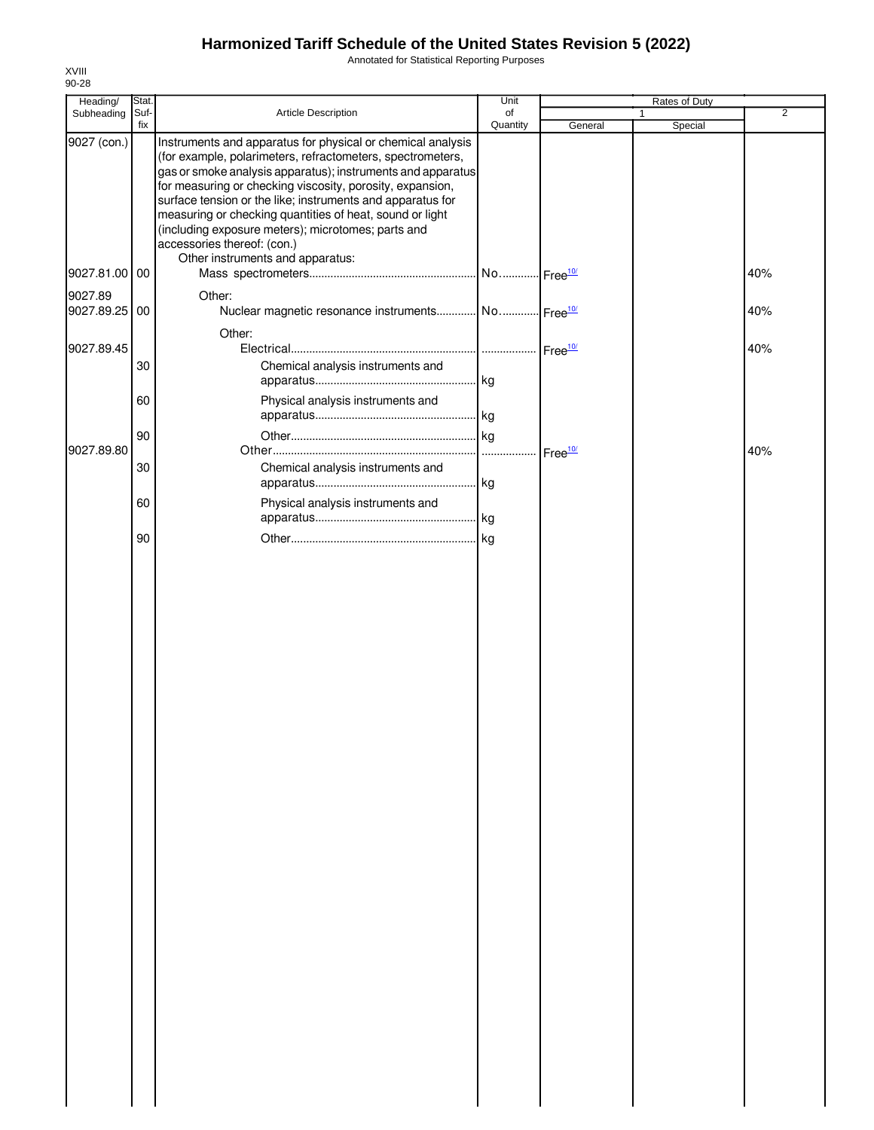Annotated for Statistical Reporting Purposes

| Heading/      | Stat.       |                                                                                                                                                                                                                                                                                                                                                                                                                                                                                                          | Unit                   |                    | Rates of Duty |                |
|---------------|-------------|----------------------------------------------------------------------------------------------------------------------------------------------------------------------------------------------------------------------------------------------------------------------------------------------------------------------------------------------------------------------------------------------------------------------------------------------------------------------------------------------------------|------------------------|--------------------|---------------|----------------|
| Subheading    | Suf-<br>fix | Article Description                                                                                                                                                                                                                                                                                                                                                                                                                                                                                      | of<br>Quantity         | General            | 1<br>Special  | $\overline{2}$ |
| 9027 (con.)   |             | Instruments and apparatus for physical or chemical analysis<br>(for example, polarimeters, refractometers, spectrometers,<br>gas or smoke analysis apparatus); instruments and apparatus<br>for measuring or checking viscosity, porosity, expansion,<br>surface tension or the like; instruments and apparatus for<br>measuring or checking quantities of heat, sound or light<br>(including exposure meters); microtomes; parts and<br>accessories thereof: (con.)<br>Other instruments and apparatus: |                        |                    |               |                |
| 9027.81.00 00 |             |                                                                                                                                                                                                                                                                                                                                                                                                                                                                                                          | No Free <sup>10/</sup> |                    |               | 40%            |
| 9027.89       |             | Other:                                                                                                                                                                                                                                                                                                                                                                                                                                                                                                   |                        |                    |               |                |
| 9027.89.25    | 00          | Nuclear magnetic resonance instruments No Free <sup>10/</sup>                                                                                                                                                                                                                                                                                                                                                                                                                                            |                        |                    |               | 40%            |
|               |             | Other:                                                                                                                                                                                                                                                                                                                                                                                                                                                                                                   |                        |                    |               |                |
| 9027.89.45    |             |                                                                                                                                                                                                                                                                                                                                                                                                                                                                                                          |                        |                    |               | 40%            |
|               | 30          | Chemical analysis instruments and                                                                                                                                                                                                                                                                                                                                                                                                                                                                        | . kg                   |                    |               |                |
|               | 60          | Physical analysis instruments and                                                                                                                                                                                                                                                                                                                                                                                                                                                                        |                        |                    |               |                |
|               |             |                                                                                                                                                                                                                                                                                                                                                                                                                                                                                                          |                        |                    |               |                |
|               | 90          |                                                                                                                                                                                                                                                                                                                                                                                                                                                                                                          | . kg                   |                    |               |                |
| 9027.89.80    |             |                                                                                                                                                                                                                                                                                                                                                                                                                                                                                                          |                        | Free <sup>10</sup> |               | 40%            |
|               | 30          | Chemical analysis instruments and                                                                                                                                                                                                                                                                                                                                                                                                                                                                        | kg                     |                    |               |                |
|               | 60          | Physical analysis instruments and                                                                                                                                                                                                                                                                                                                                                                                                                                                                        |                        |                    |               |                |
|               |             |                                                                                                                                                                                                                                                                                                                                                                                                                                                                                                          | . kg                   |                    |               |                |
|               | 90          |                                                                                                                                                                                                                                                                                                                                                                                                                                                                                                          | kg                     |                    |               |                |
|               |             |                                                                                                                                                                                                                                                                                                                                                                                                                                                                                                          |                        |                    |               |                |
|               |             |                                                                                                                                                                                                                                                                                                                                                                                                                                                                                                          |                        |                    |               |                |
|               |             |                                                                                                                                                                                                                                                                                                                                                                                                                                                                                                          |                        |                    |               |                |
|               |             |                                                                                                                                                                                                                                                                                                                                                                                                                                                                                                          |                        |                    |               |                |
|               |             |                                                                                                                                                                                                                                                                                                                                                                                                                                                                                                          |                        |                    |               |                |
|               |             |                                                                                                                                                                                                                                                                                                                                                                                                                                                                                                          |                        |                    |               |                |
|               |             |                                                                                                                                                                                                                                                                                                                                                                                                                                                                                                          |                        |                    |               |                |
|               |             |                                                                                                                                                                                                                                                                                                                                                                                                                                                                                                          |                        |                    |               |                |
|               |             |                                                                                                                                                                                                                                                                                                                                                                                                                                                                                                          |                        |                    |               |                |
|               |             |                                                                                                                                                                                                                                                                                                                                                                                                                                                                                                          |                        |                    |               |                |
|               |             |                                                                                                                                                                                                                                                                                                                                                                                                                                                                                                          |                        |                    |               |                |
|               |             |                                                                                                                                                                                                                                                                                                                                                                                                                                                                                                          |                        |                    |               |                |
|               |             |                                                                                                                                                                                                                                                                                                                                                                                                                                                                                                          |                        |                    |               |                |
|               |             |                                                                                                                                                                                                                                                                                                                                                                                                                                                                                                          |                        |                    |               |                |
|               |             |                                                                                                                                                                                                                                                                                                                                                                                                                                                                                                          |                        |                    |               |                |
|               |             |                                                                                                                                                                                                                                                                                                                                                                                                                                                                                                          |                        |                    |               |                |
|               |             |                                                                                                                                                                                                                                                                                                                                                                                                                                                                                                          |                        |                    |               |                |
|               |             |                                                                                                                                                                                                                                                                                                                                                                                                                                                                                                          |                        |                    |               |                |
|               |             |                                                                                                                                                                                                                                                                                                                                                                                                                                                                                                          |                        |                    |               |                |
|               |             |                                                                                                                                                                                                                                                                                                                                                                                                                                                                                                          |                        |                    |               |                |
|               |             |                                                                                                                                                                                                                                                                                                                                                                                                                                                                                                          |                        |                    |               |                |
|               |             |                                                                                                                                                                                                                                                                                                                                                                                                                                                                                                          |                        |                    |               |                |
|               |             |                                                                                                                                                                                                                                                                                                                                                                                                                                                                                                          |                        |                    |               |                |
|               |             |                                                                                                                                                                                                                                                                                                                                                                                                                                                                                                          |                        |                    |               |                |
|               |             |                                                                                                                                                                                                                                                                                                                                                                                                                                                                                                          |                        |                    |               |                |
|               |             |                                                                                                                                                                                                                                                                                                                                                                                                                                                                                                          |                        |                    |               |                |
|               |             |                                                                                                                                                                                                                                                                                                                                                                                                                                                                                                          |                        |                    |               |                |
|               |             |                                                                                                                                                                                                                                                                                                                                                                                                                                                                                                          |                        |                    |               |                |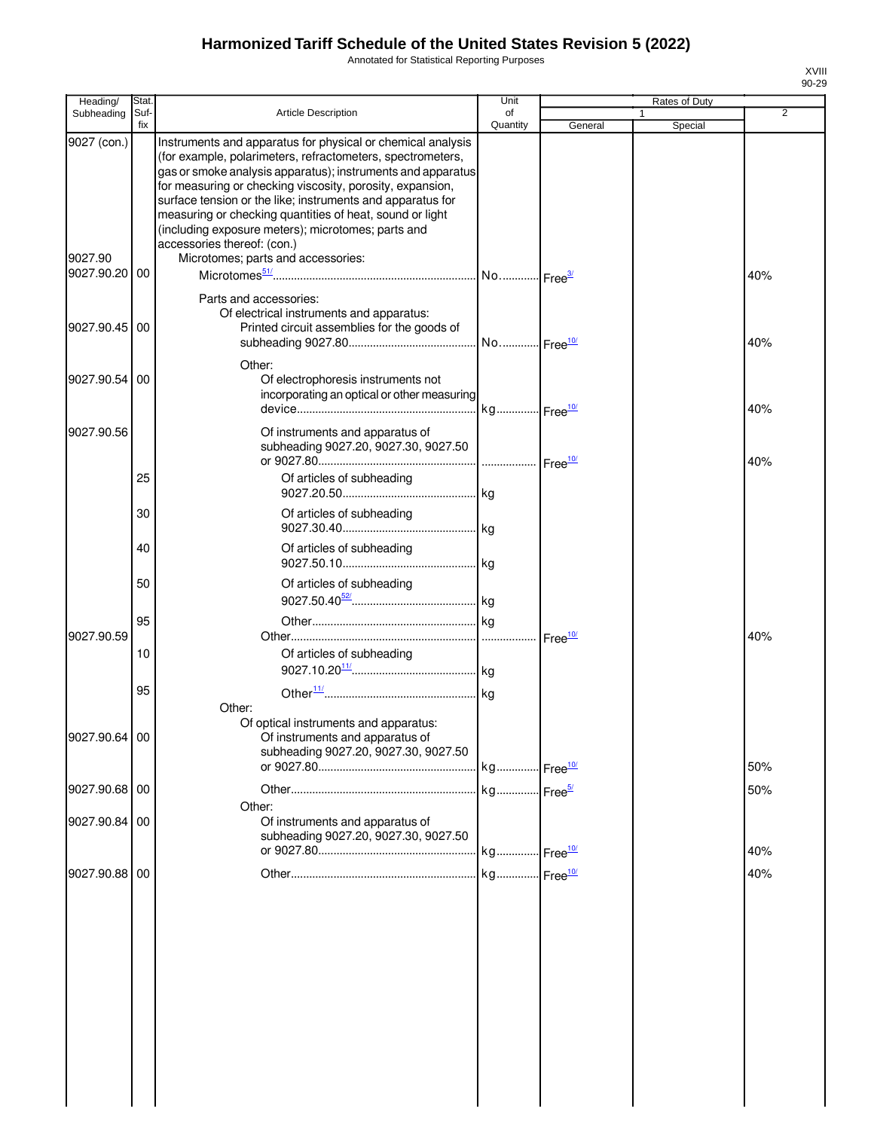Annotated for Statistical Reporting Purposes

| Heading/                 | Stat.       |                                                                                                                                                                                                                                                                                                                                                                                                                                                                      | Unit                     |                    | Rates of Duty |     |
|--------------------------|-------------|----------------------------------------------------------------------------------------------------------------------------------------------------------------------------------------------------------------------------------------------------------------------------------------------------------------------------------------------------------------------------------------------------------------------------------------------------------------------|--------------------------|--------------------|---------------|-----|
| Subheading               | Suf-<br>fix | Article Description                                                                                                                                                                                                                                                                                                                                                                                                                                                  | οf<br>Quantity           | General            | 1<br>Special  | 2   |
| 9027 (con.)              |             | Instruments and apparatus for physical or chemical analysis<br>(for example, polarimeters, refractometers, spectrometers,<br>gas or smoke analysis apparatus); instruments and apparatus<br>for measuring or checking viscosity, porosity, expansion,<br>surface tension or the like; instruments and apparatus for<br>measuring or checking quantities of heat, sound or light<br>(including exposure meters); microtomes; parts and<br>accessories thereof: (con.) |                          |                    |               |     |
| 9027.90<br>9027.90.20 00 |             | Microtomes; parts and accessories:                                                                                                                                                                                                                                                                                                                                                                                                                                   |                          |                    |               | 40% |
| 9027.90.45 00            |             | Parts and accessories:<br>Of electrical instruments and apparatus:<br>Printed circuit assemblies for the goods of                                                                                                                                                                                                                                                                                                                                                    |                          |                    |               | 40% |
| 9027.90.54 00            |             | Other:<br>Of electrophoresis instruments not<br>incorporating an optical or other measuring                                                                                                                                                                                                                                                                                                                                                                          | . kg Free <sup>10/</sup> |                    |               | 40% |
| 9027.90.56               |             | Of instruments and apparatus of<br>subheading 9027.20, 9027.30, 9027.50                                                                                                                                                                                                                                                                                                                                                                                              |                          |                    |               | 40% |
|                          | 25          | Of articles of subheading                                                                                                                                                                                                                                                                                                                                                                                                                                            |                          |                    |               |     |
|                          | 30          | Of articles of subheading                                                                                                                                                                                                                                                                                                                                                                                                                                            |                          |                    |               |     |
|                          | 40          | Of articles of subheading                                                                                                                                                                                                                                                                                                                                                                                                                                            |                          |                    |               |     |
|                          | 50          | Of articles of subheading                                                                                                                                                                                                                                                                                                                                                                                                                                            |                          |                    |               |     |
| 9027.90.59               | 95<br>10    | Of articles of subheading                                                                                                                                                                                                                                                                                                                                                                                                                                            |                          | Free <sup>10</sup> |               | 40% |
|                          | 95          |                                                                                                                                                                                                                                                                                                                                                                                                                                                                      |                          |                    |               |     |
| 9027.90.64 00            |             | Other:<br>Of optical instruments and apparatus:<br>Of instruments and apparatus of<br>subheading 9027.20, 9027.30, 9027.50                                                                                                                                                                                                                                                                                                                                           |                          |                    |               | 50% |
| 9027.90.68 00            |             |                                                                                                                                                                                                                                                                                                                                                                                                                                                                      |                          |                    |               | 50% |
| 9027.90.84 00            |             | Other:<br>Of instruments and apparatus of<br>subheading 9027.20, 9027.30, 9027.50                                                                                                                                                                                                                                                                                                                                                                                    |                          |                    |               | 40% |
| 9027.90.88 00            |             |                                                                                                                                                                                                                                                                                                                                                                                                                                                                      |                          |                    |               | 40% |
|                          |             |                                                                                                                                                                                                                                                                                                                                                                                                                                                                      |                          |                    |               |     |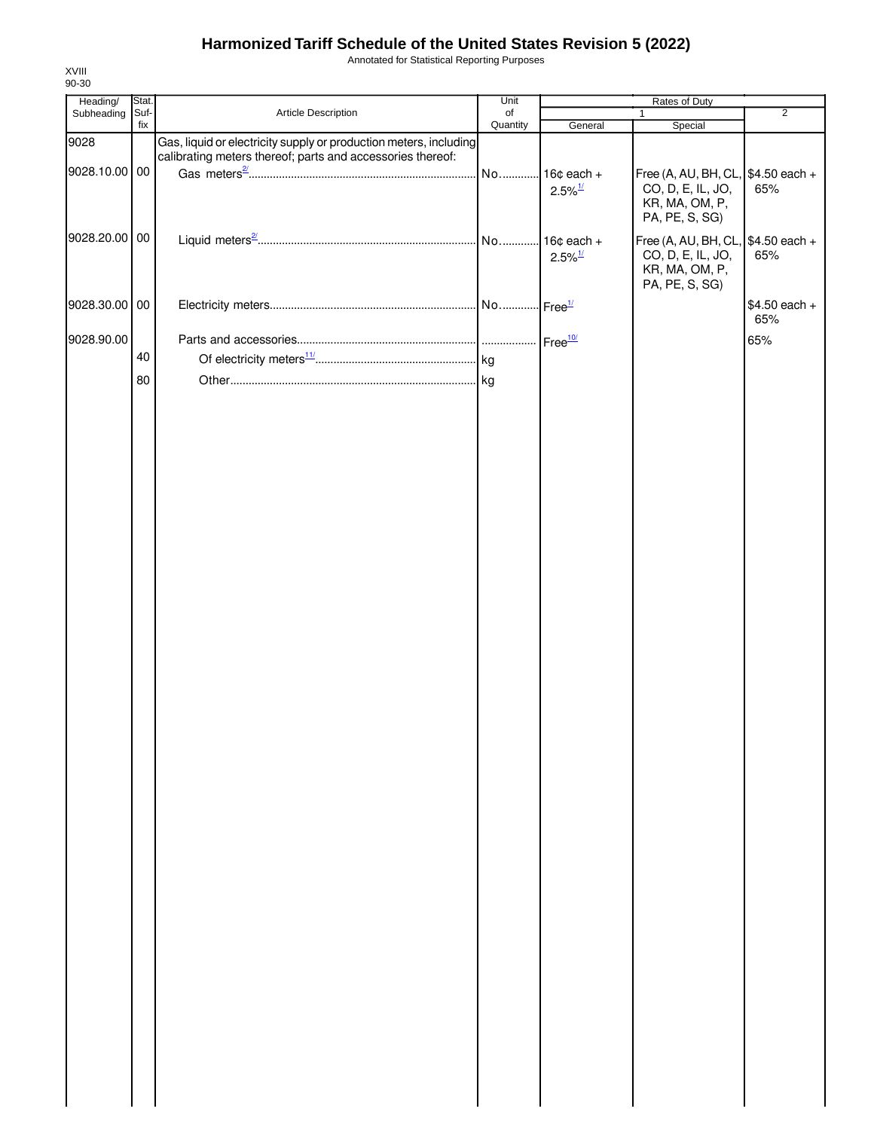Annotated for Statistical Reporting Purposes

| Heading/      | Stat.       |                                                                                                                                 | Unit           |                                        | Rates of Duty                                                                                |                      |
|---------------|-------------|---------------------------------------------------------------------------------------------------------------------------------|----------------|----------------------------------------|----------------------------------------------------------------------------------------------|----------------------|
| Subheading    | Suf-<br>fix | Article Description                                                                                                             | of<br>Quantity | General                                | 1<br>Special                                                                                 | $\overline{2}$       |
| 9028          |             | Gas, liquid or electricity supply or production meters, including<br>calibrating meters thereof; parts and accessories thereof: |                |                                        |                                                                                              |                      |
| 9028.10.00 00 |             |                                                                                                                                 |                | No 16¢ each +<br>$2.5\%$ <sup>1/</sup> | Free (A, AU, BH, CL, \$4.50 each +<br>CO, D, E, IL, JO,<br>KR, MA, OM, P,<br>PA, PE, S, SG)  | 65%                  |
| 9028.20.00    | $00\,$      |                                                                                                                                 |                | $2.5\%$ <sup>1/</sup>                  | Free (A, AU, BH, CL, $$4.50$ each +<br>CO, D, E, IL, JO,<br>KR, MA, OM, P,<br>PA, PE, S, SG) | 65%                  |
| 9028.30.00    | $00\,$      |                                                                                                                                 |                |                                        |                                                                                              | \$4.50 each +<br>65% |
| 9028.90.00    |             |                                                                                                                                 |                |                                        |                                                                                              | 65%                  |
|               | 40          |                                                                                                                                 |                |                                        |                                                                                              |                      |
|               | 80          |                                                                                                                                 |                |                                        |                                                                                              |                      |
|               |             |                                                                                                                                 |                |                                        |                                                                                              |                      |
|               |             |                                                                                                                                 |                |                                        |                                                                                              |                      |
|               |             |                                                                                                                                 |                |                                        |                                                                                              |                      |
|               |             |                                                                                                                                 |                |                                        |                                                                                              |                      |
|               |             |                                                                                                                                 |                |                                        |                                                                                              |                      |
|               |             |                                                                                                                                 |                |                                        |                                                                                              |                      |
|               |             |                                                                                                                                 |                |                                        |                                                                                              |                      |
|               |             |                                                                                                                                 |                |                                        |                                                                                              |                      |
|               |             |                                                                                                                                 |                |                                        |                                                                                              |                      |
|               |             |                                                                                                                                 |                |                                        |                                                                                              |                      |
|               |             |                                                                                                                                 |                |                                        |                                                                                              |                      |
|               |             |                                                                                                                                 |                |                                        |                                                                                              |                      |
|               |             |                                                                                                                                 |                |                                        |                                                                                              |                      |
|               |             |                                                                                                                                 |                |                                        |                                                                                              |                      |
|               |             |                                                                                                                                 |                |                                        |                                                                                              |                      |
|               |             |                                                                                                                                 |                |                                        |                                                                                              |                      |
|               |             |                                                                                                                                 |                |                                        |                                                                                              |                      |
|               |             |                                                                                                                                 |                |                                        |                                                                                              |                      |
|               |             |                                                                                                                                 |                |                                        |                                                                                              |                      |
|               |             |                                                                                                                                 |                |                                        |                                                                                              |                      |
|               |             |                                                                                                                                 |                |                                        |                                                                                              |                      |
|               |             |                                                                                                                                 |                |                                        |                                                                                              |                      |
|               |             |                                                                                                                                 |                |                                        |                                                                                              |                      |
|               |             |                                                                                                                                 |                |                                        |                                                                                              |                      |
|               |             |                                                                                                                                 |                |                                        |                                                                                              |                      |
|               |             |                                                                                                                                 |                |                                        |                                                                                              |                      |
|               |             |                                                                                                                                 |                |                                        |                                                                                              |                      |
|               |             |                                                                                                                                 |                |                                        |                                                                                              |                      |
|               |             |                                                                                                                                 |                |                                        |                                                                                              |                      |
|               |             |                                                                                                                                 |                |                                        |                                                                                              |                      |
|               |             |                                                                                                                                 |                |                                        |                                                                                              |                      |
|               |             |                                                                                                                                 |                |                                        |                                                                                              |                      |
|               |             |                                                                                                                                 |                |                                        |                                                                                              |                      |
|               |             |                                                                                                                                 |                |                                        |                                                                                              |                      |

XVIII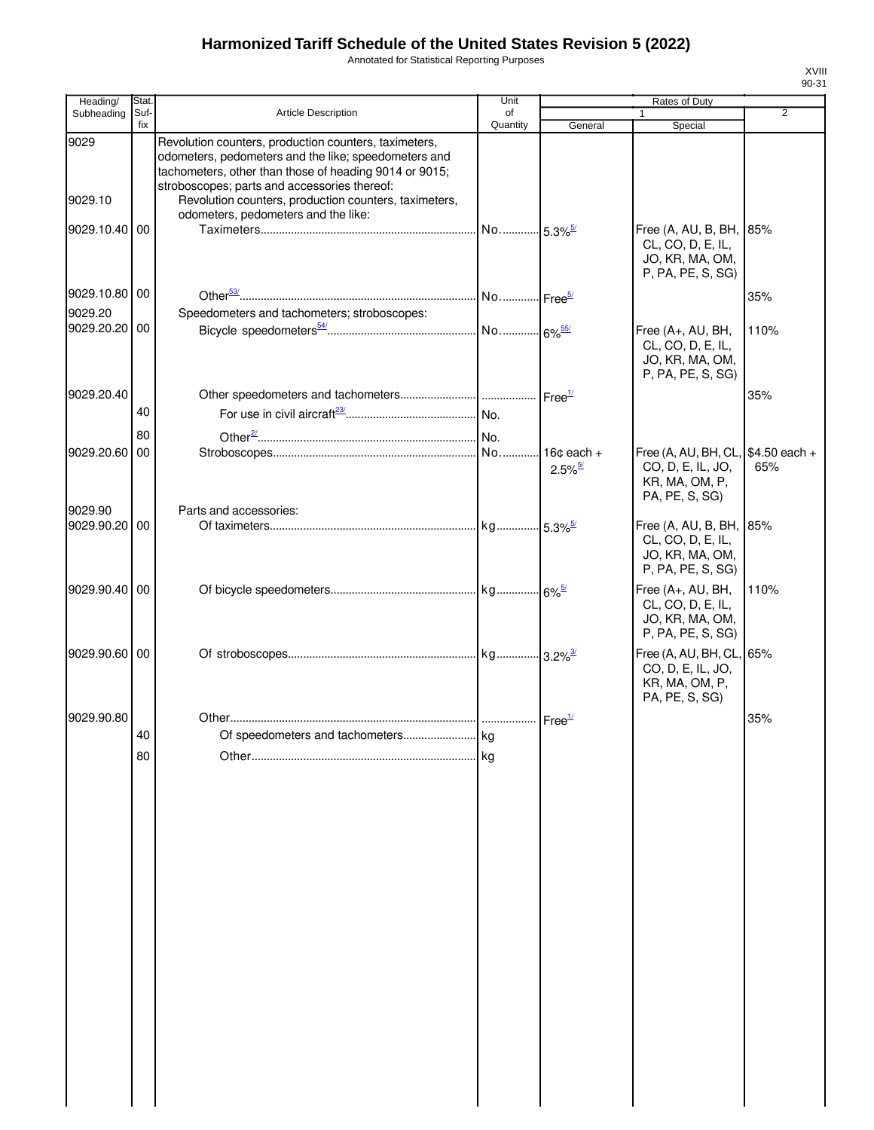Annotated for Statistical Reporting Purposes

| Heading/        | <b>Stat</b> |                                                                                                                                                                                                                                                                                  | Unit                     |                            | Rates of Duty                                                                        |                |
|-----------------|-------------|----------------------------------------------------------------------------------------------------------------------------------------------------------------------------------------------------------------------------------------------------------------------------------|--------------------------|----------------------------|--------------------------------------------------------------------------------------|----------------|
| Subheading      | Suf-        | <b>Article Description</b>                                                                                                                                                                                                                                                       | of                       |                            | 1                                                                                    | $\overline{2}$ |
|                 | fix         |                                                                                                                                                                                                                                                                                  | Quantity                 | General                    | Special                                                                              |                |
| 9029<br>9029.10 |             | Revolution counters, production counters, taximeters,<br>odometers, pedometers and the like; speedometers and<br>tachometers, other than those of heading 9014 or 9015;<br>stroboscopes; parts and accessories thereof:<br>Revolution counters, production counters, taximeters, |                          |                            |                                                                                      |                |
| 9029.10.40      | 00          | odometers, pedometers and the like:                                                                                                                                                                                                                                              |                          |                            | Free (A, AU, B, BH, 85%<br>CL, CO, D, E, IL,<br>JO, KR, MA, OM,<br>P, PA, PE, S, SG) |                |
| 9029.10.80 00   |             |                                                                                                                                                                                                                                                                                  | . No  Free <sup>5/</sup> |                            |                                                                                      | 35%            |
| 9029.20         |             | Speedometers and tachometers; stroboscopes:                                                                                                                                                                                                                                      |                          |                            |                                                                                      |                |
| 9029.20.20 00   |             |                                                                                                                                                                                                                                                                                  |                          |                            | Free (A+, AU, BH,<br>CL, CO, D, E, IL,<br>JO, KR, MA, OM,<br>P, PA, PE, S, SG)       | 110%           |
| 9029.20.40      |             |                                                                                                                                                                                                                                                                                  |                          |                            |                                                                                      | 35%            |
|                 | 40          |                                                                                                                                                                                                                                                                                  |                          |                            |                                                                                      |                |
|                 | 80          |                                                                                                                                                                                                                                                                                  |                          |                            |                                                                                      |                |
| 9029.20.60      | 00          |                                                                                                                                                                                                                                                                                  |                          | 16 $\texttt{c}$ each +     | Free (A, AU, BH, CL, \$4.50 each +                                                   |                |
| 9029.90         |             | Parts and accessories:                                                                                                                                                                                                                                                           |                          | $2.5\%$ <sup>5/</sup>      | CO, D, E, IL, JO,<br>KR, MA, OM, P,<br>PA, PE, S, SG)                                | 65%            |
| 9029.90.20 00   |             |                                                                                                                                                                                                                                                                                  |                          |                            | Free (A, AU, B, BH, 85%                                                              |                |
|                 |             |                                                                                                                                                                                                                                                                                  |                          |                            | CL, CO, D, E, IL,<br>JO, KR, MA, OM,<br>P, PA, PE, S, SG)                            |                |
| 9029.90.40 00   |             |                                                                                                                                                                                                                                                                                  |                          |                            | Free (A+, AU, BH,<br>CL, CO, D, E, IL,<br>JO, KR, MA, OM,<br>P, PA, PE, S, SG)       | 110%           |
| 9029.90.60 00   |             |                                                                                                                                                                                                                                                                                  |                          |                            | Free (A, AU, BH, CL, 65%<br>CO, D, E, IL, JO,<br>KR, MA, OM, P,<br>PA, PE, S, SG)    |                |
| 9029.90.80      |             |                                                                                                                                                                                                                                                                                  |                          | $\cdot$ Free $\frac{1}{2}$ |                                                                                      | 35%            |
|                 | 40          |                                                                                                                                                                                                                                                                                  |                          |                            |                                                                                      |                |
|                 | 80          |                                                                                                                                                                                                                                                                                  |                          |                            |                                                                                      |                |
|                 |             |                                                                                                                                                                                                                                                                                  |                          |                            |                                                                                      |                |
|                 |             |                                                                                                                                                                                                                                                                                  |                          |                            |                                                                                      |                |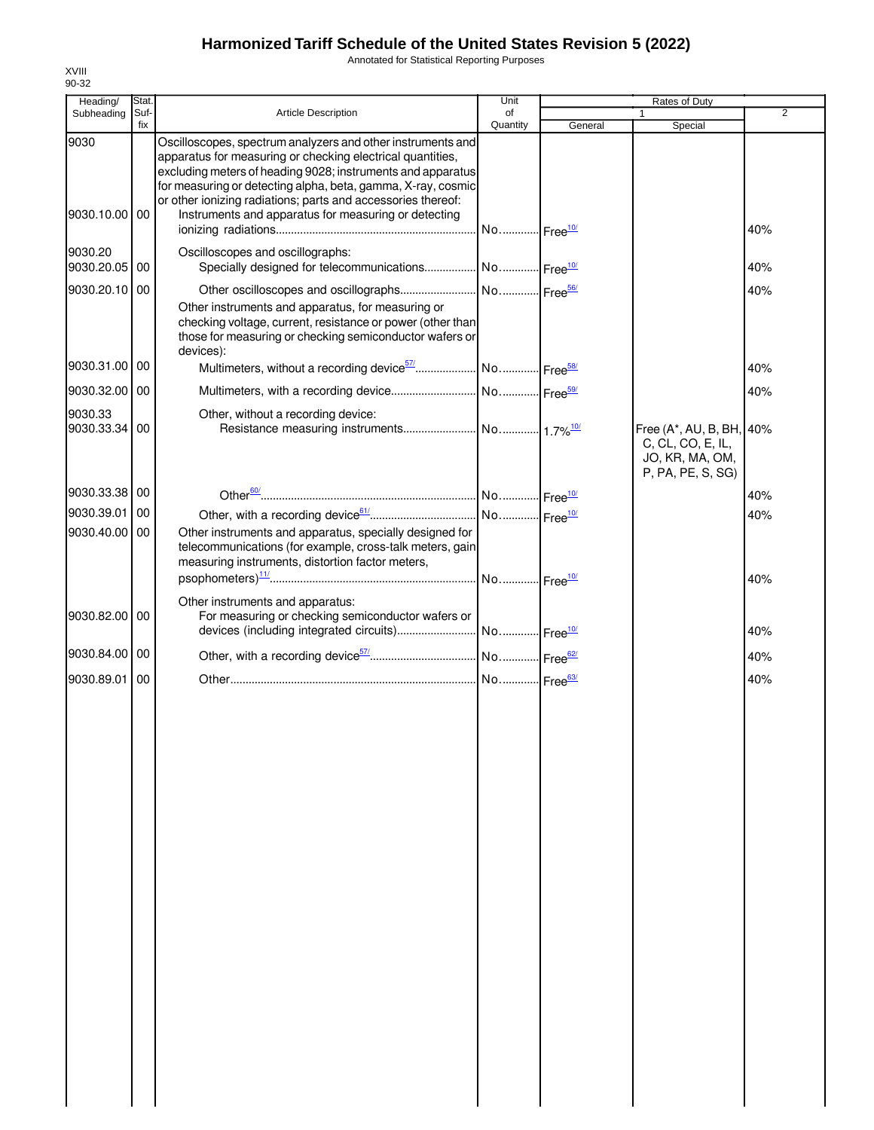Annotated for Statistical Reporting Purposes

| Heading/                 | Stat.       |                                                                                                                                                                                                                                                                                                                                                                                  | Unit           |         | Rates of Duty                                                                         |                |
|--------------------------|-------------|----------------------------------------------------------------------------------------------------------------------------------------------------------------------------------------------------------------------------------------------------------------------------------------------------------------------------------------------------------------------------------|----------------|---------|---------------------------------------------------------------------------------------|----------------|
| Subheading               | Suf-<br>fix | <b>Article Description</b>                                                                                                                                                                                                                                                                                                                                                       | of<br>Quantity | General | 1<br>Special                                                                          | $\overline{2}$ |
| 9030<br>9030.10.00 00    |             | Oscilloscopes, spectrum analyzers and other instruments and<br>apparatus for measuring or checking electrical quantities,<br>excluding meters of heading 9028; instruments and apparatus<br>for measuring or detecting alpha, beta, gamma, X-ray, cosmic<br>or other ionizing radiations; parts and accessories thereof:<br>Instruments and apparatus for measuring or detecting |                |         |                                                                                       | 40%            |
| 9030.20                  |             | Oscilloscopes and oscillographs:                                                                                                                                                                                                                                                                                                                                                 |                |         |                                                                                       |                |
| 9030.20.05 00            |             | Specially designed for telecommunications  No  Free <sup>10/</sup>                                                                                                                                                                                                                                                                                                               |                |         |                                                                                       | 40%            |
| 9030.20.10 00            |             | Other instruments and apparatus, for measuring or<br>checking voltage, current, resistance or power (other than<br>those for measuring or checking semiconductor wafers or                                                                                                                                                                                                       |                |         |                                                                                       | 40%            |
| 9030.31.00 00            |             | devices):                                                                                                                                                                                                                                                                                                                                                                        |                |         |                                                                                       | 40%            |
| 9030.32.00 00            |             |                                                                                                                                                                                                                                                                                                                                                                                  |                |         |                                                                                       | 40%            |
| 9030.33<br>9030.33.34 00 |             | Other, without a recording device:                                                                                                                                                                                                                                                                                                                                               |                |         | Free (A*, AU, B, BH, 40%<br>C, CL, CO, E, IL,<br>JO, KR, MA, OM,<br>P, PA, PE, S, SG) |                |
| 9030.33.38 00            |             |                                                                                                                                                                                                                                                                                                                                                                                  |                |         |                                                                                       | 40%            |
| 9030.39.01 00            |             |                                                                                                                                                                                                                                                                                                                                                                                  |                |         |                                                                                       | 40%            |
| 9030.40.00 00            |             | Other instruments and apparatus, specially designed for<br>telecommunications (for example, cross-talk meters, gain<br>measuring instruments, distortion factor meters,                                                                                                                                                                                                          |                |         |                                                                                       |                |
| 9030.82.00 00            |             | Other instruments and apparatus:<br>For measuring or checking semiconductor wafers or                                                                                                                                                                                                                                                                                            |                |         |                                                                                       | 40%<br>40%     |
| 9030.84.00 00            |             |                                                                                                                                                                                                                                                                                                                                                                                  |                |         |                                                                                       |                |
|                          |             |                                                                                                                                                                                                                                                                                                                                                                                  |                |         |                                                                                       | 40%            |
| 9030.89.01               | l 00        |                                                                                                                                                                                                                                                                                                                                                                                  |                |         |                                                                                       | 40%            |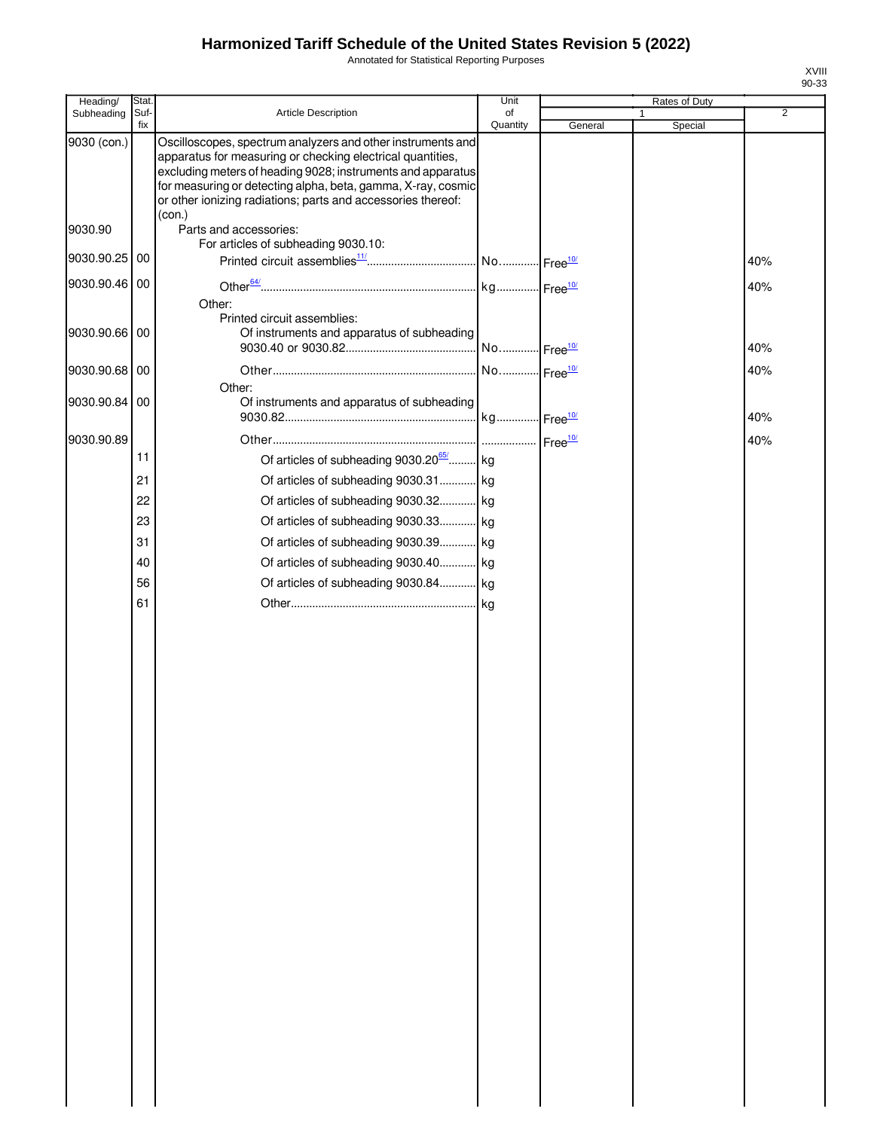Annotated for Statistical Reporting Purposes

| Heading/      | Stat.       |                                                                                                                                                                                                                                                                                                                                    | Unit                    |         | Rates of Duty           |                |
|---------------|-------------|------------------------------------------------------------------------------------------------------------------------------------------------------------------------------------------------------------------------------------------------------------------------------------------------------------------------------------|-------------------------|---------|-------------------------|----------------|
| Subheading    | Suf-<br>fix | Article Description                                                                                                                                                                                                                                                                                                                | of<br>Quantity          | General | $\mathbf{1}$<br>Special | $\overline{2}$ |
| 9030 (con.)   |             | Oscilloscopes, spectrum analyzers and other instruments and<br>apparatus for measuring or checking electrical quantities,<br>excluding meters of heading 9028; instruments and apparatus<br>for measuring or detecting alpha, beta, gamma, X-ray, cosmic<br>or other ionizing radiations; parts and accessories thereof:<br>(con.) |                         |         |                         |                |
| 9030.90       |             | Parts and accessories:<br>For articles of subheading 9030.10:                                                                                                                                                                                                                                                                      |                         |         |                         |                |
| 9030.90.25 00 |             |                                                                                                                                                                                                                                                                                                                                    |                         |         |                         | 40%            |
| 9030.90.46 00 |             | Other:                                                                                                                                                                                                                                                                                                                             |                         |         |                         | 40%            |
| 9030.90.66 00 |             | Printed circuit assemblies:<br>Of instruments and apparatus of subheading                                                                                                                                                                                                                                                          | No  Free <sup>10/</sup> |         |                         | 40%            |
| 9030.90.68    | 00          |                                                                                                                                                                                                                                                                                                                                    | No Free <sup>10/</sup>  |         |                         | 40%            |
| 9030.90.84    | 00          | Other:<br>Of instruments and apparatus of subheading                                                                                                                                                                                                                                                                               |                         |         |                         | 40%            |
| 9030.90.89    |             |                                                                                                                                                                                                                                                                                                                                    |                         |         |                         | 40%            |
|               | 11          | Of articles of subheading 9030.20 <sup>65</sup> kg                                                                                                                                                                                                                                                                                 |                         |         |                         |                |
|               | 21          | Of articles of subheading 9030.31 kg                                                                                                                                                                                                                                                                                               |                         |         |                         |                |
|               | 22          | Of articles of subheading 9030.32 kg                                                                                                                                                                                                                                                                                               |                         |         |                         |                |
|               | 23          | Of articles of subheading 9030.33 kg                                                                                                                                                                                                                                                                                               |                         |         |                         |                |
|               | 31          | Of articles of subheading 9030.39 kg                                                                                                                                                                                                                                                                                               |                         |         |                         |                |
|               | 40          | Of articles of subheading 9030.40 kg                                                                                                                                                                                                                                                                                               |                         |         |                         |                |
|               | 56          | Of articles of subheading 9030.84 kg                                                                                                                                                                                                                                                                                               |                         |         |                         |                |
|               | 61          |                                                                                                                                                                                                                                                                                                                                    |                         |         |                         |                |
|               |             |                                                                                                                                                                                                                                                                                                                                    |                         |         |                         |                |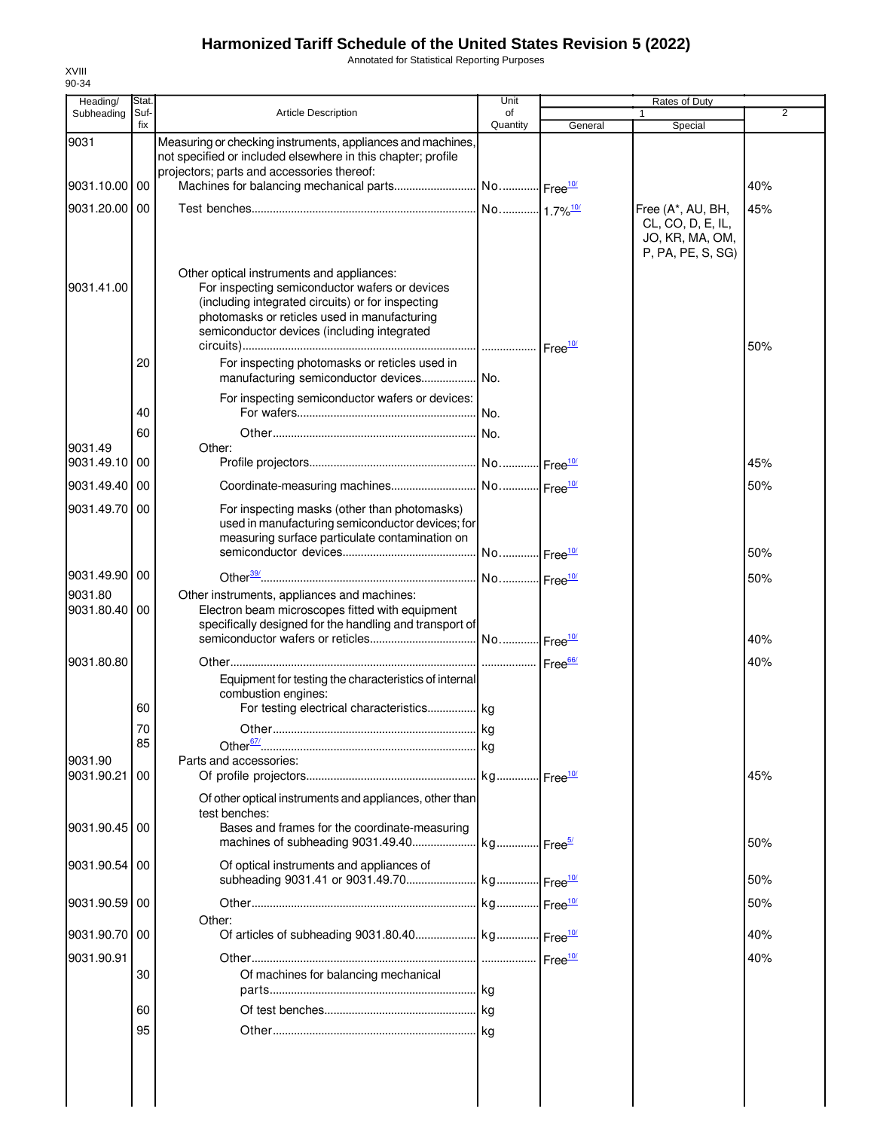Annotated for Statistical Reporting Purposes

| Heading/        | Stat. |                                                                                                                                                                                                                                                 | Unit                   |         | Rates of Duty                                                                  |                |
|-----------------|-------|-------------------------------------------------------------------------------------------------------------------------------------------------------------------------------------------------------------------------------------------------|------------------------|---------|--------------------------------------------------------------------------------|----------------|
| Subheading      | Suf-  | <b>Article Description</b>                                                                                                                                                                                                                      | of                     |         |                                                                                | $\overline{2}$ |
| 9031            | fix   | Measuring or checking instruments, appliances and machines,<br>not specified or included elsewhere in this chapter; profile                                                                                                                     | Quantity               | General | Special                                                                        |                |
|                 |       | projectors; parts and accessories thereof:                                                                                                                                                                                                      |                        |         |                                                                                |                |
| 9031.10.00 00   |       |                                                                                                                                                                                                                                                 |                        |         |                                                                                | 40%            |
| 9031.20.00      | 00    |                                                                                                                                                                                                                                                 |                        |         | Free (A*, AU, BH,<br>CL, CO, D, E, IL,<br>JO, KR, MA, OM,<br>P, PA, PE, S, SG) | 45%            |
| 9031.41.00      |       | Other optical instruments and appliances:<br>For inspecting semiconductor wafers or devices<br>(including integrated circuits) or for inspecting<br>photomasks or reticles used in manufacturing<br>semiconductor devices (including integrated |                        |         |                                                                                | 50%            |
|                 | 20    | For inspecting photomasks or reticles used in                                                                                                                                                                                                   |                        |         |                                                                                |                |
|                 |       | For inspecting semiconductor wafers or devices:                                                                                                                                                                                                 |                        |         |                                                                                |                |
|                 | 40    |                                                                                                                                                                                                                                                 |                        |         |                                                                                |                |
| 9031.49         | 60    | Other:                                                                                                                                                                                                                                          |                        |         |                                                                                |                |
| 9031.49.10      | 00    |                                                                                                                                                                                                                                                 |                        |         |                                                                                | 45%            |
| 9031.49.40      | -00   |                                                                                                                                                                                                                                                 |                        |         |                                                                                | 50%            |
| 9031.49.70      | 00    | For inspecting masks (other than photomasks)<br>used in manufacturing semiconductor devices; for<br>measuring surface particulate contamination on                                                                                              |                        |         |                                                                                |                |
|                 |       |                                                                                                                                                                                                                                                 | No Free <sup>10/</sup> |         |                                                                                | 50%            |
| 9031.49.90 00   |       |                                                                                                                                                                                                                                                 |                        |         |                                                                                | 50%            |
| 9031.80         |       | Other instruments, appliances and machines:                                                                                                                                                                                                     |                        |         |                                                                                |                |
| 9031.80.40 00   |       | Electron beam microscopes fitted with equipment<br>specifically designed for the handling and transport of                                                                                                                                      |                        |         |                                                                                | 40%            |
| 9031.80.80      |       |                                                                                                                                                                                                                                                 |                        |         |                                                                                | 40%            |
|                 | 60    | Equipment for testing the characteristics of internal<br>combustion engines:<br>For testing electrical characteristics kg                                                                                                                       |                        |         |                                                                                |                |
|                 | 70    |                                                                                                                                                                                                                                                 |                        |         |                                                                                |                |
|                 | 85    |                                                                                                                                                                                                                                                 | .lka                   |         |                                                                                |                |
| 9031.90         |       | Parts and accessories:                                                                                                                                                                                                                          |                        |         |                                                                                |                |
| 9031.90.21      | 00    |                                                                                                                                                                                                                                                 |                        |         |                                                                                | 45%            |
| 9031.90.45      | 00    | Of other optical instruments and appliances, other than<br>test benches:<br>Bases and frames for the coordinate-measuring                                                                                                                       |                        |         |                                                                                |                |
|                 |       |                                                                                                                                                                                                                                                 |                        |         |                                                                                | 50%            |
| 9031.90.54 00   |       | Of optical instruments and appliances of                                                                                                                                                                                                        |                        |         |                                                                                | 50%            |
| 9031.90.59      | 00    |                                                                                                                                                                                                                                                 |                        |         |                                                                                | 50%            |
|                 |       | Other:                                                                                                                                                                                                                                          |                        |         |                                                                                |                |
| 9031.90.70   00 |       |                                                                                                                                                                                                                                                 |                        |         |                                                                                | 40%            |
| 9031.90.91      |       |                                                                                                                                                                                                                                                 |                        |         |                                                                                | 40%            |
|                 | 30    | Of machines for balancing mechanical                                                                                                                                                                                                            |                        |         |                                                                                |                |
|                 |       |                                                                                                                                                                                                                                                 |                        |         |                                                                                |                |
|                 | 60    |                                                                                                                                                                                                                                                 |                        |         |                                                                                |                |
|                 | 95    |                                                                                                                                                                                                                                                 |                        |         |                                                                                |                |
|                 |       |                                                                                                                                                                                                                                                 |                        |         |                                                                                |                |
|                 |       |                                                                                                                                                                                                                                                 |                        |         |                                                                                |                |
|                 |       |                                                                                                                                                                                                                                                 |                        |         |                                                                                |                |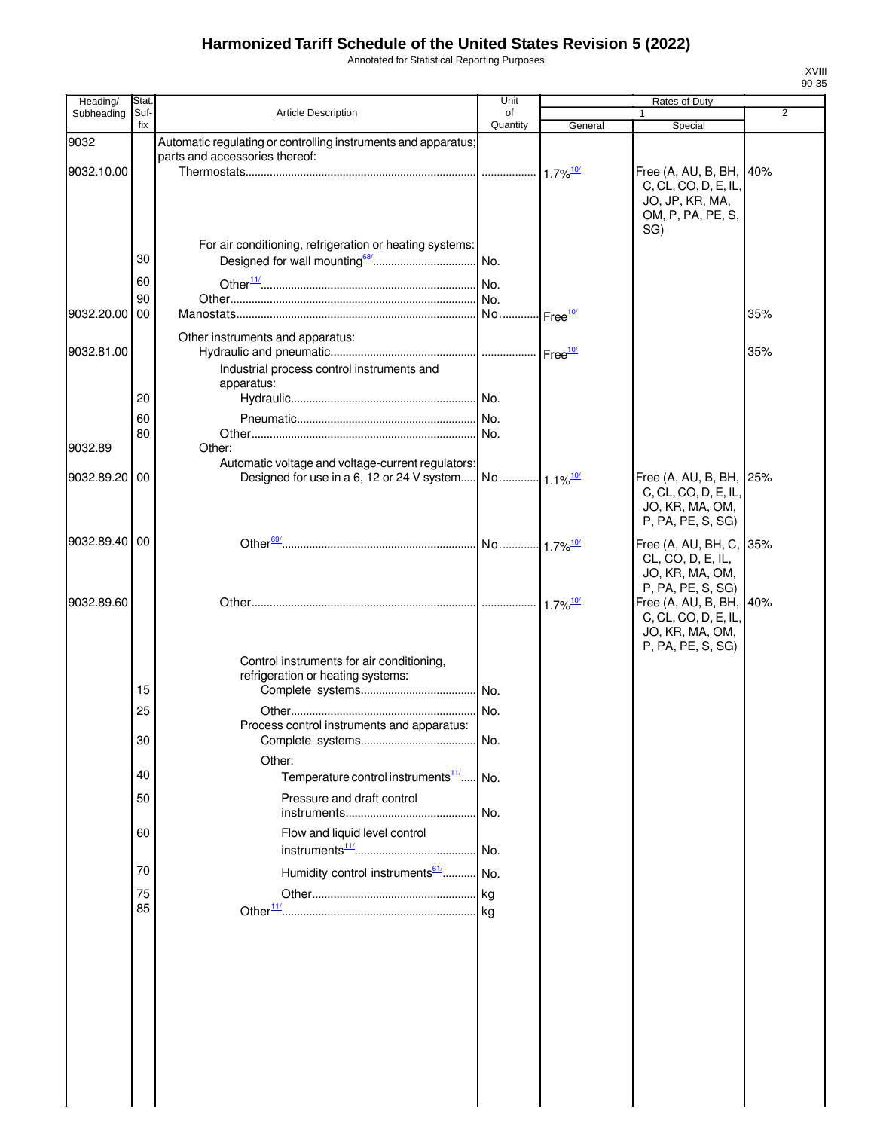Annotated for Statistical Reporting Purposes

| Heading/   | Stat        |                                                                | Unit                   |                                    | Rates of Duty                                   |                |
|------------|-------------|----------------------------------------------------------------|------------------------|------------------------------------|-------------------------------------------------|----------------|
| Subheading | Suf-<br>fix | Article Description                                            | of<br>Quantity         | General                            | Special                                         | $\overline{2}$ |
| 9032       |             | Automatic regulating or controlling instruments and apparatus; |                        |                                    |                                                 |                |
|            |             | parts and accessories thereof:                                 |                        |                                    |                                                 |                |
| 9032.10.00 |             |                                                                |                        | $1.7\%$ <sup>10/</sup>             | Free (A, AU, B, BH, 140%                        |                |
|            |             |                                                                |                        |                                    | C, CL, CO, D, E, IL,                            |                |
|            |             |                                                                |                        |                                    | JO, JP, KR, MA,                                 |                |
|            |             |                                                                |                        |                                    | OM, P, PA, PE, S,<br>SG)                        |                |
|            |             | For air conditioning, refrigeration or heating systems:        |                        |                                    |                                                 |                |
|            | 30          |                                                                |                        |                                    |                                                 |                |
|            | 60          |                                                                |                        |                                    |                                                 |                |
|            | 90          |                                                                |                        |                                    |                                                 |                |
| 9032.20.00 | 00          |                                                                |                        | $\frac{10}{2}$ Free <sup>10/</sup> |                                                 | 35%            |
|            |             |                                                                |                        |                                    |                                                 |                |
| 9032.81.00 |             | Other instruments and apparatus:                               |                        |                                    |                                                 | 35%            |
|            |             | Industrial process control instruments and                     |                        |                                    |                                                 |                |
|            |             | apparatus:                                                     |                        |                                    |                                                 |                |
|            | 20          |                                                                |                        |                                    |                                                 |                |
|            | 60          |                                                                |                        |                                    |                                                 |                |
|            | 80          |                                                                |                        |                                    |                                                 |                |
| 9032.89    |             | Other:                                                         |                        |                                    |                                                 |                |
|            |             | Automatic voltage and voltage-current regulators:              |                        |                                    |                                                 |                |
| 9032.89.20 | 00          | Designed for use in a 6, 12 or 24 V system                     | No 1.1% <sup>10/</sup> |                                    | Free (A, AU, B, BH, 25%<br>C, CL, CO, D, E, IL, |                |
|            |             |                                                                |                        |                                    | JO, KR, MA, OM,                                 |                |
|            |             |                                                                |                        |                                    | P, PA, PE, S, SG)                               |                |
| 9032.89.40 | 00          |                                                                |                        |                                    | Free (A, AU, BH, C, 35%                         |                |
|            |             |                                                                |                        |                                    | CL, CO, D, E, IL,                               |                |
|            |             |                                                                |                        |                                    | JO, KR, MA, OM,                                 |                |
|            |             |                                                                |                        |                                    | P, PA, PE, S, SG)                               |                |
| 9032.89.60 |             |                                                                |                        | $1.7\%$ <sup>10/</sup>             | Free (A, AU, B, BH, 40%                         |                |
|            |             |                                                                |                        |                                    | C, CL, CO, D, E, IL,<br>JO, KR, MA, OM,         |                |
|            |             |                                                                |                        |                                    | P, PA, PE, S, SG)                               |                |
|            |             | Control instruments for air conditioning,                      |                        |                                    |                                                 |                |
|            |             | refrigeration or heating systems:                              |                        |                                    |                                                 |                |
|            | 15          |                                                                |                        |                                    |                                                 |                |
|            | 25          |                                                                |                        |                                    |                                                 |                |
|            |             | Process control instruments and apparatus:                     |                        |                                    |                                                 |                |
|            | 30          |                                                                | . No.                  |                                    |                                                 |                |
|            |             | Other:                                                         |                        |                                    |                                                 |                |
|            | 40          | Temperature control instruments <sup>11/</sup> No.             |                        |                                    |                                                 |                |
|            | 50          | Pressure and draft control                                     |                        |                                    |                                                 |                |
|            |             |                                                                | l No.                  |                                    |                                                 |                |
|            | 60          | Flow and liquid level control                                  |                        |                                    |                                                 |                |
|            |             |                                                                | No.                    |                                    |                                                 |                |
|            | 70          | Humidity control instruments <sup>61/</sup> No.                |                        |                                    |                                                 |                |
|            | 75          |                                                                |                        |                                    |                                                 |                |
|            | 85          |                                                                |                        |                                    |                                                 |                |
|            |             |                                                                |                        |                                    |                                                 |                |
|            |             |                                                                |                        |                                    |                                                 |                |
|            |             |                                                                |                        |                                    |                                                 |                |
|            |             |                                                                |                        |                                    |                                                 |                |
|            |             |                                                                |                        |                                    |                                                 |                |
|            |             |                                                                |                        |                                    |                                                 |                |
|            |             |                                                                |                        |                                    |                                                 |                |
|            |             |                                                                |                        |                                    |                                                 |                |
|            |             |                                                                |                        |                                    |                                                 |                |
|            |             |                                                                |                        |                                    |                                                 |                |
|            |             |                                                                |                        |                                    |                                                 |                |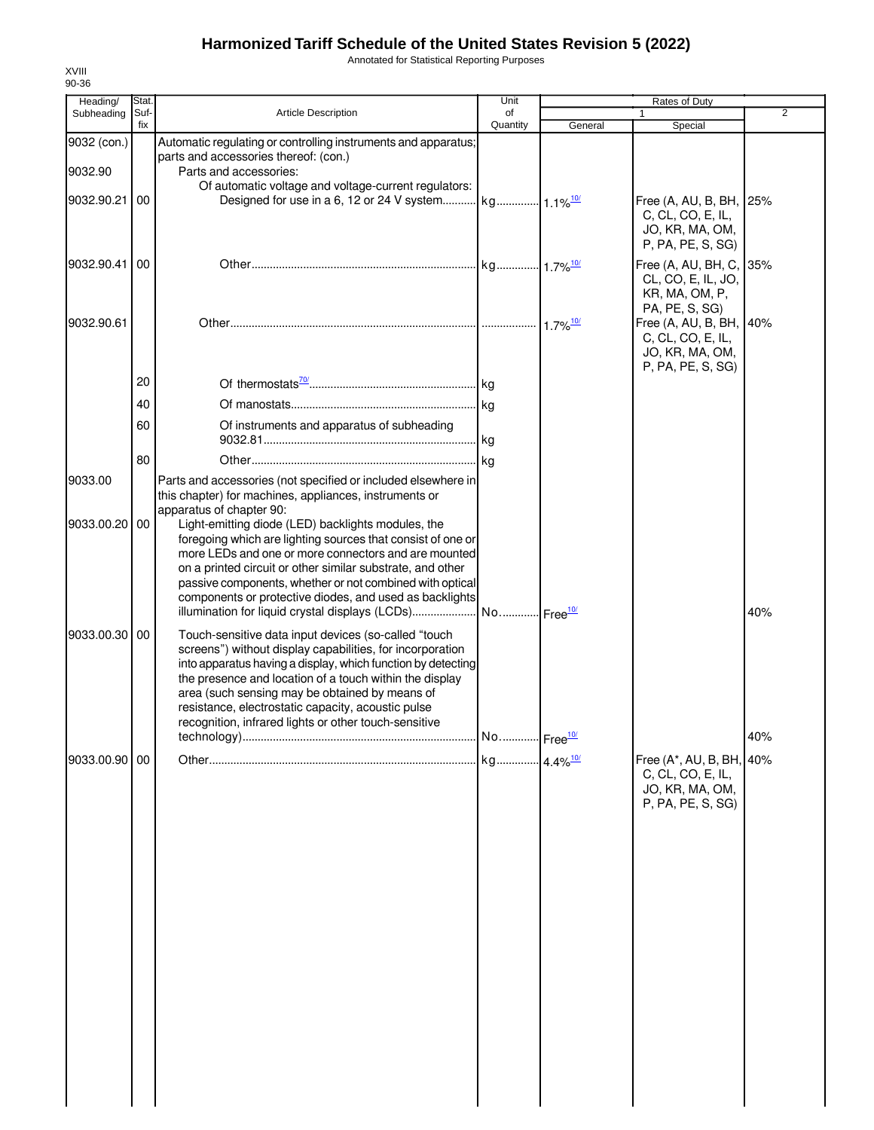Annotated for Statistical Reporting Purposes

| Heading/               | Stat.       |                                                                                                                                                                                                                                                                                                                                                                                                               | Unit           |         | Rates of Duty                                                                                          |                |
|------------------------|-------------|---------------------------------------------------------------------------------------------------------------------------------------------------------------------------------------------------------------------------------------------------------------------------------------------------------------------------------------------------------------------------------------------------------------|----------------|---------|--------------------------------------------------------------------------------------------------------|----------------|
| Subheading             | Suf-<br>fix | <b>Article Description</b>                                                                                                                                                                                                                                                                                                                                                                                    | of<br>Quantity | General | Special                                                                                                | $\overline{2}$ |
| 9032 (con.)<br>9032.90 |             | Automatic regulating or controlling instruments and apparatus;<br>parts and accessories thereof: (con.)<br>Parts and accessories:                                                                                                                                                                                                                                                                             |                |         |                                                                                                        |                |
| 9032.90.21             | 00          | Of automatic voltage and voltage-current regulators:                                                                                                                                                                                                                                                                                                                                                          |                |         | Free (A, AU, B, BH, 25%<br>C, CL, CO, E, IL,<br>JO, KR, MA, OM,                                        |                |
| 9032.90.41 00          |             |                                                                                                                                                                                                                                                                                                                                                                                                               |                |         | P, PA, PE, S, SG)<br>Free (A, AU, BH, C,<br>CL, CO, E, IL, JO,<br>KR, MA, OM, P,                       | 35%            |
| 9032.90.61             |             |                                                                                                                                                                                                                                                                                                                                                                                                               |                |         | PA, PE, S, SG)<br>Free (A, AU, B, BH, 40%<br>C, CL, CO, E, IL,<br>JO, KR, MA, OM,<br>P, PA, PE, S, SG) |                |
|                        | 20          |                                                                                                                                                                                                                                                                                                                                                                                                               |                |         |                                                                                                        |                |
|                        | 40          |                                                                                                                                                                                                                                                                                                                                                                                                               |                |         |                                                                                                        |                |
|                        | 60          | Of instruments and apparatus of subheading                                                                                                                                                                                                                                                                                                                                                                    |                |         |                                                                                                        |                |
|                        |             |                                                                                                                                                                                                                                                                                                                                                                                                               |                |         |                                                                                                        |                |
|                        | 80          |                                                                                                                                                                                                                                                                                                                                                                                                               |                |         |                                                                                                        |                |
| 9033.00                |             | Parts and accessories (not specified or included elsewhere in<br>this chapter) for machines, appliances, instruments or<br>apparatus of chapter 90:                                                                                                                                                                                                                                                           |                |         |                                                                                                        |                |
| 9033.00.20             | 00          | Light-emitting diode (LED) backlights modules, the<br>foregoing which are lighting sources that consist of one or<br>more LEDs and one or more connectors and are mounted<br>on a printed circuit or other similar substrate, and other<br>passive components, whether or not combined with optical<br>components or protective diodes, and used as backlights                                                |                |         |                                                                                                        |                |
|                        |             | illumination for liquid crystal displays (LCDs)  No  Free <sup>10/</sup>                                                                                                                                                                                                                                                                                                                                      |                |         |                                                                                                        | 40%            |
| 9033.00.30 00          |             | Touch-sensitive data input devices (so-called "touch<br>screens") without display capabilities, for incorporation<br>into apparatus having a display, which function by detecting<br>the presence and location of a touch within the display<br>area (such sensing may be obtained by means of<br>resistance, electrostatic capacity, acoustic pulse<br>recognition, infrared lights or other touch-sensitive |                |         |                                                                                                        | 40%            |
| 9033.00.90 00          |             |                                                                                                                                                                                                                                                                                                                                                                                                               |                |         | Free (A*, AU, B, BH, 40%                                                                               |                |
|                        |             |                                                                                                                                                                                                                                                                                                                                                                                                               |                |         | C, CL, CO, E, IL,<br>JO, KR, MA, OM,<br>P, PA, PE, S, SG)                                              |                |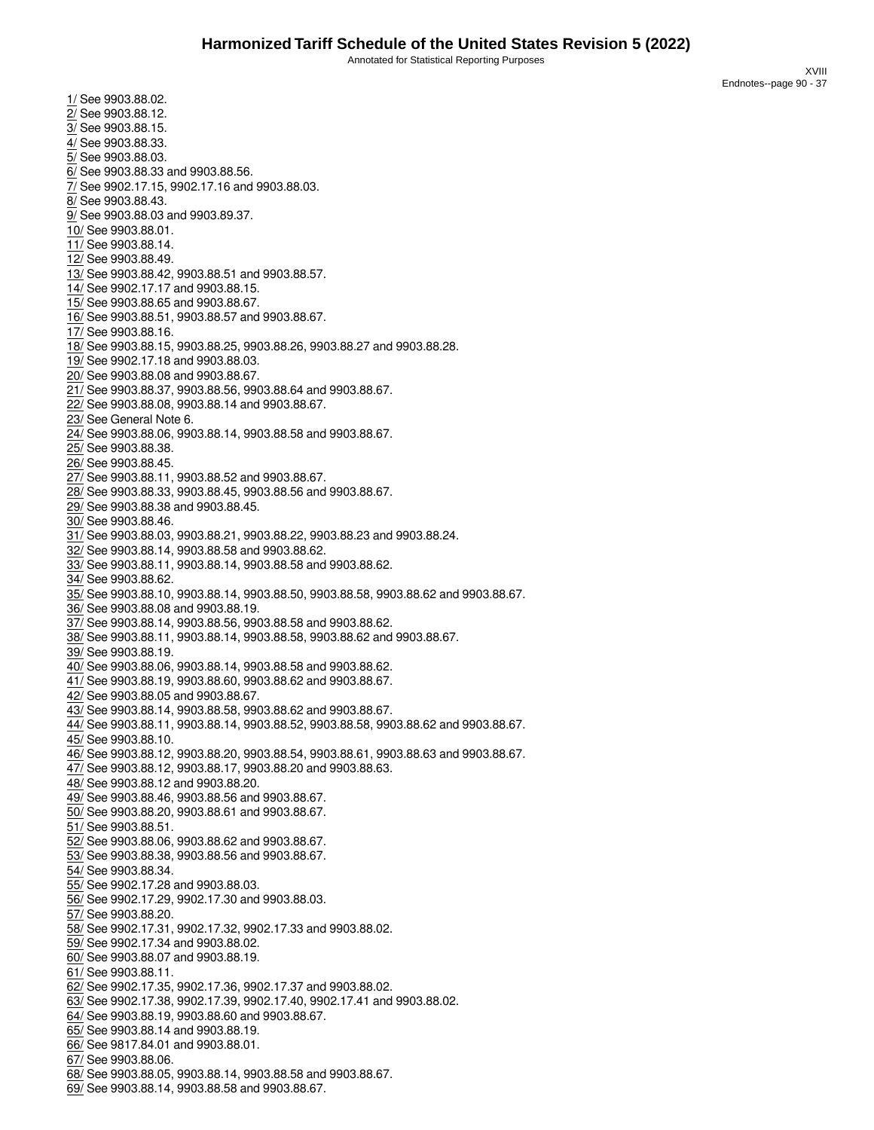XVIII Endnotes--page 90 - 37

<span id="page-38-68"></span><span id="page-38-67"></span><span id="page-38-66"></span><span id="page-38-65"></span><span id="page-38-64"></span><span id="page-38-63"></span><span id="page-38-62"></span><span id="page-38-61"></span><span id="page-38-60"></span><span id="page-38-59"></span><span id="page-38-58"></span><span id="page-38-57"></span><span id="page-38-56"></span><span id="page-38-55"></span><span id="page-38-54"></span><span id="page-38-53"></span><span id="page-38-52"></span><span id="page-38-51"></span><span id="page-38-50"></span><span id="page-38-49"></span><span id="page-38-48"></span><span id="page-38-47"></span><span id="page-38-46"></span><span id="page-38-45"></span><span id="page-38-44"></span><span id="page-38-43"></span><span id="page-38-42"></span><span id="page-38-41"></span><span id="page-38-40"></span><span id="page-38-39"></span><span id="page-38-38"></span><span id="page-38-37"></span><span id="page-38-36"></span><span id="page-38-35"></span><span id="page-38-34"></span><span id="page-38-33"></span><span id="page-38-32"></span><span id="page-38-31"></span><span id="page-38-30"></span><span id="page-38-29"></span><span id="page-38-28"></span><span id="page-38-27"></span><span id="page-38-26"></span><span id="page-38-25"></span><span id="page-38-24"></span><span id="page-38-23"></span><span id="page-38-22"></span><span id="page-38-21"></span><span id="page-38-20"></span><span id="page-38-19"></span><span id="page-38-18"></span><span id="page-38-17"></span><span id="page-38-16"></span><span id="page-38-15"></span><span id="page-38-14"></span><span id="page-38-13"></span><span id="page-38-12"></span><span id="page-38-11"></span><span id="page-38-10"></span><span id="page-38-9"></span><span id="page-38-8"></span><span id="page-38-7"></span><span id="page-38-6"></span><span id="page-38-5"></span><span id="page-38-4"></span><span id="page-38-3"></span><span id="page-38-2"></span>3/ See 9903.88.15. 4/ See 9903.88.33. 5/ See 9903.88.03. 6/ See 9903.88.33 and 9903.88.56. 7/ See 9902.17.15, 9902.17.16 and 9903.88.03. 8/ See 9903.88.43. 9/ See 9903.88.03 and 9903.89.37. 10/ See 9903.88.01. 11/ See 9903.88.14. 12/ See 9903.88.49. 13/ See 9903.88.42, 9903.88.51 and 9903.88.57. 14/ See 9902.17.17 and 9903.88.15. 15/ See 9903.88.65 and 9903.88.67. 16/ See 9903.88.51, 9903.88.57 and 9903.88.67. 17/ See 9903.88.16. 18/ See 9903.88.15, 9903.88.25, 9903.88.26, 9903.88.27 and 9903.88.28. 19/ See 9902.17.18 and 9903.88.03. 20/ See 9903.88.08 and 9903.88.67. 21/ See 9903.88.37, 9903.88.56, 9903.88.64 and 9903.88.67. 22/ See 9903.88.08, 9903.88.14 and 9903.88.67. 23/ See General Note 6. 24/ See 9903.88.06, 9903.88.14, 9903.88.58 and 9903.88.67. 25/ See 9903.88.38. 26/ See 9903.88.45. 27/ See 9903.88.11, 9903.88.52 and 9903.88.67. 28/ See 9903.88.33, 9903.88.45, 9903.88.56 and 9903.88.67. 29/ See 9903.88.38 and 9903.88.45. 30/ See 9903.88.46. 31/ See 9903.88.03, 9903.88.21, 9903.88.22, 9903.88.23 and 9903.88.24. 32/ See 9903.88.14, 9903.88.58 and 9903.88.62. 33/ See 9903.88.11, 9903.88.14, 9903.88.58 and 9903.88.62. 34/ See 9903.88.62. 35/ See 9903.88.10, 9903.88.14, 9903.88.50, 9903.88.58, 9903.88.62 and 9903.88.67. 36/ See 9903.88.08 and 9903.88.19. 37/ See 9903.88.14, 9903.88.56, 9903.88.58 and 9903.88.62. 38/ See 9903.88.11, 9903.88.14, 9903.88.58, 9903.88.62 and 9903.88.67. 39/ See 9903.88.19. 40/ See 9903.88.06, 9903.88.14, 9903.88.58 and 9903.88.62. 41/ See 9903.88.19, 9903.88.60, 9903.88.62 and 9903.88.67. 42/ See 9903.88.05 and 9903.88.67. 43/ See 9903.88.14, 9903.88.58, 9903.88.62 and 9903.88.67. 44/ See 9903.88.11, 9903.88.14, 9903.88.52, 9903.88.58, 9903.88.62 and 9903.88.67. 45/ See 9903.88.10. 46/ See 9903.88.12, 9903.88.20, 9903.88.54, 9903.88.61, 9903.88.63 and 9903.88.67. 47/ See 9903.88.12, 9903.88.17, 9903.88.20 and 9903.88.63. 48/ See 9903.88.12 and 9903.88.20. 49/ See 9903.88.46, 9903.88.56 and 9903.88.67. 50/ See 9903.88.20, 9903.88.61 and 9903.88.67. 51/ See 9903.88.51. 52/ See 9903.88.06, 9903.88.62 and 9903.88.67. 53/ See 9903.88.38, 9903.88.56 and 9903.88.67. 54/ See 9903.88.34. 55/ See 9902.17.28 and 9903.88.03. 56/ See 9902.17.29, 9902.17.30 and 9903.88.03. 57/ See 9903.88.20. 58/ See 9902.17.31, 9902.17.32, 9902.17.33 and 9903.88.02. 59/ See 9902.17.34 and 9903.88.02. 60/ See 9903.88.07 and 9903.88.19. 61/ See 9903.88.11. 62/ See 9902.17.35, 9902.17.36, 9902.17.37 and 9903.88.02. 63/ See 9902.17.38, 9902.17.39, 9902.17.40, 9902.17.41 and 9903.88.02. 64/ See 9903.88.19, 9903.88.60 and 9903.88.67. 65/ See 9903.88.14 and 9903.88.19. 66/ See 9817.84.01 and 9903.88.01. 67/ See 9903.88.06. 68/ See 9903.88.05, 9903.88.14, 9903.88.58 and 9903.88.67. 69/ See 9903.88.14, 9903.88.58 and 9903.88.67.

<span id="page-38-1"></span><span id="page-38-0"></span>1/ See 9903.88.02. 2/ See 9903.88.12.